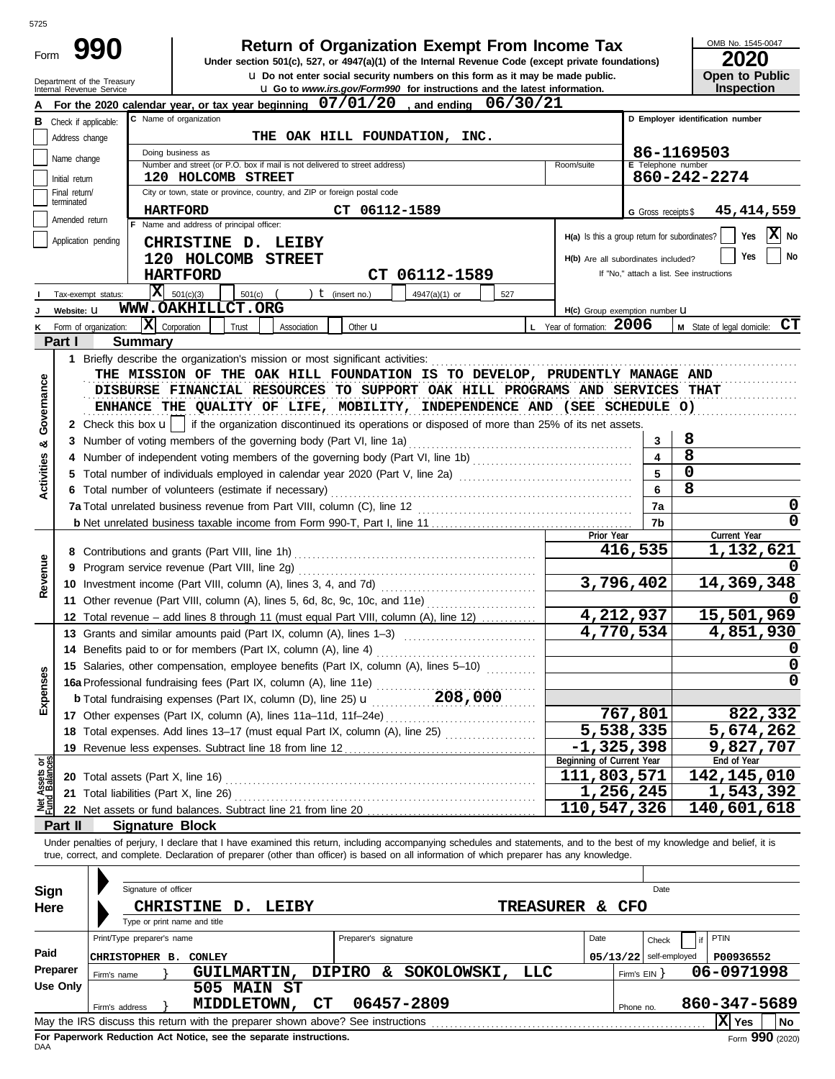| × | ×<br>۰. |
|---|---------|

| Form |  |
|------|--|
|      |  |

# **80 1 Return of Organization Exempt From Income Tax**

u **Do not enter social security numbers on this form as it may be made public. Open to Public Under section 501(c), 527, or 4947(a)(1) of the Internal Revenue Code (except private foundations)**

OMB No. 1545-0047

| . |                       |
|---|-----------------------|
|   | <b>Open to Public</b> |
|   | <b>Inspection</b>     |

|                                | Department of the Treasury<br>Internal Revenue Service                             | <b>U</b> Do not enter social security numbers on this form as it may be made public.<br><b>u</b> Go to www.irs.gov/Form990 for instructions and the latest information.    |                                                 |                          | Open to Public<br><b>Inspection</b>      |  |  |  |  |  |  |  |  |
|--------------------------------|------------------------------------------------------------------------------------|----------------------------------------------------------------------------------------------------------------------------------------------------------------------------|-------------------------------------------------|--------------------------|------------------------------------------|--|--|--|--|--|--|--|--|
|                                |                                                                                    | For the 2020 calendar year, or tax year beginning $07/01/20$ , and ending<br>06/30/21                                                                                      |                                                 |                          |                                          |  |  |  |  |  |  |  |  |
| в                              | C Name of organization<br>D Employer identification number<br>Check if applicable: |                                                                                                                                                                            |                                                 |                          |                                          |  |  |  |  |  |  |  |  |
|                                | Address change                                                                     | THE OAK HILL FOUNDATION, INC.                                                                                                                                              |                                                 |                          |                                          |  |  |  |  |  |  |  |  |
|                                |                                                                                    | 86-1169503<br>Doing business as                                                                                                                                            |                                                 |                          |                                          |  |  |  |  |  |  |  |  |
|                                | Name change                                                                        | Number and street (or P.O. box if mail is not delivered to street address)                                                                                                 | Room/suite                                      | E Telephone number       |                                          |  |  |  |  |  |  |  |  |
|                                | Initial return                                                                     | 120 HOLCOMB STREET                                                                                                                                                         |                                                 |                          | 860-242-2274                             |  |  |  |  |  |  |  |  |
|                                | Final return/<br>terminated                                                        | City or town, state or province, country, and ZIP or foreign postal code                                                                                                   |                                                 |                          |                                          |  |  |  |  |  |  |  |  |
|                                | Amended return                                                                     | CT 06112-1589<br><b>HARTFORD</b>                                                                                                                                           |                                                 | G Gross receipts \$      | 45,414,559                               |  |  |  |  |  |  |  |  |
|                                |                                                                                    | F Name and address of principal officer:                                                                                                                                   | $H(a)$ is this a group return for subordinates? |                          | $X_{N0}$<br>Yes                          |  |  |  |  |  |  |  |  |
|                                | Application pending                                                                | CHRISTINE D. LEIBY                                                                                                                                                         |                                                 |                          |                                          |  |  |  |  |  |  |  |  |
|                                |                                                                                    | 120 HOLCOMB STREET                                                                                                                                                         | H(b) Are all subordinates included?             |                          | No<br>Yes                                |  |  |  |  |  |  |  |  |
|                                |                                                                                    | <b>HARTFORD</b><br>CT 06112-1589                                                                                                                                           |                                                 |                          | If "No," attach a list. See instructions |  |  |  |  |  |  |  |  |
|                                | Tax-exempt status:                                                                 | $\overline{\mathbf{X}}$ 501(c)(3)<br>$t$ (insert no.)<br>501(c)<br>4947(a)(1) or<br>527                                                                                    |                                                 |                          |                                          |  |  |  |  |  |  |  |  |
|                                | Website: U                                                                         | WWW.OAKHILLCT.ORG                                                                                                                                                          | H(c) Group exemption number U                   |                          |                                          |  |  |  |  |  |  |  |  |
|                                | Form of organization:                                                              | $\mathbf{X}$ Corporation<br>Trust<br>Other <b>u</b><br>Association                                                                                                         | L Year of formation: 2006                       |                          | M State of legal domicile: CT            |  |  |  |  |  |  |  |  |
|                                | Part I                                                                             | <b>Summary</b>                                                                                                                                                             |                                                 |                          |                                          |  |  |  |  |  |  |  |  |
|                                |                                                                                    | 1 Briefly describe the organization's mission or most significant activities:                                                                                              |                                                 |                          |                                          |  |  |  |  |  |  |  |  |
|                                |                                                                                    | THE MISSION OF THE OAK HILL FOUNDATION IS TO DEVELOP, PRUDENTLY MANAGE AND                                                                                                 |                                                 |                          |                                          |  |  |  |  |  |  |  |  |
| Governance                     |                                                                                    | DISBURSE FINANCIAL RESOURCES TO SUPPORT OAK HILL PROGRAMS AND SERVICES THAT                                                                                                |                                                 |                          |                                          |  |  |  |  |  |  |  |  |
|                                |                                                                                    | ENHANCE THE QUALITY OF LIFE, MOBILITY, INDEPENDENCE AND (SEE SCHEDULE O)                                                                                                   |                                                 |                          |                                          |  |  |  |  |  |  |  |  |
|                                |                                                                                    | 2 Check this box $\mathbf{u}$   if the organization discontinued its operations or disposed of more than 25% of its net assets.                                            |                                                 |                          |                                          |  |  |  |  |  |  |  |  |
| ఱ                              |                                                                                    | 3 Number of voting members of the governing body (Part VI, line 1a)                                                                                                        |                                                 | 3                        | 8                                        |  |  |  |  |  |  |  |  |
|                                |                                                                                    |                                                                                                                                                                            |                                                 | 4                        | 8                                        |  |  |  |  |  |  |  |  |
| Activities                     |                                                                                    | 5 Total number of individuals employed in calendar year 2020 (Part V, line 2a) [11] [11] [11] Total number of individuals employed in calendar year 2020 (Part V, line 2a) |                                                 | 5                        | 0                                        |  |  |  |  |  |  |  |  |
|                                |                                                                                    | 6 Total number of volunteers (estimate if necessary)                                                                                                                       |                                                 | 6                        | 8                                        |  |  |  |  |  |  |  |  |
|                                |                                                                                    |                                                                                                                                                                            |                                                 | 7a                       | 0                                        |  |  |  |  |  |  |  |  |
|                                |                                                                                    |                                                                                                                                                                            |                                                 | 7b                       | 0                                        |  |  |  |  |  |  |  |  |
|                                |                                                                                    |                                                                                                                                                                            | Prior Year                                      | 416,535                  | Current Year<br>1,132,621                |  |  |  |  |  |  |  |  |
|                                |                                                                                    |                                                                                                                                                                            |                                                 |                          |                                          |  |  |  |  |  |  |  |  |
| Revenue                        |                                                                                    |                                                                                                                                                                            | 3,796,402                                       |                          | 14,369,348                               |  |  |  |  |  |  |  |  |
|                                |                                                                                    | 11 Other revenue (Part VIII, column (A), lines 5, 6d, 8c, 9c, 10c, and 11e)                                                                                                |                                                 |                          |                                          |  |  |  |  |  |  |  |  |
|                                |                                                                                    | 12 Total revenue – add lines 8 through 11 (must equal Part VIII, column (A), line 12)                                                                                      | 4,212,937                                       |                          | 15,501,969                               |  |  |  |  |  |  |  |  |
|                                |                                                                                    | 13 Grants and similar amounts paid (Part IX, column (A), lines 1-3)                                                                                                        | $\overline{4}$ , 770, 534                       |                          | 4,851,930                                |  |  |  |  |  |  |  |  |
|                                |                                                                                    | 14 Benefits paid to or for members (Part IX, column (A), line 4)                                                                                                           |                                                 |                          |                                          |  |  |  |  |  |  |  |  |
|                                |                                                                                    | 15 Salaries, other compensation, employee benefits (Part IX, column (A), lines 5-10)                                                                                       |                                                 |                          | 0                                        |  |  |  |  |  |  |  |  |
| <b>ises</b>                    |                                                                                    | 16a Professional fundraising fees (Part IX, column (A), line 11e)                                                                                                          |                                                 |                          | ∩                                        |  |  |  |  |  |  |  |  |
|                                |                                                                                    | <b>b</b> Total fundraising expenses (Part IX, column (D), line 25) <b>u</b> 208, 000                                                                                       |                                                 |                          |                                          |  |  |  |  |  |  |  |  |
| Exper                          |                                                                                    |                                                                                                                                                                            |                                                 | 767,801                  | 822,332                                  |  |  |  |  |  |  |  |  |
|                                |                                                                                    | 18 Total expenses. Add lines 13-17 (must equal Part IX, column (A), line 25)                                                                                               | $\overline{5,538,335}$                          |                          | 5,674,262                                |  |  |  |  |  |  |  |  |
|                                |                                                                                    |                                                                                                                                                                            | $-1,325,398$                                    |                          | 9,827,707                                |  |  |  |  |  |  |  |  |
|                                |                                                                                    |                                                                                                                                                                            | Beginning of Current Year                       |                          | End of Year                              |  |  |  |  |  |  |  |  |
| Net Assets or<br>Fund Balances |                                                                                    | <b>20</b> Total assets (Part X, line 16)                                                                                                                                   | 111,803,571                                     |                          | 142, 145, 010                            |  |  |  |  |  |  |  |  |
|                                |                                                                                    | 21 Total liabilities (Part X, line 26)                                                                                                                                     | 1,256,245                                       |                          | 1,543,392                                |  |  |  |  |  |  |  |  |
|                                |                                                                                    |                                                                                                                                                                            | 110,547,326                                     |                          | 140,601,618                              |  |  |  |  |  |  |  |  |
|                                | Part II                                                                            | <b>Signature Block</b>                                                                                                                                                     |                                                 |                          |                                          |  |  |  |  |  |  |  |  |
|                                |                                                                                    | Under penalties of perjury, I declare that I have examined this return, including accompanying schedules and statements, and to the best of my knowledge and belief, it is |                                                 |                          |                                          |  |  |  |  |  |  |  |  |
|                                |                                                                                    | true, correct, and complete. Declaration of preparer (other than officer) is based on all information of which preparer has any knowledge.                                 |                                                 |                          |                                          |  |  |  |  |  |  |  |  |
|                                |                                                                                    |                                                                                                                                                                            |                                                 |                          |                                          |  |  |  |  |  |  |  |  |
| Sign                           |                                                                                    | Signature of officer                                                                                                                                                       |                                                 | Date                     |                                          |  |  |  |  |  |  |  |  |
| Here                           |                                                                                    | CHRISTINE D. LEIBY                                                                                                                                                         | TREASURER & CFO                                 |                          |                                          |  |  |  |  |  |  |  |  |
|                                |                                                                                    | Type or print name and title                                                                                                                                               |                                                 |                          |                                          |  |  |  |  |  |  |  |  |
|                                |                                                                                    | Print/Type preparer's name<br>Preparer's signature                                                                                                                         | Date                                            | Check                    | PTIN<br>if                               |  |  |  |  |  |  |  |  |
| Paid                           |                                                                                    | <b>CHRISTOPHER B. CONLEY</b>                                                                                                                                               |                                                 | $05/13/22$ self-employed | P00936552                                |  |  |  |  |  |  |  |  |
|                                | Preparer                                                                           | SOKOLOWSKI,<br><b>GUILMARTIN,</b><br><b>DIPIRO</b><br>LLC<br>&.<br>Firm's name                                                                                             |                                                 | Firm's EIN }             | 06-0971998                               |  |  |  |  |  |  |  |  |
|                                | <b>Use Only</b>                                                                    | 505 MAIN ST                                                                                                                                                                |                                                 |                          |                                          |  |  |  |  |  |  |  |  |
|                                |                                                                                    | MIDDLETOWN,<br>CT<br>06457-2809<br>Firm's address                                                                                                                          |                                                 | Phone no.                | 860-347-5689                             |  |  |  |  |  |  |  |  |
|                                |                                                                                    | May the IRS discuss this return with the preparer shown above? See instructions                                                                                            |                                                 |                          | X Yes<br>No                              |  |  |  |  |  |  |  |  |

| Sign                                                                            |                                                                                                    | Signature of officer |                              |                    |              |                      |    |             |  |                  |      |              | Date                     |              |      |
|---------------------------------------------------------------------------------|----------------------------------------------------------------------------------------------------|----------------------|------------------------------|--------------------|--------------|----------------------|----|-------------|--|------------------|------|--------------|--------------------------|--------------|------|
| Here                                                                            |                                                                                                    |                      | <b>CHRISTINE</b>             | D.                 | <b>LEIBY</b> |                      |    |             |  | <b>TREASURER</b> | &.   | <b>CFO</b>   |                          |              |      |
|                                                                                 |                                                                                                    |                      | Type or print name and title |                    |              |                      |    |             |  |                  |      |              |                          |              |      |
|                                                                                 | Print/Type preparer's name                                                                         |                      |                              |                    |              | Preparer's signature |    |             |  |                  | Date |              | Check                    | <b>PTIN</b>  |      |
| Paid                                                                            | <b>CHRISTOPHER</b>                                                                                 | в.                   | <b>CONLEY</b>                |                    |              |                      |    |             |  |                  |      |              | $05/13/22$ self-employed | P00936552    |      |
| Preparer                                                                        | Firm's name                                                                                        |                      |                              | <b>GUILMARTIN,</b> |              | <b>DIPIRO</b>        | δz | SOKOLOWSKI, |  | LLC              |      | Firm's $EIN$ |                          | 06-0971998   |      |
| <b>Use Only</b>                                                                 |                                                                                                    |                      |                              | 505 MAIN ST        |              |                      |    |             |  |                  |      |              |                          |              |      |
|                                                                                 | Firm's address                                                                                     |                      |                              | MIDDLETOWN,        | CT.          |                      |    | 06457-2809  |  |                  |      | Phone no.    |                          | 860-347-5689 |      |
| May the IRS discuss this return with the preparer shown above? See instructions |                                                                                                    |                      |                              |                    |              |                      |    |             |  |                  |      |              |                          | Yes          | l No |
|                                                                                 | $F_{\text{max}}$ QQQ $(2020)$<br>For Panerwork Reduction Act Notice, see the senarate instructions |                      |                              |                    |              |                      |    |             |  |                  |      |              |                          |              |      |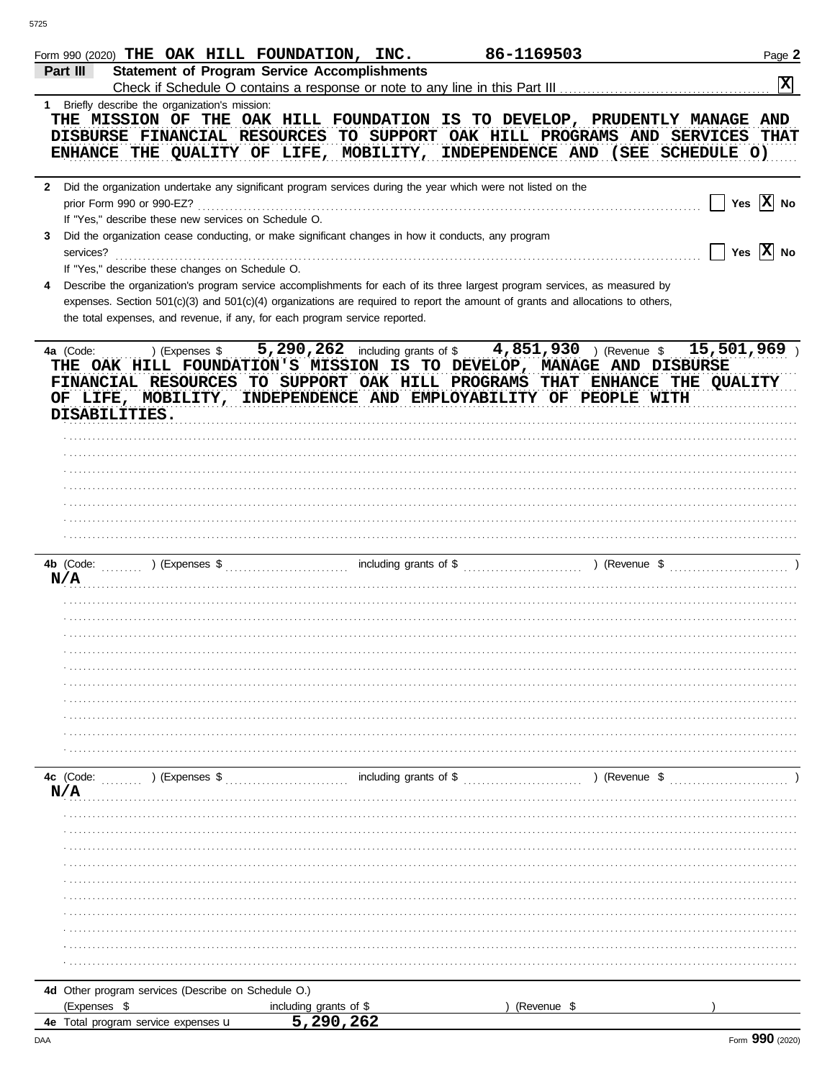|           | Form 990 (2020) THE OAK HILL FOUNDATION, INC.                                                                                                                                                                                                                |                         | 86-1169503  |               | Page 2                      |
|-----------|--------------------------------------------------------------------------------------------------------------------------------------------------------------------------------------------------------------------------------------------------------------|-------------------------|-------------|---------------|-----------------------------|
| Part III  | <b>Statement of Program Service Accomplishments</b>                                                                                                                                                                                                          |                         |             |               |                             |
|           |                                                                                                                                                                                                                                                              |                         |             |               | $\mathbf{x}$                |
|           | 1 Briefly describe the organization's mission:                                                                                                                                                                                                               |                         |             |               |                             |
|           | THE MISSION OF THE OAK HILL FOUNDATION IS TO DEVELOP, PRUDENTLY MANAGE AND<br>DISBURSE FINANCIAL RESOURCES TO SUPPORT OAK HILL PROGRAMS AND SERVICES THAT                                                                                                    |                         |             |               |                             |
|           | ENHANCE THE QUALITY OF LIFE, MOBILITY, INDEPENDENCE AND (SEE SCHEDULE O)                                                                                                                                                                                     |                         |             |               |                             |
|           |                                                                                                                                                                                                                                                              |                         |             |               |                             |
|           | 2 Did the organization undertake any significant program services during the year which were not listed on the                                                                                                                                               |                         |             |               |                             |
|           |                                                                                                                                                                                                                                                              |                         |             |               | Yes $\overline{X}$ No       |
|           | If "Yes," describe these new services on Schedule O.                                                                                                                                                                                                         |                         |             |               |                             |
| 3         | Did the organization cease conducting, or make significant changes in how it conducts, any program                                                                                                                                                           |                         |             |               |                             |
|           | services?                                                                                                                                                                                                                                                    |                         |             |               | Yes $\boxed{\mathbf{X}}$ No |
|           | If "Yes," describe these changes on Schedule O.                                                                                                                                                                                                              |                         |             |               |                             |
|           | Describe the organization's program service accomplishments for each of its three largest program services, as measured by<br>expenses. Section 501(c)(3) and 501(c)(4) organizations are required to report the amount of grants and allocations to others, |                         |             |               |                             |
|           | the total expenses, and revenue, if any, for each program service reported.                                                                                                                                                                                  |                         |             |               |                             |
|           |                                                                                                                                                                                                                                                              |                         |             |               |                             |
|           | 4a (Code: ) (Expenses \$ 5,290,262 including grants of \$ 4,851,930 ) (Revenue \$ 15,501,969 )                                                                                                                                                               |                         |             |               |                             |
|           | THE OAK HILL FOUNDATION'S MISSION IS TO DEVELOP, MANAGE AND DISBURSE                                                                                                                                                                                         |                         |             |               |                             |
|           | FINANCIAL RESOURCES TO SUPPORT OAK HILL PROGRAMS THAT ENHANCE THE QUALITY                                                                                                                                                                                    |                         |             |               |                             |
|           | OF LIFE, MOBILITY, INDEPENDENCE AND EMPLOYABILITY OF PEOPLE WITH                                                                                                                                                                                             |                         |             |               |                             |
|           | DISABILITIES.                                                                                                                                                                                                                                                |                         |             |               |                             |
|           |                                                                                                                                                                                                                                                              |                         |             |               |                             |
|           |                                                                                                                                                                                                                                                              |                         |             |               |                             |
|           |                                                                                                                                                                                                                                                              |                         |             |               |                             |
|           |                                                                                                                                                                                                                                                              |                         |             |               |                             |
|           |                                                                                                                                                                                                                                                              |                         |             |               |                             |
|           |                                                                                                                                                                                                                                                              |                         |             |               |                             |
|           |                                                                                                                                                                                                                                                              |                         |             |               |                             |
|           |                                                                                                                                                                                                                                                              |                         |             |               |                             |
| N/A       |                                                                                                                                                                                                                                                              |                         |             |               |                             |
|           |                                                                                                                                                                                                                                                              |                         |             |               |                             |
|           |                                                                                                                                                                                                                                                              |                         |             |               |                             |
|           |                                                                                                                                                                                                                                                              |                         |             |               |                             |
|           |                                                                                                                                                                                                                                                              |                         |             |               |                             |
|           |                                                                                                                                                                                                                                                              |                         |             |               |                             |
|           |                                                                                                                                                                                                                                                              |                         |             |               |                             |
|           |                                                                                                                                                                                                                                                              |                         |             |               |                             |
|           |                                                                                                                                                                                                                                                              |                         |             |               |                             |
|           |                                                                                                                                                                                                                                                              |                         |             |               |                             |
| 4c (Code: | ) (Expenses \$                                                                                                                                                                                                                                               | including grants of $$$ |             | ) (Revenue \$ |                             |
| N/A       |                                                                                                                                                                                                                                                              |                         |             |               |                             |
|           |                                                                                                                                                                                                                                                              |                         |             |               |                             |
|           |                                                                                                                                                                                                                                                              |                         |             |               |                             |
|           |                                                                                                                                                                                                                                                              |                         |             |               |                             |
|           |                                                                                                                                                                                                                                                              |                         |             |               |                             |
|           |                                                                                                                                                                                                                                                              |                         |             |               |                             |
|           |                                                                                                                                                                                                                                                              |                         |             |               |                             |
|           |                                                                                                                                                                                                                                                              |                         |             |               |                             |
|           |                                                                                                                                                                                                                                                              |                         |             |               |                             |
|           |                                                                                                                                                                                                                                                              |                         |             |               |                             |
|           |                                                                                                                                                                                                                                                              |                         |             |               |                             |
|           | 4d Other program services (Describe on Schedule O.)                                                                                                                                                                                                          |                         |             |               |                             |
|           | (Expenses \$                                                                                                                                                                                                                                                 | including grants of \$  | (Revenue \$ |               |                             |
|           | 4e Total program service expenses u                                                                                                                                                                                                                          | 5,290,262               |             |               |                             |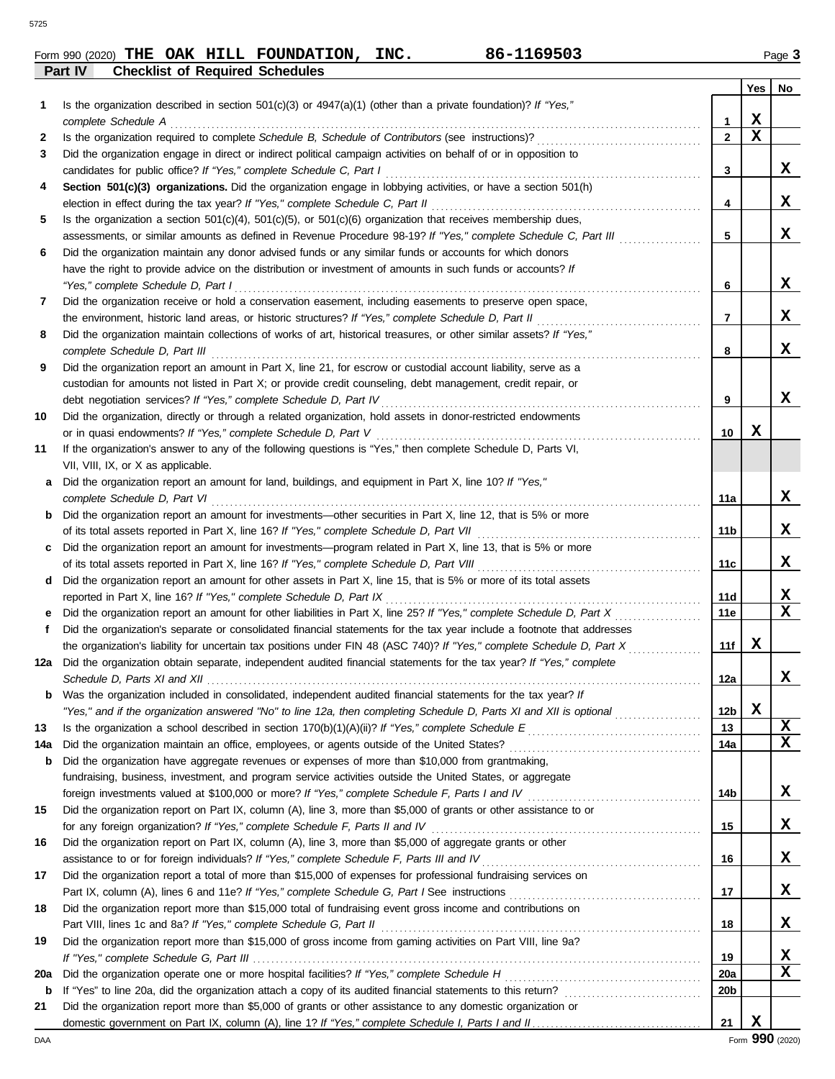|         |  | Form 990 (2020) THE OAK HILL FOUNDATION, | INC. | 86-1169503 | Page $3$ |
|---------|--|------------------------------------------|------|------------|----------|
| Part IV |  | <b>Checklist of Required Schedules</b>   |      |            |          |

|     |                                                                                                                                                                                                                           |                 | Yes | No.         |
|-----|---------------------------------------------------------------------------------------------------------------------------------------------------------------------------------------------------------------------------|-----------------|-----|-------------|
| 1   | Is the organization described in section $501(c)(3)$ or $4947(a)(1)$ (other than a private foundation)? If "Yes,"                                                                                                         |                 |     |             |
|     | complete Schedule A                                                                                                                                                                                                       | 1               | х   |             |
| 2   |                                                                                                                                                                                                                           | $\mathbf{2}$    | х   |             |
| 3   | Did the organization engage in direct or indirect political campaign activities on behalf of or in opposition to                                                                                                          |                 |     |             |
|     | candidates for public office? If "Yes," complete Schedule C, Part I                                                                                                                                                       | 3               |     | X.          |
| 4   | Section 501(c)(3) organizations. Did the organization engage in lobbying activities, or have a section 501(h)                                                                                                             |                 |     |             |
|     | election in effect during the tax year? If "Yes," complete Schedule C, Part II                                                                                                                                            | 4               |     | x           |
| 5   | Is the organization a section $501(c)(4)$ , $501(c)(5)$ , or $501(c)(6)$ organization that receives membership dues,                                                                                                      |                 |     |             |
|     |                                                                                                                                                                                                                           | 5               |     | x           |
|     | assessments, or similar amounts as defined in Revenue Procedure 98-19? If "Yes," complete Schedule C, Part III<br>Did the organization maintain any donor advised funds or any similar funds or accounts for which donors |                 |     |             |
| 6   | have the right to provide advice on the distribution or investment of amounts in such funds or accounts? If                                                                                                               |                 |     |             |
|     | "Yes," complete Schedule D, Part I                                                                                                                                                                                        |                 |     | x           |
|     | Did the organization receive or hold a conservation easement, including easements to preserve open space,                                                                                                                 | 6               |     |             |
| 7   |                                                                                                                                                                                                                           |                 |     | x           |
|     | the environment, historic land areas, or historic structures? If "Yes," complete Schedule D, Part II                                                                                                                      | 7               |     |             |
| 8   | Did the organization maintain collections of works of art, historical treasures, or other similar assets? If "Yes,"                                                                                                       |                 |     | x           |
|     | complete Schedule D, Part III                                                                                                                                                                                             | 8               |     |             |
| 9   | Did the organization report an amount in Part X, line 21, for escrow or custodial account liability, serve as a                                                                                                           |                 |     |             |
|     | custodian for amounts not listed in Part X; or provide credit counseling, debt management, credit repair, or                                                                                                              |                 |     |             |
|     | debt negotiation services? If "Yes," complete Schedule D, Part IV                                                                                                                                                         | 9               |     | x           |
| 10  | Did the organization, directly or through a related organization, hold assets in donor-restricted endowments                                                                                                              |                 |     |             |
|     | or in quasi endowments? If "Yes," complete Schedule D, Part V                                                                                                                                                             | 10              | x   |             |
| 11  | If the organization's answer to any of the following questions is "Yes," then complete Schedule D, Parts VI,                                                                                                              |                 |     |             |
|     | VII, VIII, IX, or X as applicable.                                                                                                                                                                                        |                 |     |             |
| a   | Did the organization report an amount for land, buildings, and equipment in Part X, line 10? If "Yes,"                                                                                                                    |                 |     |             |
|     | complete Schedule D, Part VI                                                                                                                                                                                              | 11a             |     | x           |
| b   | Did the organization report an amount for investments—other securities in Part X, line 12, that is 5% or more                                                                                                             |                 |     |             |
|     | of its total assets reported in Part X, line 16? If "Yes," complete Schedule D, Part VII                                                                                                                                  | 11b             |     | x           |
|     | Did the organization report an amount for investments—program related in Part X, line 13, that is 5% or more                                                                                                              |                 |     |             |
|     |                                                                                                                                                                                                                           | 11c             |     | X           |
| d   | Did the organization report an amount for other assets in Part X, line 15, that is 5% or more of its total assets                                                                                                         |                 |     |             |
|     | reported in Part X, line 16? If "Yes," complete Schedule D, Part IX                                                                                                                                                       | 11d             |     | X           |
| е   | Did the organization report an amount for other liabilities in Part X, line 25? If "Yes," complete Schedule D, Part X                                                                                                     | 11e             |     | $\mathbf x$ |
| f   | Did the organization's separate or consolidated financial statements for the tax year include a footnote that addresses                                                                                                   |                 |     |             |
|     | the organization's liability for uncertain tax positions under FIN 48 (ASC 740)? If "Yes," complete Schedule D, Part X                                                                                                    | 11f             | x   |             |
| 12a | Did the organization obtain separate, independent audited financial statements for the tax year? If "Yes," complete                                                                                                       |                 |     |             |
|     |                                                                                                                                                                                                                           | 12a             |     | x           |
|     | Was the organization included in consolidated, independent audited financial statements for the tax year? If                                                                                                              |                 |     |             |
|     | "Yes," and if the organization answered "No" to line 12a, then completing Schedule D, Parts XI and XII is optional                                                                                                        | 12 <sub>b</sub> | X   |             |
| 13  |                                                                                                                                                                                                                           | 13              |     | X           |
| 14a |                                                                                                                                                                                                                           | 14a             |     | X           |
| b   | Did the organization have aggregate revenues or expenses of more than \$10,000 from grantmaking,                                                                                                                          |                 |     |             |
|     | fundraising, business, investment, and program service activities outside the United States, or aggregate                                                                                                                 |                 |     |             |
|     |                                                                                                                                                                                                                           | 14b             |     | х           |
| 15  | Did the organization report on Part IX, column (A), line 3, more than \$5,000 of grants or other assistance to or                                                                                                         |                 |     |             |
|     | for any foreign organization? If "Yes," complete Schedule F, Parts II and IV                                                                                                                                              | 15              |     | х           |
| 16  | Did the organization report on Part IX, column (A), line 3, more than \$5,000 of aggregate grants or other                                                                                                                |                 |     |             |
|     | assistance to or for foreign individuals? If "Yes," complete Schedule F, Parts III and IV                                                                                                                                 | 16              |     | х           |
| 17  | Did the organization report a total of more than \$15,000 of expenses for professional fundraising services on                                                                                                            |                 |     |             |
|     |                                                                                                                                                                                                                           | 17              |     | x           |
| 18  | Did the organization report more than \$15,000 total of fundraising event gross income and contributions on                                                                                                               |                 |     |             |
|     | Part VIII, lines 1c and 8a? If "Yes," complete Schedule G, Part II                                                                                                                                                        | 18              |     | х           |
| 19  | Did the organization report more than \$15,000 of gross income from gaming activities on Part VIII, line 9a?                                                                                                              |                 |     |             |
|     |                                                                                                                                                                                                                           | 19              |     | X           |
| 20a |                                                                                                                                                                                                                           | 20a             |     | X           |
| b   |                                                                                                                                                                                                                           | 20 <sub>b</sub> |     |             |
| 21  | Did the organization report more than \$5,000 of grants or other assistance to any domestic organization or                                                                                                               |                 |     |             |
|     |                                                                                                                                                                                                                           | 21              | X   |             |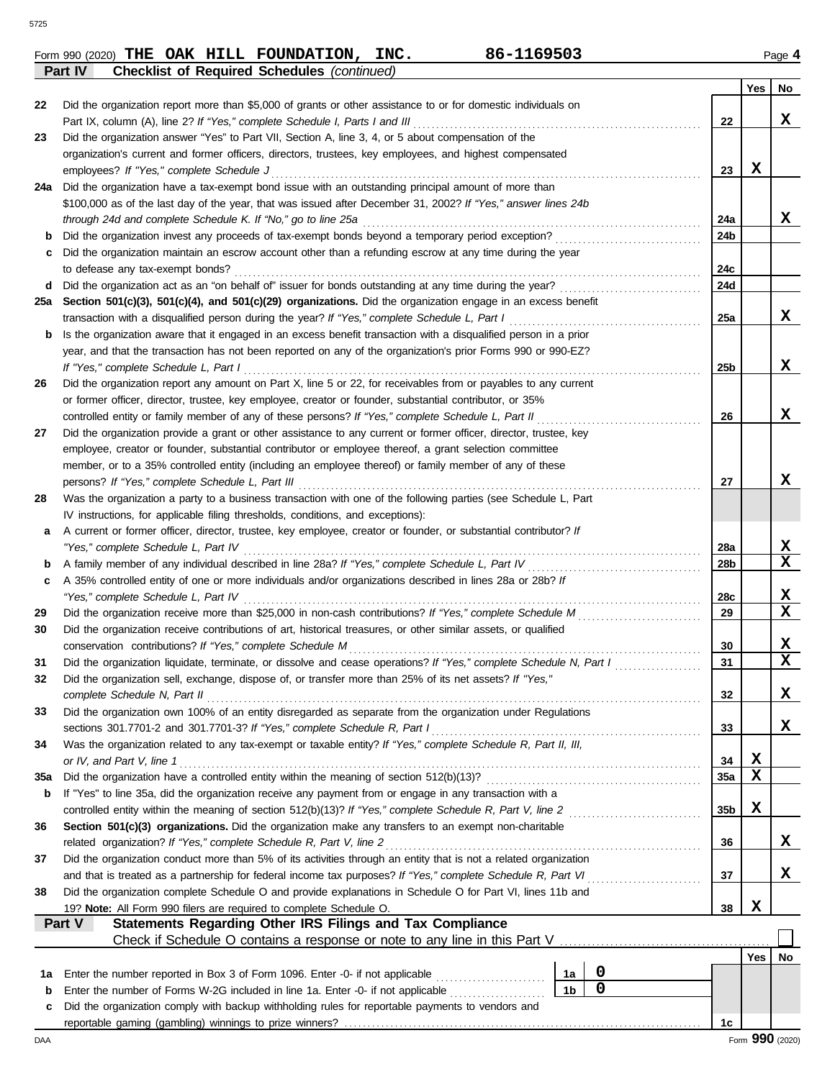|  |  | Form 990 (2020) THE OAK HILL FOUNDATION, | INC. | 86-1169503 | Page 4 |
|--|--|------------------------------------------|------|------------|--------|

|     | <b>Checklist of Required Schedules (continued)</b><br><b>Part IV</b>                                               |                 |             |                 |  |  |  |  |  |  |
|-----|--------------------------------------------------------------------------------------------------------------------|-----------------|-------------|-----------------|--|--|--|--|--|--|
|     |                                                                                                                    |                 | Yes         | No              |  |  |  |  |  |  |
| 22  | Did the organization report more than \$5,000 of grants or other assistance to or for domestic individuals on      |                 |             |                 |  |  |  |  |  |  |
|     | Part IX, column (A), line 2? If "Yes," complete Schedule I, Parts I and III                                        | 22              |             | x               |  |  |  |  |  |  |
| 23  | Did the organization answer "Yes" to Part VII, Section A, line 3, 4, or 5 about compensation of the                |                 |             |                 |  |  |  |  |  |  |
|     | organization's current and former officers, directors, trustees, key employees, and highest compensated            |                 |             |                 |  |  |  |  |  |  |
|     | employees? If "Yes," complete Schedule J                                                                           | 23              | x           |                 |  |  |  |  |  |  |
| 24a | Did the organization have a tax-exempt bond issue with an outstanding principal amount of more than                |                 |             |                 |  |  |  |  |  |  |
|     | \$100,000 as of the last day of the year, that was issued after December 31, 2002? If "Yes," answer lines 24b      |                 |             |                 |  |  |  |  |  |  |
|     | through 24d and complete Schedule K. If "No," go to line 25a                                                       | 24a             |             | x               |  |  |  |  |  |  |
|     | Did the organization invest any proceeds of tax-exempt bonds beyond a temporary period exception?                  | 24b             |             |                 |  |  |  |  |  |  |
|     | Did the organization maintain an escrow account other than a refunding escrow at any time during the year          |                 |             |                 |  |  |  |  |  |  |
|     | to defease any tax-exempt bonds?                                                                                   | 24c             |             |                 |  |  |  |  |  |  |
| d   | Did the organization act as an "on behalf of" issuer for bonds outstanding at any time during the year?            | 24d             |             |                 |  |  |  |  |  |  |
| 25а | Section 501(c)(3), 501(c)(4), and 501(c)(29) organizations. Did the organization engage in an excess benefit       |                 |             |                 |  |  |  |  |  |  |
|     | transaction with a disqualified person during the year? If "Yes," complete Schedule L, Part I                      | 25a             |             | X               |  |  |  |  |  |  |
| b   | Is the organization aware that it engaged in an excess benefit transaction with a disqualified person in a prior   |                 |             |                 |  |  |  |  |  |  |
|     | year, and that the transaction has not been reported on any of the organization's prior Forms 990 or 990-EZ?       |                 |             |                 |  |  |  |  |  |  |
|     | If "Yes," complete Schedule L, Part I                                                                              | 25 <sub>b</sub> |             | x               |  |  |  |  |  |  |
|     | Did the organization report any amount on Part X, line 5 or 22, for receivables from or payables to any current    |                 |             |                 |  |  |  |  |  |  |
| 26  |                                                                                                                    |                 |             |                 |  |  |  |  |  |  |
|     | or former officer, director, trustee, key employee, creator or founder, substantial contributor, or 35%            | 26              |             | x               |  |  |  |  |  |  |
|     | controlled entity or family member of any of these persons? If "Yes," complete Schedule L, Part II                 |                 |             |                 |  |  |  |  |  |  |
| 27  | Did the organization provide a grant or other assistance to any current or former officer, director, trustee, key  |                 |             |                 |  |  |  |  |  |  |
|     | employee, creator or founder, substantial contributor or employee thereof, a grant selection committee             |                 |             |                 |  |  |  |  |  |  |
|     | member, or to a 35% controlled entity (including an employee thereof) or family member of any of these             |                 |             | x               |  |  |  |  |  |  |
|     | persons? If "Yes," complete Schedule L, Part III                                                                   | 27              |             |                 |  |  |  |  |  |  |
| 28  | Was the organization a party to a business transaction with one of the following parties (see Schedule L, Part     |                 |             |                 |  |  |  |  |  |  |
|     | IV instructions, for applicable filing thresholds, conditions, and exceptions):                                    |                 |             |                 |  |  |  |  |  |  |
| а   | A current or former officer, director, trustee, key employee, creator or founder, or substantial contributor? If   |                 |             |                 |  |  |  |  |  |  |
|     | "Yes," complete Schedule L, Part IV                                                                                | 28a             |             | X               |  |  |  |  |  |  |
| b   |                                                                                                                    | 28b             |             | X               |  |  |  |  |  |  |
| c   | A 35% controlled entity of one or more individuals and/or organizations described in lines 28a or 28b? If          |                 |             |                 |  |  |  |  |  |  |
|     | "Yes," complete Schedule L, Part IV                                                                                | 28c             |             | x               |  |  |  |  |  |  |
| 29  | Did the organization receive more than \$25,000 in non-cash contributions? If "Yes," complete Schedule M           | 29              |             | X               |  |  |  |  |  |  |
| 30  | Did the organization receive contributions of art, historical treasures, or other similar assets, or qualified     |                 |             |                 |  |  |  |  |  |  |
|     | conservation contributions? If "Yes," complete Schedule M                                                          | 30              |             | X               |  |  |  |  |  |  |
| 31  | Did the organization liquidate, terminate, or dissolve and cease operations? If "Yes," complete Schedule N, Part I | 31              |             | $\mathbf x$     |  |  |  |  |  |  |
|     | Did the organization sell, exchange, dispose of, or transfer more than 25% of its net assets? If "Yes,"            |                 |             |                 |  |  |  |  |  |  |
|     | complete Schedule N, Part II                                                                                       | 32              |             | X               |  |  |  |  |  |  |
| 33  | Did the organization own 100% of an entity disregarded as separate from the organization under Regulations         |                 |             |                 |  |  |  |  |  |  |
|     | sections 301.7701-2 and 301.7701-3? If "Yes," complete Schedule R, Part I                                          | 33              |             | x               |  |  |  |  |  |  |
| 34  | Was the organization related to any tax-exempt or taxable entity? If "Yes," complete Schedule R, Part II, III,     |                 |             |                 |  |  |  |  |  |  |
|     | or IV, and Part V, line 1                                                                                          | 34              | X           |                 |  |  |  |  |  |  |
| 35a | Did the organization have a controlled entity within the meaning of section 512(b)(13)?                            | 35a             | $\mathbf x$ |                 |  |  |  |  |  |  |
| b   | If "Yes" to line 35a, did the organization receive any payment from or engage in any transaction with a            |                 |             |                 |  |  |  |  |  |  |
|     | controlled entity within the meaning of section 512(b)(13)? If "Yes," complete Schedule R, Part V, line 2          | 35 <sub>b</sub> | X           |                 |  |  |  |  |  |  |
| 36  | Section 501(c)(3) organizations. Did the organization make any transfers to an exempt non-charitable               |                 |             |                 |  |  |  |  |  |  |
|     | related organization? If "Yes," complete Schedule R, Part V, line 2                                                | 36              |             | X               |  |  |  |  |  |  |
| 37  | Did the organization conduct more than 5% of its activities through an entity that is not a related organization   |                 |             |                 |  |  |  |  |  |  |
|     | and that is treated as a partnership for federal income tax purposes? If "Yes," complete Schedule R, Part VI       | 37              |             | x               |  |  |  |  |  |  |
| 38  | Did the organization complete Schedule O and provide explanations in Schedule O for Part VI, lines 11b and         |                 |             |                 |  |  |  |  |  |  |
|     | 19? Note: All Form 990 filers are required to complete Schedule O.                                                 | 38              | X           |                 |  |  |  |  |  |  |
|     | Statements Regarding Other IRS Filings and Tax Compliance<br>Part V                                                |                 |             |                 |  |  |  |  |  |  |
|     |                                                                                                                    |                 |             |                 |  |  |  |  |  |  |
|     |                                                                                                                    |                 | Yes         | No              |  |  |  |  |  |  |
| 1a  | $\boldsymbol{0}$<br>Enter the number reported in Box 3 of Form 1096. Enter -0- if not applicable<br>1a             |                 |             |                 |  |  |  |  |  |  |
| b   | $\mathbf 0$<br>1 <sub>b</sub><br>Enter the number of Forms W-2G included in line 1a. Enter -0- if not applicable   |                 |             |                 |  |  |  |  |  |  |
| c   | Did the organization comply with backup withholding rules for reportable payments to vendors and                   |                 |             |                 |  |  |  |  |  |  |
|     |                                                                                                                    | 1c              |             |                 |  |  |  |  |  |  |
| DAA |                                                                                                                    |                 |             | Form 990 (2020) |  |  |  |  |  |  |

**THE OAK HILL FOUNDATION, INC. 86-1169503**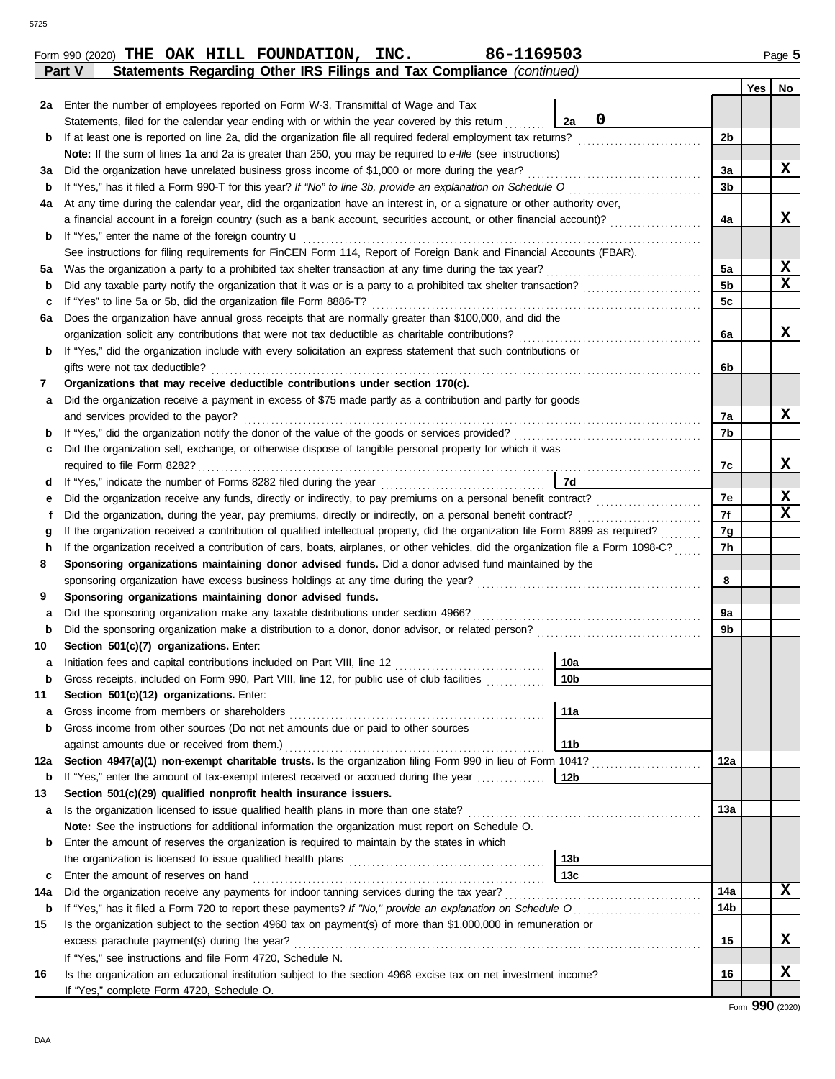|    | 86-1169503<br>Form 990 (2020) THE OAK HILL FOUNDATION, INC.                                                                        |                |            | Page 5                  |
|----|------------------------------------------------------------------------------------------------------------------------------------|----------------|------------|-------------------------|
|    | Statements Regarding Other IRS Filings and Tax Compliance (continued)<br>Part V                                                    |                | <b>Yes</b> | No                      |
| 2a | Enter the number of employees reported on Form W-3, Transmittal of Wage and Tax                                                    |                |            |                         |
|    | $\mathbf 0$<br>2a<br>Statements, filed for the calendar year ending with or within the year covered by this return                 |                |            |                         |
| b  | If at least one is reported on line 2a, did the organization file all required federal employment tax returns?                     | 2 <sub>b</sub> |            |                         |
|    | Note: If the sum of lines 1a and 2a is greater than 250, you may be required to e-file (see instructions)                          |                |            |                         |
| За | Did the organization have unrelated business gross income of \$1,000 or more during the year?                                      | 3a             |            | X                       |
| b  | If "Yes," has it filed a Form 990-T for this year? If "No" to line 3b, provide an explanation on Schedule O                        | 3 <sub>b</sub> |            |                         |
| 4a | At any time during the calendar year, did the organization have an interest in, or a signature or other authority over,            |                |            |                         |
|    | a financial account in a foreign country (such as a bank account, securities account, or other financial account)?                 | 4a             |            | x                       |
| b  | If "Yes," enter the name of the foreign country u                                                                                  |                |            |                         |
|    | See instructions for filing requirements for FinCEN Form 114, Report of Foreign Bank and Financial Accounts (FBAR).                |                |            |                         |
| 5а | Was the organization a party to a prohibited tax shelter transaction at any time during the tax year?                              | 5a             |            | X                       |
| b  | Did any taxable party notify the organization that it was or is a party to a prohibited tax shelter transaction?                   | 5 <sub>b</sub> |            | $\mathbf x$             |
| c  | If "Yes" to line 5a or 5b, did the organization file Form 8886-T?                                                                  | 5 <sub>c</sub> |            |                         |
| 6a | Does the organization have annual gross receipts that are normally greater than \$100,000, and did the                             |                |            |                         |
|    | organization solicit any contributions that were not tax deductible as charitable contributions?                                   | 6a             |            | x                       |
| b  | If "Yes," did the organization include with every solicitation an express statement that such contributions or                     |                |            |                         |
|    | gifts were not tax deductible?                                                                                                     | 6b             |            |                         |
|    | Organizations that may receive deductible contributions under section 170(c).                                                      |                |            |                         |
| а  | Did the organization receive a payment in excess of \$75 made partly as a contribution and partly for goods                        |                |            |                         |
|    | and services provided to the payor?                                                                                                | 7a             |            | x                       |
| b  |                                                                                                                                    | 7b             |            |                         |
| c  | Did the organization sell, exchange, or otherwise dispose of tangible personal property for which it was                           |                |            |                         |
|    | required to file Form 8282?                                                                                                        | 7c             |            | X                       |
|    | 7d                                                                                                                                 |                |            |                         |
| е  | Did the organization receive any funds, directly or indirectly, to pay premiums on a personal benefit contract?                    | 7e             |            | X                       |
|    | Did the organization, during the year, pay premiums, directly or indirectly, on a personal benefit contract?                       | 7f             |            | $\overline{\mathbf{x}}$ |
|    | If the organization received a contribution of qualified intellectual property, did the organization file Form 8899 as required?   | 7g             |            |                         |
|    | If the organization received a contribution of cars, boats, airplanes, or other vehicles, did the organization file a Form 1098-C? | 7h             |            |                         |
|    | Sponsoring organizations maintaining donor advised funds. Did a donor advised fund maintained by the                               |                |            |                         |
|    | sponsoring organization have excess business holdings at any time during the year?                                                 | 8              |            |                         |
|    | Sponsoring organizations maintaining donor advised funds.                                                                          |                |            |                         |
| a  | Did the sponsoring organization make any taxable distributions under section 4966?                                                 | 9a             |            |                         |

| b   | Did the sponsoring organization make a distribution to a donor, donor advisor, or related person?               |                 |                 |  |   |  |  |  |
|-----|-----------------------------------------------------------------------------------------------------------------|-----------------|-----------------|--|---|--|--|--|
| 10  | Section 501(c)(7) organizations. Enter:                                                                         |                 |                 |  |   |  |  |  |
| a   | Initiation fees and capital contributions included on Part VIII, line 12 [11] [11] [12] [11] [12] [11] [12] [1  | 10a             |                 |  |   |  |  |  |
| b   | Gross receipts, included on Form 990, Part VIII, line 12, for public use of club facilities                     | 10 <sub>b</sub> |                 |  |   |  |  |  |
| 11  | Section 501(c)(12) organizations. Enter:                                                                        |                 |                 |  |   |  |  |  |
| a   | Gross income from members or shareholders                                                                       | 11a             |                 |  |   |  |  |  |
| b   | Gross income from other sources (Do not net amounts due or paid to other sources                                |                 |                 |  |   |  |  |  |
|     | against amounts due or received from them.)                                                                     | 11 <sub>b</sub> |                 |  |   |  |  |  |
| 12a | Section 4947(a)(1) non-exempt charitable trusts. Is the organization filing Form 990 in lieu of Form 1041?      |                 | 12a             |  |   |  |  |  |
| b   | If "Yes," enter the amount of tax-exempt interest received or accrued during the year<br> 12b                   |                 |                 |  |   |  |  |  |
| 13  | Section 501(c)(29) qualified nonprofit health insurance issuers.                                                |                 |                 |  |   |  |  |  |
| a   | Is the organization licensed to issue qualified health plans in more than one state?                            |                 |                 |  |   |  |  |  |
|     | Note: See the instructions for additional information the organization must report on Schedule O.               |                 |                 |  |   |  |  |  |
| b   | Enter the amount of reserves the organization is required to maintain by the states in which                    |                 |                 |  |   |  |  |  |
|     | the organization is licensed to issue qualified health plans                                                    | 13 <sub>b</sub> |                 |  |   |  |  |  |
| c   | Enter the amount of reserves on hand                                                                            | 13c             |                 |  |   |  |  |  |
| 14a | Did the organization receive any payments for indoor tanning services during the tax year?                      |                 | 14a             |  | x |  |  |  |
| b   |                                                                                                                 |                 | 14 <sub>b</sub> |  |   |  |  |  |
| 15  | Is the organization subject to the section 4960 tax on payment(s) of more than \$1,000,000 in remuneration or   |                 |                 |  |   |  |  |  |
|     | excess parachute payment(s) during the year?                                                                    |                 | 15              |  | x |  |  |  |
|     | If "Yes," see instructions and file Form 4720, Schedule N.                                                      |                 |                 |  |   |  |  |  |
| 16  | Is the organization an educational institution subject to the section 4968 excise tax on net investment income? |                 | 16              |  | x |  |  |  |
|     | If "Yes," complete Form 4720, Schedule O.                                                                       |                 |                 |  |   |  |  |  |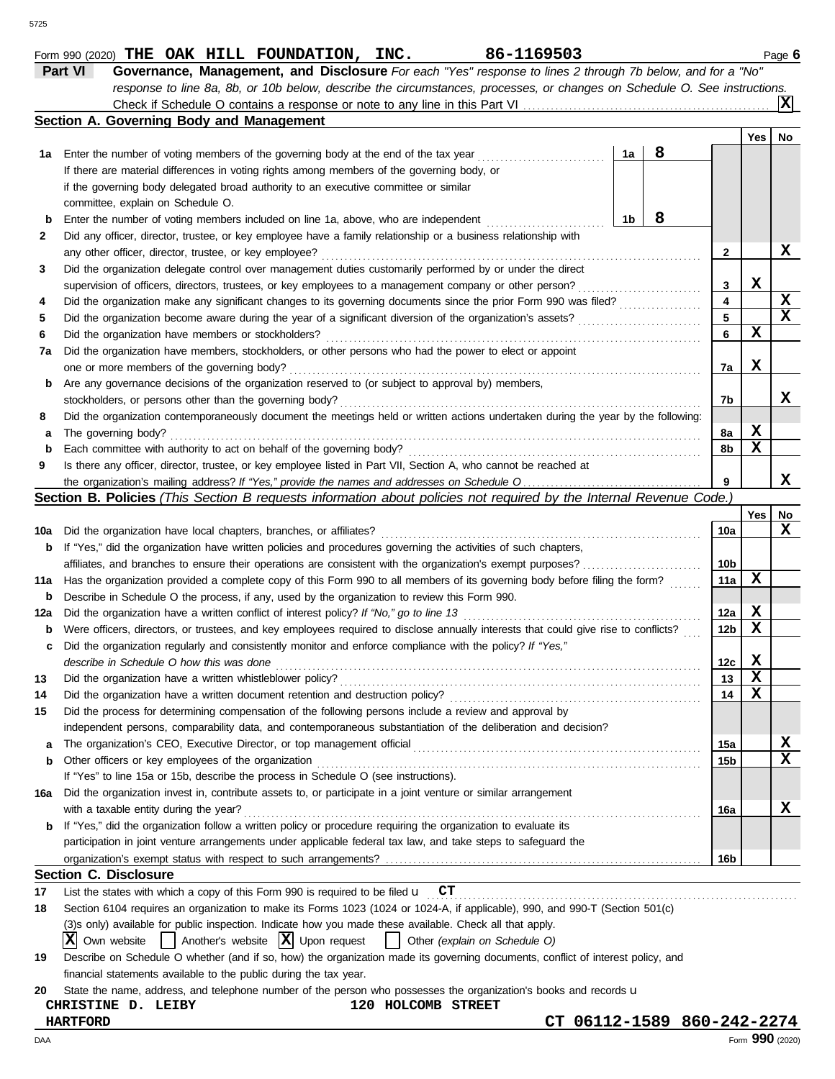|     | Section A. Governing Body and Management                                                                                            |    |   |                         |             |                 |
|-----|-------------------------------------------------------------------------------------------------------------------------------------|----|---|-------------------------|-------------|-----------------|
|     |                                                                                                                                     |    |   |                         | Yes         | No              |
|     | 1a Enter the number of voting members of the governing body at the end of the tax year                                              | 1a | 8 |                         |             |                 |
|     | If there are material differences in voting rights among members of the governing body, or                                          |    |   |                         |             |                 |
|     | if the governing body delegated broad authority to an executive committee or similar                                                |    |   |                         |             |                 |
|     | committee, explain on Schedule O.                                                                                                   |    |   |                         |             |                 |
|     | Enter the number of voting members included on line 1a, above, who are independent                                                  | 1b | 8 |                         |             |                 |
| 2   | Did any officer, director, trustee, or key employee have a family relationship or a business relationship with                      |    |   |                         |             |                 |
|     | any other officer, director, trustee, or key employee?                                                                              |    |   | $\mathbf{2}$            |             | X               |
| 3   | Did the organization delegate control over management duties customarily performed by or under the direct                           |    |   |                         |             |                 |
|     |                                                                                                                                     |    |   | $\mathbf{3}$            | х           |                 |
| 4   | Did the organization make any significant changes to its governing documents since the prior Form 990 was filed?                    |    |   | $\overline{\mathbf{4}}$ |             | X               |
| 5   |                                                                                                                                     |    |   | $5\phantom{a}$          |             | $\mathbf x$     |
| 6   |                                                                                                                                     |    |   | 6                       | X           |                 |
| 7a  | Did the organization have members, stockholders, or other persons who had the power to elect or appoint                             |    |   |                         |             |                 |
|     |                                                                                                                                     |    |   | 7a                      | X           |                 |
|     | Are any governance decisions of the organization reserved to (or subject to approval by) members,                                   |    |   |                         |             |                 |
| b   |                                                                                                                                     |    |   |                         |             | x               |
|     | Did the organization contemporaneously document the meetings held or written actions undertaken during the year by the following:   |    |   | 7b                      |             |                 |
| 8   |                                                                                                                                     |    |   |                         | X           |                 |
| a   |                                                                                                                                     |    |   | 8a                      | $\mathbf x$ |                 |
| b   |                                                                                                                                     |    |   | 8b                      |             |                 |
| 9   | Is there any officer, director, trustee, or key employee listed in Part VII, Section A, who cannot be reached at                    |    |   |                         |             |                 |
|     |                                                                                                                                     |    |   | 9                       |             | x               |
|     | Section B. Policies (This Section B requests information about policies not required by the Internal Revenue Code.)                 |    |   |                         |             |                 |
|     |                                                                                                                                     |    |   |                         | Yes         | No              |
| 10a |                                                                                                                                     |    |   | 10a                     |             | x               |
| b   | If "Yes," did the organization have written policies and procedures governing the activities of such chapters,                      |    |   |                         |             |                 |
|     |                                                                                                                                     |    |   | 10 <sub>b</sub>         |             |                 |
| 11a | Has the organization provided a complete copy of this Form 990 to all members of its governing body before filing the form?         |    |   | 11a                     | X           |                 |
| b   | Describe in Schedule O the process, if any, used by the organization to review this Form 990.                                       |    |   |                         |             |                 |
| 12a |                                                                                                                                     |    |   | 12a                     | X           |                 |
| b   | Were officers, directors, or trustees, and key employees required to disclose annually interests that could give rise to conflicts? |    |   | 12 <sub>b</sub>         | X           |                 |
| c   | Did the organization regularly and consistently monitor and enforce compliance with the policy? If "Yes,"                           |    |   |                         |             |                 |
|     |                                                                                                                                     |    |   | 12c                     | X           |                 |
| 13  |                                                                                                                                     |    |   | 13                      | $\mathbf x$ |                 |
| 14  |                                                                                                                                     |    |   | 14                      | $\mathbf x$ |                 |
| 15  | Did the process for determining compensation of the following persons include a review and approval by                              |    |   |                         |             |                 |
|     | independent persons, comparability data, and contemporaneous substantiation of the deliberation and decision?                       |    |   |                         |             |                 |
| а   | The organization's CEO, Executive Director, or top management official                                                              |    |   | 15a                     |             | X               |
| b   | Other officers or key employees of the organization                                                                                 |    |   | 15 <sub>b</sub>         |             | X               |
|     | If "Yes" to line 15a or 15b, describe the process in Schedule O (see instructions).                                                 |    |   |                         |             |                 |
| 16a | Did the organization invest in, contribute assets to, or participate in a joint venture or similar arrangement                      |    |   |                         |             |                 |
|     | with a taxable entity during the year?                                                                                              |    |   | 16a                     |             | х               |
| b   | If "Yes," did the organization follow a written policy or procedure requiring the organization to evaluate its                      |    |   |                         |             |                 |
|     | participation in joint venture arrangements under applicable federal tax law, and take steps to safeguard the                       |    |   |                         |             |                 |
|     |                                                                                                                                     |    |   | 16b                     |             |                 |
|     | <b>Section C. Disclosure</b>                                                                                                        |    |   |                         |             |                 |
| 17  | List the states with which a copy of this Form 990 is required to be filed $\mathbf{u}$ $\mathbf{CT}$                               |    |   |                         |             |                 |
| 18  | Section 6104 requires an organization to make its Forms 1023 (1024 or 1024-A, if applicable), 990, and 990-T (Section 501(c)        |    |   |                         |             |                 |
|     | (3)s only) available for public inspection. Indicate how you made these available. Check all that apply.                            |    |   |                         |             |                 |
|     | Another's website $ \mathbf{X} $ Upon request<br>ΙXΙ<br>Other (explain on Schedule O)<br>Own website                                |    |   |                         |             |                 |
| 19  | Describe on Schedule O whether (and if so, how) the organization made its governing documents, conflict of interest policy, and     |    |   |                         |             |                 |
|     | financial statements available to the public during the tax year.                                                                   |    |   |                         |             |                 |
| 20  | State the name, address, and telephone number of the person who possesses the organization's books and records u                    |    |   |                         |             |                 |
|     | 120 HOLCOMB STREET<br>CHRISTINE D. LEIBY                                                                                            |    |   |                         |             |                 |
|     | CT 06112-1589 860-242-2274<br><b>HARTFORD</b>                                                                                       |    |   |                         |             |                 |
| DAA |                                                                                                                                     |    |   |                         |             | Form 990 (2020) |
|     |                                                                                                                                     |    |   |                         |             |                 |

**Part VI Governance, Management, and Disclosure** *For each "Yes" response to lines 2 through 7b below, and for a "No"*

Check if Schedule O contains a response or note to any line in this Part VI

*response to line 8a, 8b, or 10b below, describe the circumstances, processes, or changes on Schedule O. See instructions.*

**X**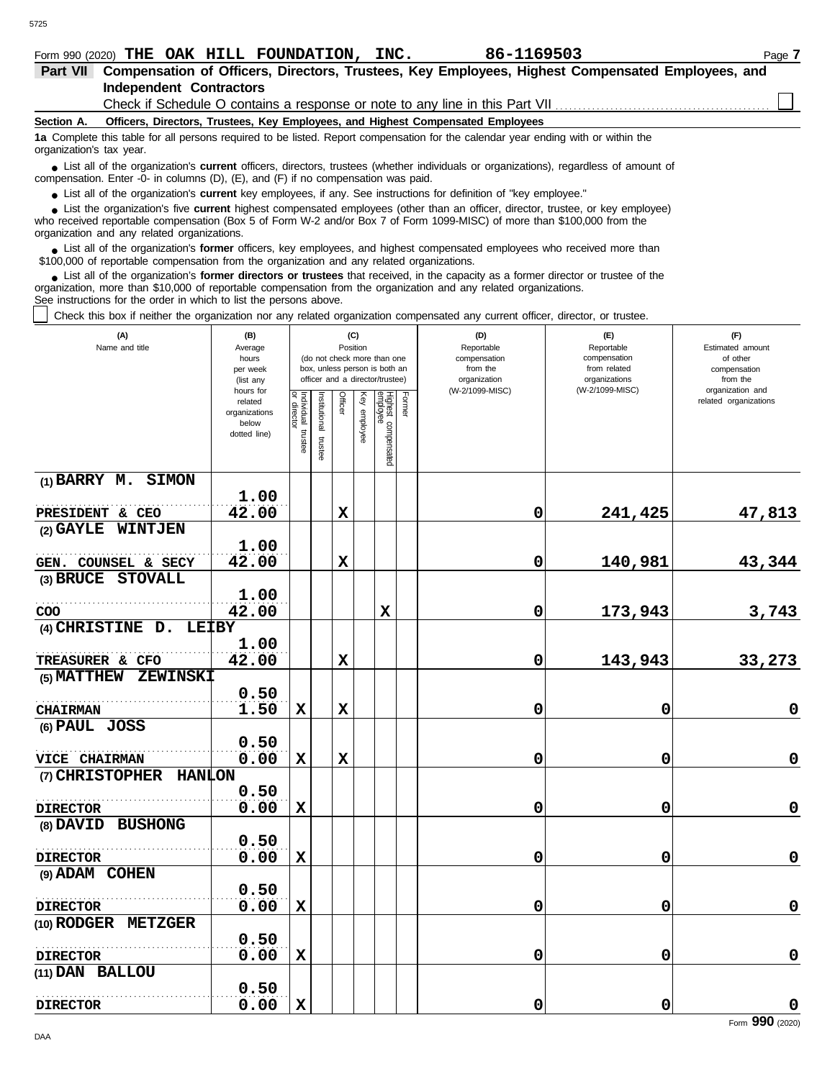5725

| <b>Part VII</b>          | Compensation of Officers, Directors, Trustees, Key Employees, Highest Compensated Employees, and                                                                                                                                                                                                           |  |  |  |  |  |  |  |  |
|--------------------------|------------------------------------------------------------------------------------------------------------------------------------------------------------------------------------------------------------------------------------------------------------------------------------------------------------|--|--|--|--|--|--|--|--|
|                          | <b>Independent Contractors</b>                                                                                                                                                                                                                                                                             |  |  |  |  |  |  |  |  |
|                          | Check if Schedule O contains a response or note to any line in this Part VII                                                                                                                                                                                                                               |  |  |  |  |  |  |  |  |
| Section A.               | Officers, Directors, Trustees, Key Employees, and Highest Compensated Employees                                                                                                                                                                                                                            |  |  |  |  |  |  |  |  |
| organization's tax year. | 1a Complete this table for all persons required to be listed. Report compensation for the calendar year ending with or within the                                                                                                                                                                          |  |  |  |  |  |  |  |  |
|                          | • List all of the organization's current officers, directors, trustees (whether individuals or organizations), regardless of amount of<br>compensation. Enter -0- in columns $(D)$ , $(E)$ , and $(F)$ if no compensation was paid.                                                                        |  |  |  |  |  |  |  |  |
|                          | • List all of the organization's current key employees, if any. See instructions for definition of "key employee."                                                                                                                                                                                         |  |  |  |  |  |  |  |  |
|                          | • List the organization's five current highest compensated employees (other than an officer, director, trustee, or key employee)<br>who received reportable compensation (Box 5 of Form W-2 and/or Box 7 of Form 1099-MISC) of more than \$100,000 from the<br>organization and any related organizations. |  |  |  |  |  |  |  |  |

List all of the organization's **former** officers, key employees, and highest compensated employees who received more than • List all of the organization's **former** officers, key employees, and highest compensate \$100,000 of reportable compensation from the organization and any related organizations.

List all of the organization's **former directors or trustees** that received, in the capacity as a former director or trustee of the organization, more than \$10,000 of reportable compensation from the organization and any related organizations. See instructions for the order in which to list the persons above. **•**

Check this box if neither the organization nor any related organization compensated any current officer, director, or trustee.

| (A)<br>Name and title                             | (B)<br>Average<br>hours<br>per week<br>(list any               | (do not check more than one<br>box, unless person is both an<br>officer and a director/trustee) |                         |             | (C)<br>Position |                                 |        | (D)<br>Reportable<br>compensation<br>from the<br>organization | (E)<br>Reportable<br>compensation<br>from related<br>organizations | (F)<br>Estimated amount<br>of other<br>compensation<br>from the |
|---------------------------------------------------|----------------------------------------------------------------|-------------------------------------------------------------------------------------------------|-------------------------|-------------|-----------------|---------------------------------|--------|---------------------------------------------------------------|--------------------------------------------------------------------|-----------------------------------------------------------------|
|                                                   | hours for<br>related<br>organizations<br>below<br>dotted line) | Individual trustee<br>director                                                                  | nstitutional<br>trustee | Officer     | Ķey<br>employee | Highest compensated<br>employee | Former | (W-2/1099-MISC)                                               | (W-2/1099-MISC)                                                    | organization and<br>related organizations                       |
| (1) BARRY M. SIMON                                |                                                                |                                                                                                 |                         |             |                 |                                 |        |                                                               |                                                                    |                                                                 |
| PRESIDENT & CEO                                   | 1.00<br>42.00                                                  |                                                                                                 |                         | $\mathbf x$ |                 |                                 |        | 0                                                             | 241,425                                                            | 47,813                                                          |
| (2) GAYLE WINTJEN                                 |                                                                |                                                                                                 |                         |             |                 |                                 |        |                                                               |                                                                    |                                                                 |
| .                                                 | 1.00                                                           |                                                                                                 |                         |             |                 |                                 |        |                                                               |                                                                    |                                                                 |
| GEN. COUNSEL & SECY<br>(3) BRUCE STOVALL          | 42.00                                                          |                                                                                                 |                         | $\mathbf x$ |                 |                                 |        | 0                                                             | 140,981                                                            | 43,344                                                          |
|                                                   | 1.00                                                           |                                                                                                 |                         |             |                 |                                 |        |                                                               |                                                                    |                                                                 |
| COO                                               | 42.00                                                          |                                                                                                 |                         |             |                 | X                               |        | 0                                                             | 173,943                                                            | 3,743                                                           |
| $(4)$ CHRISTINE D.<br><b>LEIBY</b>                |                                                                |                                                                                                 |                         |             |                 |                                 |        |                                                               |                                                                    |                                                                 |
|                                                   | 1.00<br>42.00                                                  |                                                                                                 |                         | $\mathbf x$ |                 |                                 |        |                                                               | 143,943                                                            |                                                                 |
| TREASURER & CFO<br>ZEWINSKI<br><b>(5) MATTHEW</b> |                                                                |                                                                                                 |                         |             |                 |                                 |        | 0                                                             |                                                                    | 33,273                                                          |
|                                                   | 0.50                                                           |                                                                                                 |                         |             |                 |                                 |        |                                                               |                                                                    |                                                                 |
| <b>CHAIRMAN</b>                                   | 1.50                                                           | $\mathbf x$                                                                                     |                         | $\mathbf x$ |                 |                                 |        | 0                                                             | 0                                                                  | $\mathbf 0$                                                     |
| (6) PAUL JOSS                                     |                                                                |                                                                                                 |                         |             |                 |                                 |        |                                                               |                                                                    |                                                                 |
|                                                   | 0.50                                                           |                                                                                                 |                         |             |                 |                                 |        |                                                               |                                                                    |                                                                 |
| <b>VICE CHAIRMAN</b>                              | 0.00                                                           | $\mathbf x$                                                                                     |                         | $\mathbf x$ |                 |                                 |        | 0                                                             | 0                                                                  | $\pmb{0}$                                                       |
| (7) CHRISTOPHER HANLON                            |                                                                |                                                                                                 |                         |             |                 |                                 |        |                                                               |                                                                    |                                                                 |
|                                                   | 0.50                                                           |                                                                                                 |                         |             |                 |                                 |        |                                                               |                                                                    |                                                                 |
| <b>DIRECTOR</b>                                   | 0.00                                                           | $\mathbf x$                                                                                     |                         |             |                 |                                 |        | 0                                                             | 0                                                                  | $\mathbf 0$                                                     |
| (8) DAVID BUSHONG                                 |                                                                |                                                                                                 |                         |             |                 |                                 |        |                                                               |                                                                    |                                                                 |
|                                                   | 0.50                                                           |                                                                                                 |                         |             |                 |                                 |        |                                                               |                                                                    |                                                                 |
| <b>DIRECTOR</b>                                   | 0.00                                                           | $\mathbf x$                                                                                     |                         |             |                 |                                 |        | 0                                                             | 0                                                                  | $\mathbf 0$                                                     |
| (9) ADAM COHEN                                    | 0.50                                                           |                                                                                                 |                         |             |                 |                                 |        |                                                               |                                                                    |                                                                 |
| <b>DIRECTOR</b>                                   | 0.00                                                           | X                                                                                               |                         |             |                 |                                 |        | 0                                                             | 0                                                                  | $\pmb{0}$                                                       |
| (10) RODGER METZGER                               |                                                                |                                                                                                 |                         |             |                 |                                 |        |                                                               |                                                                    |                                                                 |
|                                                   | 0.50                                                           |                                                                                                 |                         |             |                 |                                 |        |                                                               |                                                                    |                                                                 |
| <b>DIRECTOR</b>                                   | 0.00                                                           | $\mathbf x$                                                                                     |                         |             |                 |                                 |        | 0                                                             | 0                                                                  | $\mathbf 0$                                                     |
| (11) DAN BALLOU                                   |                                                                |                                                                                                 |                         |             |                 |                                 |        |                                                               |                                                                    |                                                                 |
|                                                   | 0.50                                                           |                                                                                                 |                         |             |                 |                                 |        |                                                               |                                                                    |                                                                 |
| <b>DIRECTOR</b>                                   | 0.00                                                           | $\mathbf x$                                                                                     |                         |             |                 |                                 |        | 0                                                             | 0                                                                  | $\mathbf 0$                                                     |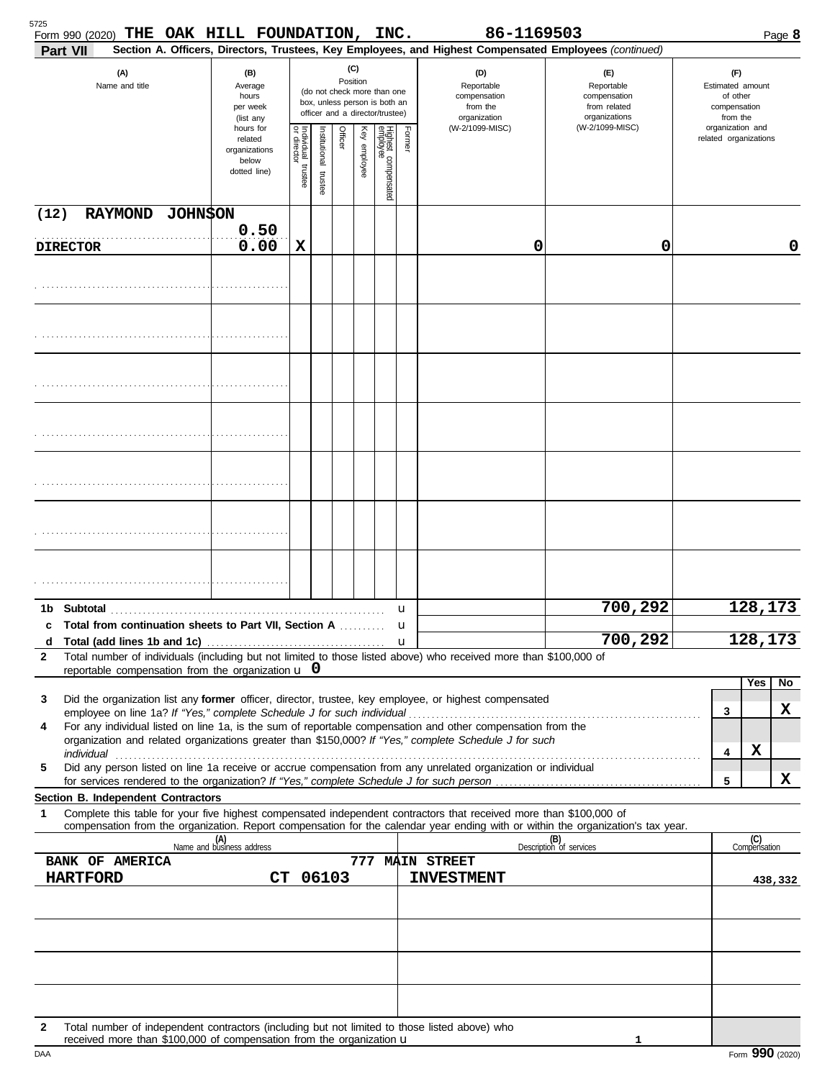| 5725<br>Form 990 (2020) THE OAK HILL FOUNDATION, INC.<br>Part VII                                                                                                                                                         |                                                                |                         |                       |          |              |                                                                                                 |        | 86-1169503<br>Section A. Officers, Directors, Trustees, Key Employees, and Highest Compensated Employees (continued) |                                                                    | Page 8                                                          |
|---------------------------------------------------------------------------------------------------------------------------------------------------------------------------------------------------------------------------|----------------------------------------------------------------|-------------------------|-----------------------|----------|--------------|-------------------------------------------------------------------------------------------------|--------|----------------------------------------------------------------------------------------------------------------------|--------------------------------------------------------------------|-----------------------------------------------------------------|
| (A)<br>Name and title                                                                                                                                                                                                     | (B)<br>Average<br>hours<br>per week<br>(list any               |                         |                       | Position | (C)          | (do not check more than one<br>box, unless person is both an<br>officer and a director/trustee) |        | (D)<br>Reportable<br>compensation<br>from the<br>organization                                                        | (E)<br>Reportable<br>compensation<br>from related<br>organizations | (F)<br>Estimated amount<br>of other<br>compensation<br>from the |
|                                                                                                                                                                                                                           | hours for<br>related<br>organizations<br>below<br>dotted line) | Individual 1<br>trustee | Institutional trustee | Officer  | Key employee | Highest compensated<br>employee                                                                 | Former | (W-2/1099-MISC)                                                                                                      | (W-2/1099-MISC)                                                    | organization and<br>related organizations                       |
| RAYMOND JOHNSON<br>(12)                                                                                                                                                                                                   |                                                                |                         |                       |          |              |                                                                                                 |        |                                                                                                                      |                                                                    |                                                                 |
| <b>DIRECTOR</b>                                                                                                                                                                                                           | 0.50<br>0.00                                                   | X                       |                       |          |              |                                                                                                 |        | 0                                                                                                                    | 0                                                                  | 0                                                               |
|                                                                                                                                                                                                                           |                                                                |                         |                       |          |              |                                                                                                 |        |                                                                                                                      |                                                                    |                                                                 |
|                                                                                                                                                                                                                           |                                                                |                         |                       |          |              |                                                                                                 |        |                                                                                                                      |                                                                    |                                                                 |
|                                                                                                                                                                                                                           |                                                                |                         |                       |          |              |                                                                                                 |        |                                                                                                                      |                                                                    |                                                                 |
|                                                                                                                                                                                                                           |                                                                |                         |                       |          |              |                                                                                                 |        |                                                                                                                      |                                                                    |                                                                 |
|                                                                                                                                                                                                                           |                                                                |                         |                       |          |              |                                                                                                 |        |                                                                                                                      |                                                                    |                                                                 |
|                                                                                                                                                                                                                           |                                                                |                         |                       |          |              |                                                                                                 |        |                                                                                                                      |                                                                    |                                                                 |
|                                                                                                                                                                                                                           |                                                                |                         |                       |          |              |                                                                                                 |        |                                                                                                                      |                                                                    |                                                                 |
|                                                                                                                                                                                                                           |                                                                |                         |                       |          |              |                                                                                                 |        |                                                                                                                      | 700,292                                                            | 128,173                                                         |
| Total from continuation sheets to Part VII, Section A<br>c                                                                                                                                                                |                                                                |                         |                       |          |              |                                                                                                 | u<br>u |                                                                                                                      |                                                                    |                                                                 |
| d<br>Total number of individuals (including but not limited to those listed above) who received more than \$100,000 of<br>2<br>reportable compensation from the organization $\bf{u}$ 0                                   |                                                                |                         |                       |          |              |                                                                                                 |        |                                                                                                                      | 700,292                                                            | 128,173                                                         |
| Did the organization list any former officer, director, trustee, key employee, or highest compensated<br>3                                                                                                                |                                                                |                         |                       |          |              |                                                                                                 |        |                                                                                                                      |                                                                    | Yes<br>No                                                       |
|                                                                                                                                                                                                                           |                                                                |                         |                       |          |              |                                                                                                 |        |                                                                                                                      |                                                                    | x<br>3                                                          |
| For any individual listed on line 1a, is the sum of reportable compensation and other compensation from the<br>4<br>organization and related organizations greater than \$150,000? If "Yes," complete Schedule J for such |                                                                |                         |                       |          |              |                                                                                                 |        |                                                                                                                      |                                                                    |                                                                 |
| individual<br>Did any person listed on line 1a receive or accrue compensation from any unrelated organization or individual<br>5                                                                                          |                                                                |                         |                       |          |              |                                                                                                 |        |                                                                                                                      |                                                                    | X<br>4                                                          |
| Section B. Independent Contractors                                                                                                                                                                                        |                                                                |                         |                       |          |              |                                                                                                 |        |                                                                                                                      |                                                                    | x<br>5                                                          |
| Complete this table for your five highest compensated independent contractors that received more than \$100,000 of<br>1                                                                                                   |                                                                |                         |                       |          |              |                                                                                                 |        |                                                                                                                      |                                                                    |                                                                 |
| compensation from the organization. Report compensation for the calendar year ending with or within the organization's tax year.                                                                                          | (A)<br>Name and business address                               |                         |                       |          |              |                                                                                                 |        |                                                                                                                      | (B)<br>Description of services                                     | (C)<br>Compensation                                             |
| <b>BANK OF AMERICA</b>                                                                                                                                                                                                    |                                                                |                         |                       |          |              |                                                                                                 |        | 777 MAIN STREET                                                                                                      |                                                                    |                                                                 |
| <b>HARTFORD</b>                                                                                                                                                                                                           |                                                                |                         | CT 06103              |          |              |                                                                                                 |        | <b>INVESTMENT</b>                                                                                                    |                                                                    | 438,332                                                         |
|                                                                                                                                                                                                                           |                                                                |                         |                       |          |              |                                                                                                 |        |                                                                                                                      |                                                                    |                                                                 |
|                                                                                                                                                                                                                           |                                                                |                         |                       |          |              |                                                                                                 |        |                                                                                                                      |                                                                    |                                                                 |
| Total number of independent contractors (including but not limited to those listed above) who<br>$\mathbf{2}$<br>received more than \$100,000 of compensation from the organization <b>u</b>                              |                                                                |                         |                       |          |              |                                                                                                 |        |                                                                                                                      |                                                                    |                                                                 |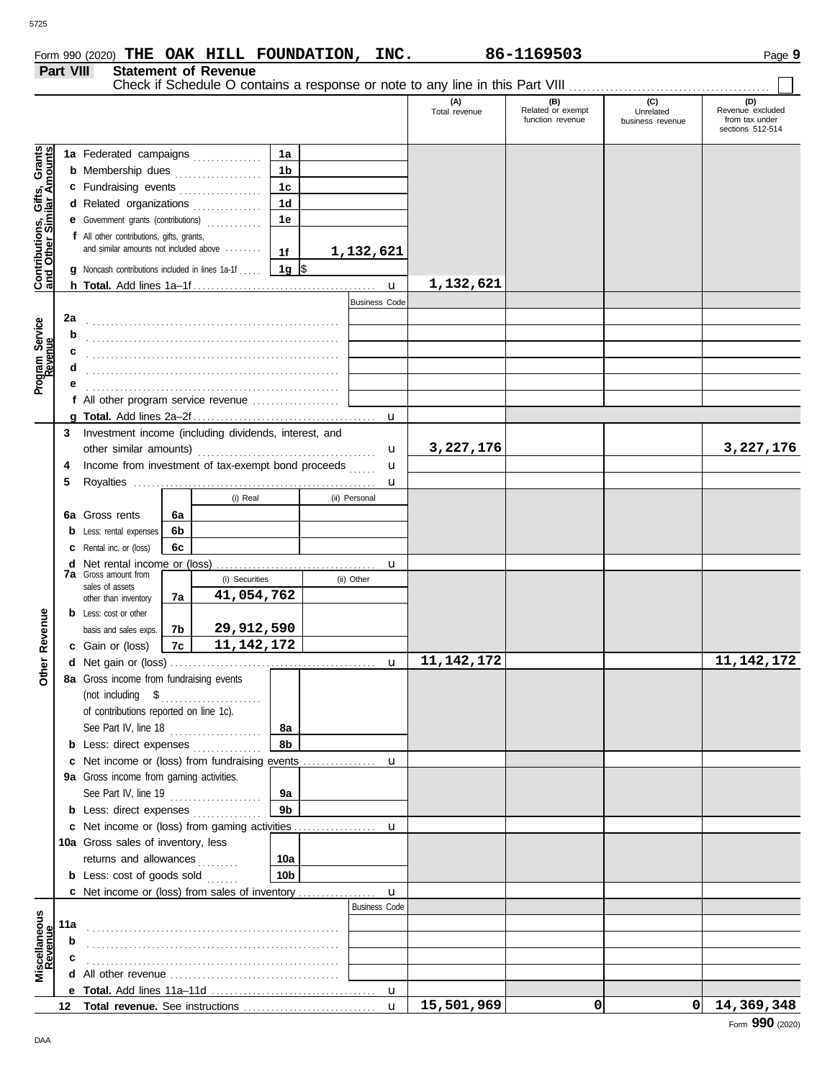|                                                                  |                      |                                                                                  |    |                |                 |                      | (A)                        | (B)<br>Related or exempt | (C)<br>Unrelated | (D)<br>Revenue excluded |
|------------------------------------------------------------------|----------------------|----------------------------------------------------------------------------------|----|----------------|-----------------|----------------------|----------------------------|--------------------------|------------------|-------------------------|
|                                                                  |                      |                                                                                  |    |                |                 |                      | Total revenue              | function revenue         | business revenue | from tax under          |
|                                                                  |                      |                                                                                  |    |                |                 |                      |                            |                          |                  | sections 512-514        |
|                                                                  |                      | 1a Federated campaigns                                                           |    |                | 1a              |                      |                            |                          |                  |                         |
| <b>Contributions, Gifts, Grants</b><br>and Other Similar Amounts |                      | <b>b</b> Membership dues                                                         |    |                | 1 <sub>b</sub>  |                      |                            |                          |                  |                         |
|                                                                  |                      | c Fundraising events                                                             |    |                | 1 <sub>c</sub>  |                      |                            |                          |                  |                         |
|                                                                  |                      | d Related organizations                                                          |    |                | 1 <sub>d</sub>  |                      |                            |                          |                  |                         |
|                                                                  |                      | e Government grants (contributions)                                              |    |                | 1e              |                      |                            |                          |                  |                         |
|                                                                  |                      | f All other contributions, gifts, grants,                                        |    |                |                 |                      |                            |                          |                  |                         |
|                                                                  |                      | and similar amounts not included above                                           |    |                | 1f              | 1,132,621            |                            |                          |                  |                         |
|                                                                  |                      | g Noncash contributions included in lines 1a-1f                                  |    |                | $1g$ \$         |                      |                            |                          |                  |                         |
|                                                                  |                      |                                                                                  |    |                |                 |                      | 1,132,621                  |                          |                  |                         |
|                                                                  | <b>Business Code</b> |                                                                                  |    |                |                 |                      |                            |                          |                  |                         |
|                                                                  | 2a                   |                                                                                  |    |                |                 |                      |                            |                          |                  |                         |
| Program Service<br>Revenue                                       | b                    |                                                                                  |    |                |                 |                      |                            |                          |                  |                         |
|                                                                  | c                    |                                                                                  |    |                |                 |                      |                            |                          |                  |                         |
|                                                                  |                      |                                                                                  |    |                |                 |                      |                            |                          |                  |                         |
|                                                                  |                      |                                                                                  |    |                |                 |                      |                            |                          |                  |                         |
|                                                                  |                      | f All other program service revenue                                              |    |                |                 |                      |                            |                          |                  |                         |
|                                                                  |                      |                                                                                  |    |                |                 |                      |                            |                          |                  |                         |
|                                                                  | 3                    | Investment income (including dividends, interest, and                            |    |                |                 |                      |                            |                          |                  |                         |
|                                                                  |                      |                                                                                  |    |                |                 |                      | 3,227,176<br>u             |                          |                  | 3,227,176               |
|                                                                  | 4                    | Income from investment of tax-exempt bond proceeds                               |    |                |                 |                      | u                          |                          |                  |                         |
|                                                                  | 5                    |                                                                                  |    |                |                 | u                    |                            |                          |                  |                         |
|                                                                  |                      |                                                                                  |    | (i) Real       |                 | (ii) Personal        |                            |                          |                  |                         |
|                                                                  |                      | 6a Gross rents                                                                   | 6a |                |                 |                      |                            |                          |                  |                         |
|                                                                  |                      | <b>b</b> Less: rental expenses                                                   | 6b |                |                 |                      |                            |                          |                  |                         |
|                                                                  |                      | <b>c</b> Rental inc. or (loss)                                                   | 6с |                |                 |                      |                            |                          |                  |                         |
|                                                                  |                      | <b>d</b> Net rental income or (loss)                                             |    |                |                 | u                    |                            |                          |                  |                         |
|                                                                  |                      | <b>7a</b> Gross amount from<br>sales of assets                                   |    | (i) Securities |                 | (ii) Other           |                            |                          |                  |                         |
|                                                                  |                      | other than inventory                                                             | 7a | 41,054,762     |                 |                      |                            |                          |                  |                         |
|                                                                  |                      | <b>b</b> Less: cost or other                                                     |    |                |                 |                      |                            |                          |                  |                         |
|                                                                  |                      | basis and sales exps.                                                            | 7b | 29,912,590     |                 |                      |                            |                          |                  |                         |
| Other Revenue                                                    |                      | c Gain or (loss)                                                                 | 7c | 11, 142, 172   |                 |                      |                            |                          |                  |                         |
|                                                                  |                      |                                                                                  |    |                |                 | $\mathbf{u}$         | 11, 142, 172               |                          |                  | 11, 142, 172            |
|                                                                  |                      | 8a Gross income from fundraising events                                          |    |                |                 |                      |                            |                          |                  |                         |
|                                                                  |                      | (not including \$                                                                |    |                |                 |                      |                            |                          |                  |                         |
|                                                                  |                      | of contributions reported on line 1c).                                           |    |                |                 |                      |                            |                          |                  |                         |
|                                                                  |                      | See Part IV, line 18                                                             |    |                | 8a              |                      |                            |                          |                  |                         |
|                                                                  |                      | <b>b</b> Less: direct expenses                                                   |    |                | 8b              |                      |                            |                          |                  |                         |
|                                                                  |                      |                                                                                  |    |                |                 |                      |                            |                          |                  |                         |
|                                                                  |                      | 9a Gross income from gaming activities.                                          |    |                |                 |                      |                            |                          |                  |                         |
|                                                                  |                      | See Part IV, line 19                                                             |    |                | 9а              |                      |                            |                          |                  |                         |
|                                                                  |                      | <b>b</b> Less: direct expenses                                                   |    |                | 9b              |                      |                            |                          |                  |                         |
|                                                                  |                      | c Net income or (loss) from gaming activities                                    |    |                |                 | u                    |                            |                          |                  |                         |
|                                                                  |                      | 10a Gross sales of inventory, less                                               |    |                |                 |                      |                            |                          |                  |                         |
|                                                                  |                      | returns and allowances                                                           |    |                | 10a             |                      |                            |                          |                  |                         |
|                                                                  |                      | <b>b</b> Less: cost of goods sold                                                |    |                | 10 <sub>b</sub> |                      |                            |                          |                  |                         |
|                                                                  |                      | c Net income or (loss) from sales of inventory                                   |    |                |                 | u                    |                            |                          |                  |                         |
|                                                                  |                      |                                                                                  |    |                |                 | <b>Business Code</b> |                            |                          |                  |                         |
|                                                                  | 11a                  |                                                                                  |    |                |                 |                      |                            |                          |                  |                         |
|                                                                  | b                    |                                                                                  |    |                |                 |                      |                            |                          |                  |                         |
| Miscellaneous<br>Revenue                                         | c                    |                                                                                  |    |                |                 |                      |                            |                          |                  |                         |
|                                                                  |                      | <b>d</b> All other revenue $\ldots$ $\ldots$ $\ldots$ $\ldots$ $\ldots$ $\ldots$ |    |                |                 |                      |                            |                          |                  |                         |
|                                                                  |                      |                                                                                  |    |                |                 |                      |                            |                          |                  |                         |
|                                                                  |                      |                                                                                  |    |                |                 |                      | 15,501,969<br>$\mathbf{u}$ | 0                        | οI               | 14,369,348              |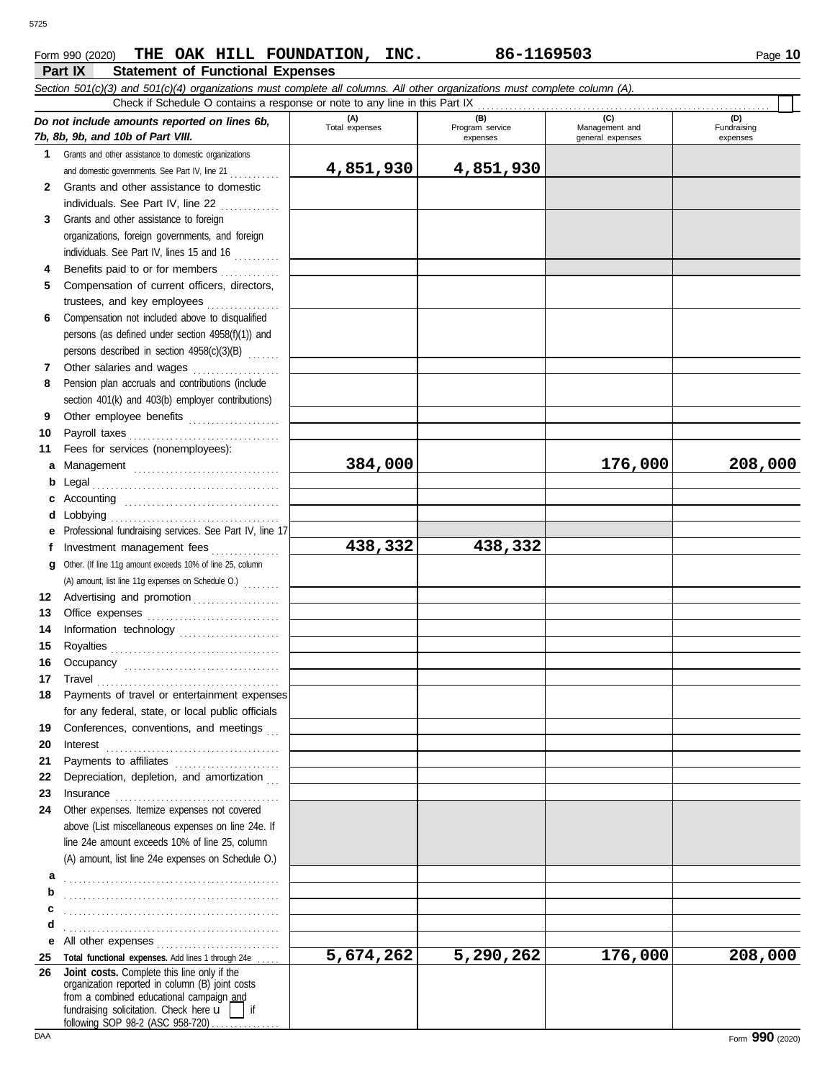### **Part IX Statement of Functional Expenses** Form 990 (2020) Page **10 THE OAK HILL FOUNDATION, INC. 86-1169503**

|          | Section 501(c)(3) and 501(c)(4) organizations must complete all columns. All other organizations must complete column (A).<br>Check if Schedule O contains a response or note to any line in this Part IX                                                                                                                                                                                                                                                                                                                                                |                |                             |                                    |                         |
|----------|----------------------------------------------------------------------------------------------------------------------------------------------------------------------------------------------------------------------------------------------------------------------------------------------------------------------------------------------------------------------------------------------------------------------------------------------------------------------------------------------------------------------------------------------------------|----------------|-----------------------------|------------------------------------|-------------------------|
|          | Do not include amounts reported on lines 6b,                                                                                                                                                                                                                                                                                                                                                                                                                                                                                                             | (A)            | (B)                         | (C)                                | (D)                     |
|          | 7b, 8b, 9b, and 10b of Part VIII.                                                                                                                                                                                                                                                                                                                                                                                                                                                                                                                        | Total expenses | Program service<br>expenses | Management and<br>general expenses | Fundraising<br>expenses |
|          | 1 Grants and other assistance to domestic organizations                                                                                                                                                                                                                                                                                                                                                                                                                                                                                                  |                |                             |                                    |                         |
|          | and domestic governments. See Part IV, line 21                                                                                                                                                                                                                                                                                                                                                                                                                                                                                                           | 4,851,930      | 4,851,930                   |                                    |                         |
| 2        | Grants and other assistance to domestic                                                                                                                                                                                                                                                                                                                                                                                                                                                                                                                  |                |                             |                                    |                         |
|          | individuals. See Part IV, line 22                                                                                                                                                                                                                                                                                                                                                                                                                                                                                                                        |                |                             |                                    |                         |
| 3        | Grants and other assistance to foreign                                                                                                                                                                                                                                                                                                                                                                                                                                                                                                                   |                |                             |                                    |                         |
|          | organizations, foreign governments, and foreign                                                                                                                                                                                                                                                                                                                                                                                                                                                                                                          |                |                             |                                    |                         |
|          | individuals. See Part IV, lines 15 and 16                                                                                                                                                                                                                                                                                                                                                                                                                                                                                                                |                |                             |                                    |                         |
| 4        | Benefits paid to or for members                                                                                                                                                                                                                                                                                                                                                                                                                                                                                                                          |                |                             |                                    |                         |
| 5        | Compensation of current officers, directors,                                                                                                                                                                                                                                                                                                                                                                                                                                                                                                             |                |                             |                                    |                         |
|          | trustees, and key employees                                                                                                                                                                                                                                                                                                                                                                                                                                                                                                                              |                |                             |                                    |                         |
| 6        | Compensation not included above to disqualified                                                                                                                                                                                                                                                                                                                                                                                                                                                                                                          |                |                             |                                    |                         |
|          | persons (as defined under section 4958(f)(1)) and                                                                                                                                                                                                                                                                                                                                                                                                                                                                                                        |                |                             |                                    |                         |
|          | persons described in section 4958(c)(3)(B)                                                                                                                                                                                                                                                                                                                                                                                                                                                                                                               |                |                             |                                    |                         |
| 7        | Other salaries and wages                                                                                                                                                                                                                                                                                                                                                                                                                                                                                                                                 |                |                             |                                    |                         |
| 8        | Pension plan accruals and contributions (include                                                                                                                                                                                                                                                                                                                                                                                                                                                                                                         |                |                             |                                    |                         |
|          | section 401(k) and 403(b) employer contributions)                                                                                                                                                                                                                                                                                                                                                                                                                                                                                                        |                |                             |                                    |                         |
| 9        | Other employee benefits                                                                                                                                                                                                                                                                                                                                                                                                                                                                                                                                  |                |                             |                                    |                         |
| 10       | Payroll taxes                                                                                                                                                                                                                                                                                                                                                                                                                                                                                                                                            |                |                             |                                    |                         |
| 11       | Fees for services (nonemployees):                                                                                                                                                                                                                                                                                                                                                                                                                                                                                                                        |                |                             |                                    |                         |
| a        |                                                                                                                                                                                                                                                                                                                                                                                                                                                                                                                                                          | 384,000        |                             | 176,000                            | 208,000                 |
| b        | Legal                                                                                                                                                                                                                                                                                                                                                                                                                                                                                                                                                    |                |                             |                                    |                         |
|          | Accounting                                                                                                                                                                                                                                                                                                                                                                                                                                                                                                                                               |                |                             |                                    |                         |
| d        | Lobbying                                                                                                                                                                                                                                                                                                                                                                                                                                                                                                                                                 |                |                             |                                    |                         |
|          | Professional fundraising services. See Part IV, line 17                                                                                                                                                                                                                                                                                                                                                                                                                                                                                                  |                |                             |                                    |                         |
| f        | Investment management fees                                                                                                                                                                                                                                                                                                                                                                                                                                                                                                                               | 438,332        | 438,332                     |                                    |                         |
| a        | Other. (If line 11g amount exceeds 10% of line 25, column                                                                                                                                                                                                                                                                                                                                                                                                                                                                                                |                |                             |                                    |                         |
|          | (A) amount, list line 11g expenses on Schedule O.)                                                                                                                                                                                                                                                                                                                                                                                                                                                                                                       |                |                             |                                    |                         |
| 12       | Advertising and promotion                                                                                                                                                                                                                                                                                                                                                                                                                                                                                                                                |                |                             |                                    |                         |
| 13       |                                                                                                                                                                                                                                                                                                                                                                                                                                                                                                                                                          |                |                             |                                    |                         |
| 14       |                                                                                                                                                                                                                                                                                                                                                                                                                                                                                                                                                          |                |                             |                                    |                         |
| 15       |                                                                                                                                                                                                                                                                                                                                                                                                                                                                                                                                                          |                |                             |                                    |                         |
| 16       |                                                                                                                                                                                                                                                                                                                                                                                                                                                                                                                                                          |                |                             |                                    |                         |
| 17       |                                                                                                                                                                                                                                                                                                                                                                                                                                                                                                                                                          |                |                             |                                    |                         |
|          | Payments of travel or entertainment expenses                                                                                                                                                                                                                                                                                                                                                                                                                                                                                                             |                |                             |                                    |                         |
|          | for any federal, state, or local public officials                                                                                                                                                                                                                                                                                                                                                                                                                                                                                                        |                |                             |                                    |                         |
| 19       | Conferences, conventions, and meetings                                                                                                                                                                                                                                                                                                                                                                                                                                                                                                                   |                |                             |                                    |                         |
| 20       | Interest                                                                                                                                                                                                                                                                                                                                                                                                                                                                                                                                                 |                |                             |                                    |                         |
| 21       |                                                                                                                                                                                                                                                                                                                                                                                                                                                                                                                                                          |                |                             |                                    |                         |
| 22       | Depreciation, depletion, and amortization                                                                                                                                                                                                                                                                                                                                                                                                                                                                                                                |                |                             |                                    |                         |
| 23       | $In \textbf{surance} \begin{tabular}{@{}l@{}} \hline \textbf{unsum} & \textbf{unsum} \\ \hline \textbf{unsum} & \textbf{unsum} \\ \hline \textbf{unsum} & \textbf{unsum} \\ \hline \textbf{unsum} & \textbf{unsum} \\ \hline \textbf{unsum} & \textbf{unsum} \\ \hline \textbf{unsum} & \textbf{unsum} \\ \hline \textbf{unsum} & \textbf{unsum} \\ \hline \textbf{unsum} & \textbf{unsum} \\ \hline \textbf{unsum} & \textbf{unsum} \\ \hline \textbf{unsum} & \textbf{unsum} \\ \hline \textbf{unsum}$<br>Other expenses. Itemize expenses not covered |                |                             |                                    |                         |
| 24       |                                                                                                                                                                                                                                                                                                                                                                                                                                                                                                                                                          |                |                             |                                    |                         |
|          | above (List miscellaneous expenses on line 24e. If<br>line 24e amount exceeds 10% of line 25, column                                                                                                                                                                                                                                                                                                                                                                                                                                                     |                |                             |                                    |                         |
|          | (A) amount, list line 24e expenses on Schedule O.)                                                                                                                                                                                                                                                                                                                                                                                                                                                                                                       |                |                             |                                    |                         |
|          |                                                                                                                                                                                                                                                                                                                                                                                                                                                                                                                                                          |                |                             |                                    |                         |
| а        |                                                                                                                                                                                                                                                                                                                                                                                                                                                                                                                                                          |                |                             |                                    |                         |
| b        |                                                                                                                                                                                                                                                                                                                                                                                                                                                                                                                                                          |                |                             |                                    |                         |
| с        |                                                                                                                                                                                                                                                                                                                                                                                                                                                                                                                                                          |                |                             |                                    |                         |
| d        |                                                                                                                                                                                                                                                                                                                                                                                                                                                                                                                                                          |                |                             |                                    |                         |
| е        | All other expenses<br>Total functional expenses. Add lines 1 through 24e                                                                                                                                                                                                                                                                                                                                                                                                                                                                                 | 5,674,262      | 5,290,262                   | $\overline{1}76,000$               | 208,000                 |
| 25<br>26 | Joint costs. Complete this line only if the                                                                                                                                                                                                                                                                                                                                                                                                                                                                                                              |                |                             |                                    |                         |
|          | organization reported in column (B) joint costs                                                                                                                                                                                                                                                                                                                                                                                                                                                                                                          |                |                             |                                    |                         |
|          | from a combined educational campaign and                                                                                                                                                                                                                                                                                                                                                                                                                                                                                                                 |                |                             |                                    |                         |
|          | fundraising solicitation. Check here u<br>if<br>following SOP 98-2 (ASC 958-720)                                                                                                                                                                                                                                                                                                                                                                                                                                                                         |                |                             |                                    |                         |

following SOP 98-2 (ASC 958-720) . . . . . . . . . . . . .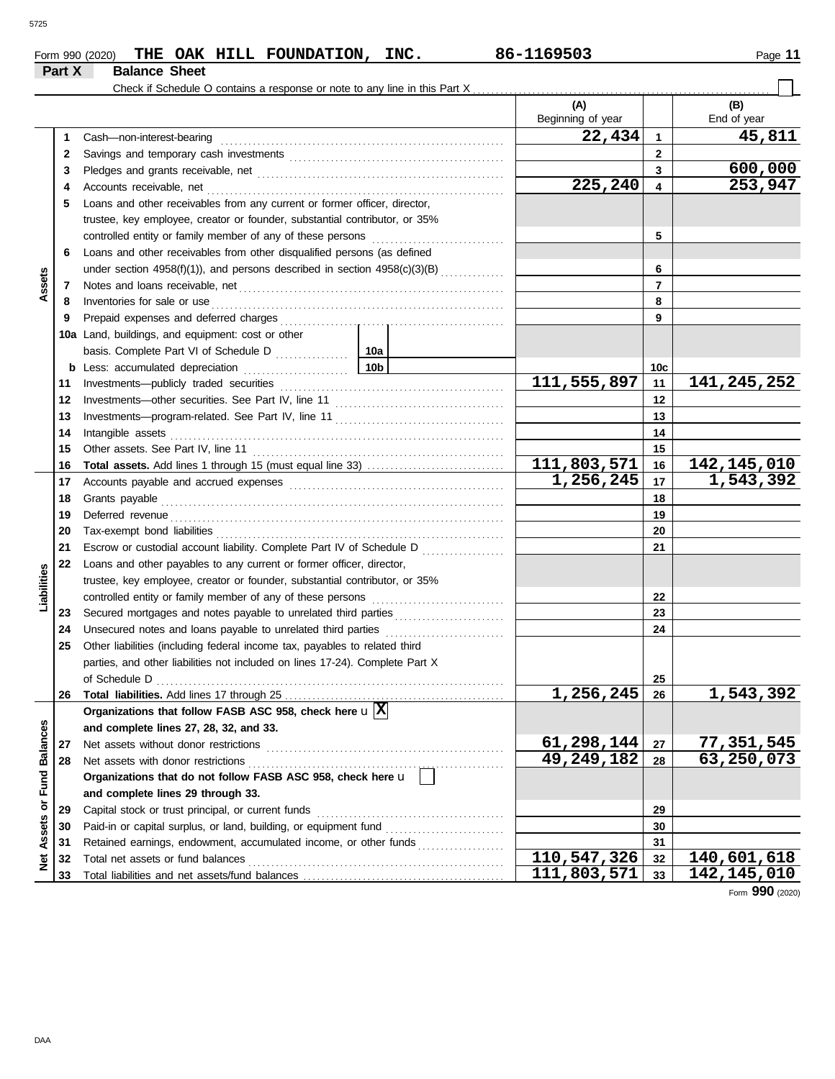## **Form 990 (2020) THE OAK HILL FOUNDATION, INC.** 86-1169503 Page 11 **Part X Balance Sheet**

|                      |    | Check if Schedule O contains a response or note to any line in this Part X                                                                                                                                                           |  |                   |              |               |  |  |
|----------------------|----|--------------------------------------------------------------------------------------------------------------------------------------------------------------------------------------------------------------------------------------|--|-------------------|--------------|---------------|--|--|
|                      |    |                                                                                                                                                                                                                                      |  | (A)               |              | (B)           |  |  |
|                      |    |                                                                                                                                                                                                                                      |  | Beginning of year |              | End of year   |  |  |
|                      | 1  | Cash-non-interest-bearing                                                                                                                                                                                                            |  | 22,434            | $\mathbf{1}$ | 45,811        |  |  |
|                      | 2  |                                                                                                                                                                                                                                      |  |                   | $\mathbf{2}$ |               |  |  |
|                      | 3  |                                                                                                                                                                                                                                      |  |                   | 3            | 600,000       |  |  |
|                      | 4  |                                                                                                                                                                                                                                      |  | 225,240           | 4            | 253,947       |  |  |
|                      | 5  | Loans and other receivables from any current or former officer, director,                                                                                                                                                            |  |                   |              |               |  |  |
|                      |    | trustee, key employee, creator or founder, substantial contributor, or 35%                                                                                                                                                           |  |                   |              |               |  |  |
|                      |    | controlled entity or family member of any of these persons                                                                                                                                                                           |  |                   | 5            |               |  |  |
|                      | 6  | Loans and other receivables from other disqualified persons (as defined                                                                                                                                                              |  |                   |              |               |  |  |
|                      |    | under section 4958(f)(1)), and persons described in section 4958(c)(3)(B)                                                                                                                                                            |  |                   | 6            |               |  |  |
| Assets               | 7  |                                                                                                                                                                                                                                      |  |                   | 7            |               |  |  |
|                      | 8  | Inventories for sale or use <i>communication</i> and the state of the state or use of the state of the state of the state of the state of the state of the state of the state of the state of the state of the state of the state o  |  |                   | 8            |               |  |  |
|                      | 9  |                                                                                                                                                                                                                                      |  |                   | 9            |               |  |  |
|                      |    | 10a Land, buildings, and equipment: cost or other                                                                                                                                                                                    |  |                   |              |               |  |  |
|                      |    |                                                                                                                                                                                                                                      |  |                   |              |               |  |  |
|                      |    |                                                                                                                                                                                                                                      |  |                   | 10c          |               |  |  |
|                      | 11 |                                                                                                                                                                                                                                      |  | 111,555,897       | 11           | 141, 245, 252 |  |  |
|                      | 12 |                                                                                                                                                                                                                                      |  |                   | 12           |               |  |  |
|                      | 13 |                                                                                                                                                                                                                                      |  |                   | 13           |               |  |  |
|                      | 14 |                                                                                                                                                                                                                                      |  |                   | 14           |               |  |  |
|                      | 15 |                                                                                                                                                                                                                                      |  |                   | 15           |               |  |  |
|                      | 16 |                                                                                                                                                                                                                                      |  | 111,803,571       | 16           | 142,145,010   |  |  |
|                      | 17 |                                                                                                                                                                                                                                      |  | 1,256,245         | 17           | 1,543,392     |  |  |
|                      | 18 |                                                                                                                                                                                                                                      |  |                   | 18           |               |  |  |
|                      | 19 | Deferred revenue <b>contract and the contract of the contract of the contract of the contract of the contract of the contract of the contract of the contract of the contract of the contract of the contract of the contract of</b> |  |                   | 19           |               |  |  |
|                      | 20 |                                                                                                                                                                                                                                      |  |                   |              |               |  |  |
|                      | 21 | Escrow or custodial account liability. Complete Part IV of Schedule D                                                                                                                                                                |  |                   | 21           |               |  |  |
|                      | 22 | Loans and other payables to any current or former officer, director,                                                                                                                                                                 |  |                   |              |               |  |  |
| Liabilities          |    | trustee, key employee, creator or founder, substantial contributor, or 35%                                                                                                                                                           |  |                   |              |               |  |  |
|                      |    | controlled entity or family member of any of these persons                                                                                                                                                                           |  |                   | 22           |               |  |  |
|                      | 23 |                                                                                                                                                                                                                                      |  |                   | 23           |               |  |  |
|                      | 24 | Unsecured notes and loans payable to unrelated third parties                                                                                                                                                                         |  |                   | 24           |               |  |  |
|                      | 25 | Other liabilities (including federal income tax, payables to related third                                                                                                                                                           |  |                   |              |               |  |  |
|                      |    | parties, and other liabilities not included on lines 17-24). Complete Part X                                                                                                                                                         |  |                   |              |               |  |  |
|                      |    |                                                                                                                                                                                                                                      |  |                   | 25           |               |  |  |
|                      | 26 | Total liabilities. Add lines 17 through 25                                                                                                                                                                                           |  | 1,256,245         | 26           | 1,543,392     |  |  |
|                      |    | Organizations that follow FASB ASC 958, check here $\mathbf{u} \mathbf{X} $                                                                                                                                                          |  |                   |              |               |  |  |
|                      |    | and complete lines 27, 28, 32, and 33.                                                                                                                                                                                               |  |                   |              |               |  |  |
|                      | 27 | Net assets without donor restrictions                                                                                                                                                                                                |  | 61,298,144        | 27           | 77,351,545    |  |  |
| <b>Fund Balances</b> | 28 | Net assets with donor restrictions                                                                                                                                                                                                   |  | 49,249,182        | 28           | 63,250,073    |  |  |
|                      |    | Organizations that do not follow FASB ASC 958, check here u                                                                                                                                                                          |  |                   |              |               |  |  |
|                      |    | and complete lines 29 through 33.                                                                                                                                                                                                    |  |                   |              |               |  |  |
| ŏ                    | 29 | Capital stock or trust principal, or current funds                                                                                                                                                                                   |  |                   | 29           |               |  |  |
| Assets               | 30 | Paid-in or capital surplus, or land, building, or equipment fund                                                                                                                                                                     |  |                   | 30           |               |  |  |
|                      | 31 | Retained earnings, endowment, accumulated income, or other funds                                                                                                                                                                     |  |                   | 31           |               |  |  |
| ğ                    | 32 | Total net assets or fund balances                                                                                                                                                                                                    |  | 110,547,326       | 32           | 140,601,618   |  |  |
|                      | 33 |                                                                                                                                                                                                                                      |  | 111,803,571       | 33           | 142, 145, 010 |  |  |

Form **990** (2020)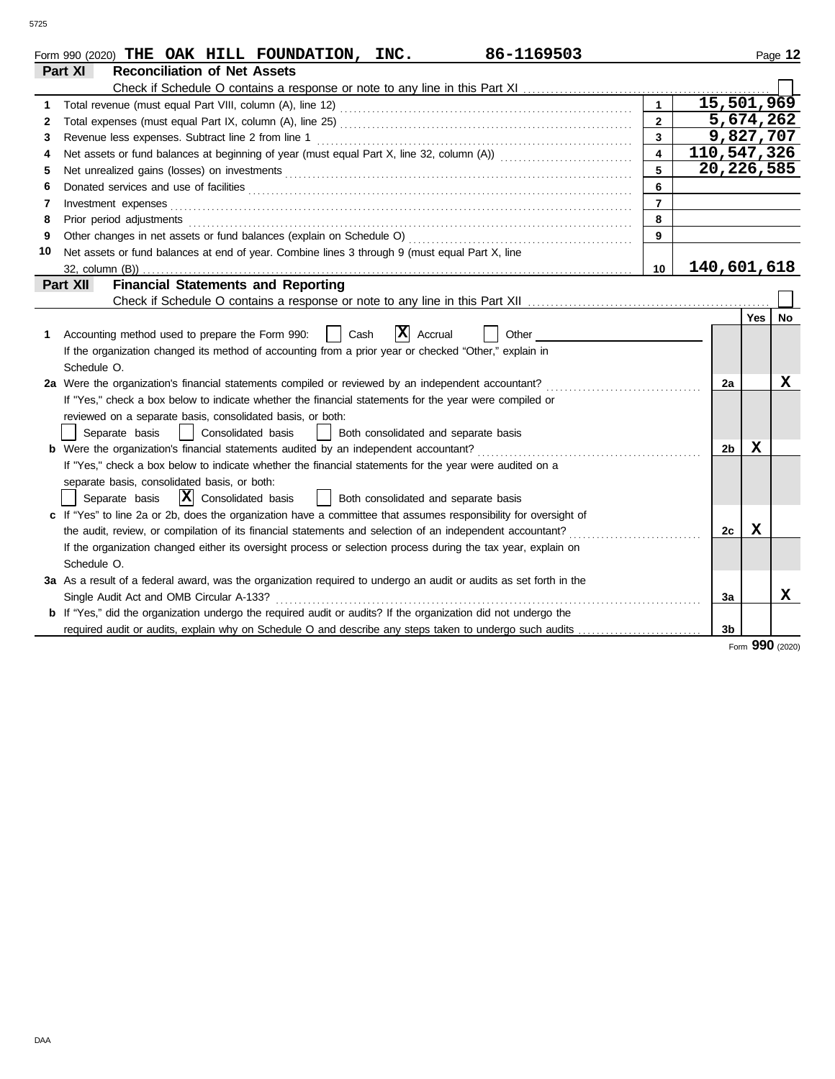|    | 86-1169503<br>Form 990 (2020) THE OAK HILL FOUNDATION, INC.                                                           |                |                |             | Page 12 |
|----|-----------------------------------------------------------------------------------------------------------------------|----------------|----------------|-------------|---------|
|    | <b>Reconciliation of Net Assets</b><br>Part XI                                                                        |                |                |             |         |
|    | Check if Schedule O contains a response or note to any line in this Part XI                                           |                |                |             |         |
| 1  |                                                                                                                       | $\mathbf{1}$   | 15,501,969     |             |         |
| 2  |                                                                                                                       | $\overline{2}$ | 5,674,262      |             |         |
| 3  | Revenue less expenses. Subtract line 2 from line 1                                                                    | $\overline{3}$ | 9,827,707      |             |         |
| 4  |                                                                                                                       |                | 110,547,326    |             |         |
| 5  |                                                                                                                       | 5              | 20, 226, 585   |             |         |
| 6  |                                                                                                                       | 6              |                |             |         |
| 7  |                                                                                                                       | $\overline{7}$ |                |             |         |
| 8  | Prior period adjustments                                                                                              | 8              |                |             |         |
| 9  | Other changes in net assets or fund balances (explain on Schedule O)                                                  | 9              |                |             |         |
| 10 | Net assets or fund balances at end of year. Combine lines 3 through 9 (must equal Part X, line                        |                |                |             |         |
|    | 32, column (B))                                                                                                       | 10             | 140,601,618    |             |         |
|    | <b>Financial Statements and Reporting</b><br>Part XII                                                                 |                |                |             |         |
|    |                                                                                                                       |                |                |             |         |
|    |                                                                                                                       |                |                | Yes         | No      |
| 1. | X <br>Accounting method used to prepare the Form 990:<br>Cash<br>Accrual<br>Other                                     |                |                |             |         |
|    | If the organization changed its method of accounting from a prior year or checked "Other," explain in                 |                |                |             |         |
|    | Schedule O.                                                                                                           |                |                |             |         |
|    | 2a Were the organization's financial statements compiled or reviewed by an independent accountant?                    |                | 2a             |             | x       |
|    | If "Yes," check a box below to indicate whether the financial statements for the year were compiled or                |                |                |             |         |
|    | reviewed on a separate basis, consolidated basis, or both:                                                            |                |                |             |         |
|    | Consolidated basis<br>Both consolidated and separate basis<br>Separate basis                                          |                |                |             |         |
|    | <b>b</b> Were the organization's financial statements audited by an independent accountant?                           |                | 2b             | x           |         |
|    | If "Yes," check a box below to indicate whether the financial statements for the year were audited on a               |                |                |             |         |
|    | separate basis, consolidated basis, or both:                                                                          |                |                |             |         |
|    | $ \mathbf{X} $ Consolidated basis<br>  Both consolidated and separate basis<br>Separate basis                         |                |                |             |         |
|    | c If "Yes" to line 2a or 2b, does the organization have a committee that assumes responsibility for oversight of      |                |                |             |         |
|    | the audit, review, or compilation of its financial statements and selection of an independent accountant?             |                | 2c             | $\mathbf x$ |         |
|    | If the organization changed either its oversight process or selection process during the tax year, explain on         |                |                |             |         |
|    | Schedule O.                                                                                                           |                |                |             |         |
|    | 3a As a result of a federal award, was the organization required to undergo an audit or audits as set forth in the    |                |                |             |         |
|    | Single Audit Act and OMB Circular A-133?                                                                              |                | 3a             |             | X       |
|    | <b>b</b> If "Yes," did the organization undergo the required audit or audits? If the organization did not undergo the |                |                |             |         |
|    | required audit or audits, explain why on Schedule O and describe any steps taken to undergo such audits               |                | 3 <sub>b</sub> |             |         |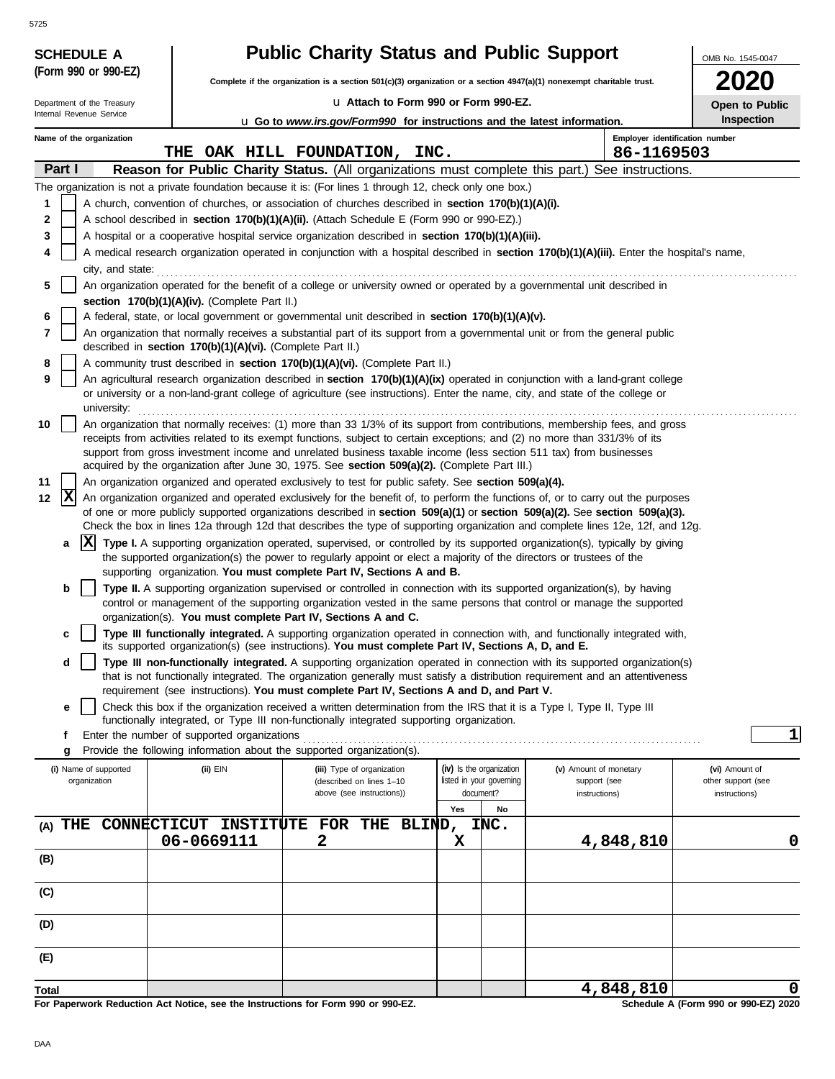|       | <b>SCHEDULE A</b>                                      |                                                            | <b>Public Charity Status and Public Support</b>                                                                                                                                                                                                           |                                       |                                | OMB No. 1545-0047                   |
|-------|--------------------------------------------------------|------------------------------------------------------------|-----------------------------------------------------------------------------------------------------------------------------------------------------------------------------------------------------------------------------------------------------------|---------------------------------------|--------------------------------|-------------------------------------|
|       | (Form 990 or 990-EZ)                                   |                                                            | Complete if the organization is a section $501(c)(3)$ organization or a section $4947(a)(1)$ nonexempt charitable trust.                                                                                                                                  |                                       |                                |                                     |
|       |                                                        |                                                            | Lu Attach to Form 990 or Form 990-EZ.                                                                                                                                                                                                                     |                                       |                                |                                     |
|       | Department of the Treasury<br>Internal Revenue Service |                                                            | <b>u</b> Go to <i>www.irs.gov/Form990</i> for instructions and the latest information.                                                                                                                                                                    |                                       |                                | Open to Public<br><b>Inspection</b> |
|       | Name of the organization                               |                                                            |                                                                                                                                                                                                                                                           |                                       | Employer identification number |                                     |
|       |                                                        | THE                                                        | OAK HILL FOUNDATION, INC.                                                                                                                                                                                                                                 |                                       | 86-1169503                     |                                     |
|       | Part I                                                 |                                                            | Reason for Public Charity Status. (All organizations must complete this part.) See instructions.                                                                                                                                                          |                                       |                                |                                     |
|       |                                                        |                                                            | The organization is not a private foundation because it is: (For lines 1 through 12, check only one box.)                                                                                                                                                 |                                       |                                |                                     |
| 1     |                                                        |                                                            | A church, convention of churches, or association of churches described in <b>section 170(b)(1)(A)(i).</b>                                                                                                                                                 |                                       |                                |                                     |
| 2     |                                                        |                                                            | A school described in section 170(b)(1)(A)(ii). (Attach Schedule E (Form 990 or 990-EZ).)                                                                                                                                                                 |                                       |                                |                                     |
| 3     |                                                        |                                                            | A hospital or a cooperative hospital service organization described in section 170(b)(1)(A)(iii).                                                                                                                                                         |                                       |                                |                                     |
| 4     | city, and state:                                       |                                                            | A medical research organization operated in conjunction with a hospital described in section 170(b)(1)(A)(iii). Enter the hospital's name,                                                                                                                |                                       |                                |                                     |
| 5     |                                                        |                                                            | An organization operated for the benefit of a college or university owned or operated by a governmental unit described in                                                                                                                                 |                                       |                                |                                     |
|       |                                                        | section 170(b)(1)(A)(iv). (Complete Part II.)              |                                                                                                                                                                                                                                                           |                                       |                                |                                     |
| 6     |                                                        |                                                            | A federal, state, or local government or governmental unit described in section 170(b)(1)(A)(v).                                                                                                                                                          |                                       |                                |                                     |
| 7     |                                                        | described in section 170(b)(1)(A)(vi). (Complete Part II.) | An organization that normally receives a substantial part of its support from a governmental unit or from the general public                                                                                                                              |                                       |                                |                                     |
| 8     |                                                        |                                                            | A community trust described in section 170(b)(1)(A)(vi). (Complete Part II.)                                                                                                                                                                              |                                       |                                |                                     |
| 9     |                                                        |                                                            | An agricultural research organization described in <b>section 170(b)(1)(A)(ix)</b> operated in conjunction with a land-grant college                                                                                                                      |                                       |                                |                                     |
|       | university:                                            |                                                            | or university or a non-land-grant college of agriculture (see instructions). Enter the name, city, and state of the college or                                                                                                                            |                                       |                                |                                     |
| 10    |                                                        |                                                            | An organization that normally receives: (1) more than 33 1/3% of its support from contributions, membership fees, and gross                                                                                                                               |                                       |                                |                                     |
|       |                                                        |                                                            | receipts from activities related to its exempt functions, subject to certain exceptions; and (2) no more than 331/3% of its                                                                                                                               |                                       |                                |                                     |
|       |                                                        |                                                            | support from gross investment income and unrelated business taxable income (less section 511 tax) from businesses<br>acquired by the organization after June 30, 1975. See section 509(a)(2). (Complete Part III.)                                        |                                       |                                |                                     |
| 11    |                                                        |                                                            | An organization organized and operated exclusively to test for public safety. See section 509(a)(4).                                                                                                                                                      |                                       |                                |                                     |
| 12    | X                                                      |                                                            | An organization organized and operated exclusively for the benefit of, to perform the functions of, or to carry out the purposes                                                                                                                          |                                       |                                |                                     |
|       |                                                        |                                                            | of one or more publicly supported organizations described in section 509(a)(1) or section 509(a)(2). See section 509(a)(3).                                                                                                                               |                                       |                                |                                     |
|       | ΙXΙ                                                    |                                                            | Check the box in lines 12a through 12d that describes the type of supporting organization and complete lines 12e, 12f, and 12g.                                                                                                                           |                                       |                                |                                     |
|       | a                                                      |                                                            | Type I. A supporting organization operated, supervised, or controlled by its supported organization(s), typically by giving<br>the supported organization(s) the power to regularly appoint or elect a majority of the directors or trustees of the       |                                       |                                |                                     |
|       |                                                        |                                                            | supporting organization. You must complete Part IV, Sections A and B.                                                                                                                                                                                     |                                       |                                |                                     |
|       | b                                                      |                                                            | Type II. A supporting organization supervised or controlled in connection with its supported organization(s), by having                                                                                                                                   |                                       |                                |                                     |
|       |                                                        |                                                            | control or management of the supporting organization vested in the same persons that control or manage the supported<br>organization(s). You must complete Part IV, Sections A and C.                                                                     |                                       |                                |                                     |
|       | c                                                      |                                                            | Type III functionally integrated. A supporting organization operated in connection with, and functionally integrated with,                                                                                                                                |                                       |                                |                                     |
|       |                                                        |                                                            | its supported organization(s) (see instructions). You must complete Part IV, Sections A, D, and E.                                                                                                                                                        |                                       |                                |                                     |
|       | d                                                      |                                                            | Type III non-functionally integrated. A supporting organization operated in connection with its supported organization(s)<br>that is not functionally integrated. The organization generally must satisfy a distribution requirement and an attentiveness |                                       |                                |                                     |
|       |                                                        |                                                            | requirement (see instructions). You must complete Part IV, Sections A and D, and Part V.                                                                                                                                                                  |                                       |                                |                                     |
|       | е                                                      |                                                            | Check this box if the organization received a written determination from the IRS that it is a Type I, Type II, Type III                                                                                                                                   |                                       |                                |                                     |
|       | f                                                      | Enter the number of supported organizations                | functionally integrated, or Type III non-functionally integrated supporting organization.                                                                                                                                                                 |                                       |                                | $1\vert$                            |
|       | g                                                      |                                                            | Provide the following information about the supported organization(s).                                                                                                                                                                                    |                                       |                                |                                     |
|       | (i) Name of supported                                  | (ii) EIN                                                   | (iii) Type of organization                                                                                                                                                                                                                                | (iv) Is the organization              | (v) Amount of monetary         | (vi) Amount of                      |
|       | organization                                           |                                                            | (described on lines 1-10<br>above (see instructions))                                                                                                                                                                                                     | listed in your governing<br>document? | support (see<br>instructions)  | other support (see<br>instructions) |
|       |                                                        |                                                            |                                                                                                                                                                                                                                                           | Yes<br>No                             |                                |                                     |
|       | $(A)$ THE                                              |                                                            | CONNECTICUT INSTITUTE FOR THE BLIND,                                                                                                                                                                                                                      | INC.                                  |                                |                                     |
|       |                                                        | 06-0669111                                                 | 2                                                                                                                                                                                                                                                         | X                                     | 4,848,810                      | 0                                   |
| (B)   |                                                        |                                                            |                                                                                                                                                                                                                                                           |                                       |                                |                                     |
| (C)   |                                                        |                                                            |                                                                                                                                                                                                                                                           |                                       |                                |                                     |
|       |                                                        |                                                            |                                                                                                                                                                                                                                                           |                                       |                                |                                     |
| (D)   |                                                        |                                                            |                                                                                                                                                                                                                                                           |                                       |                                |                                     |
| (E)   |                                                        |                                                            |                                                                                                                                                                                                                                                           |                                       |                                |                                     |
| Total |                                                        |                                                            |                                                                                                                                                                                                                                                           |                                       | 4,848,810                      | 0                                   |

**For Paperwork Reduction Act Notice, see the Instructions for Form 990 or 990-EZ.**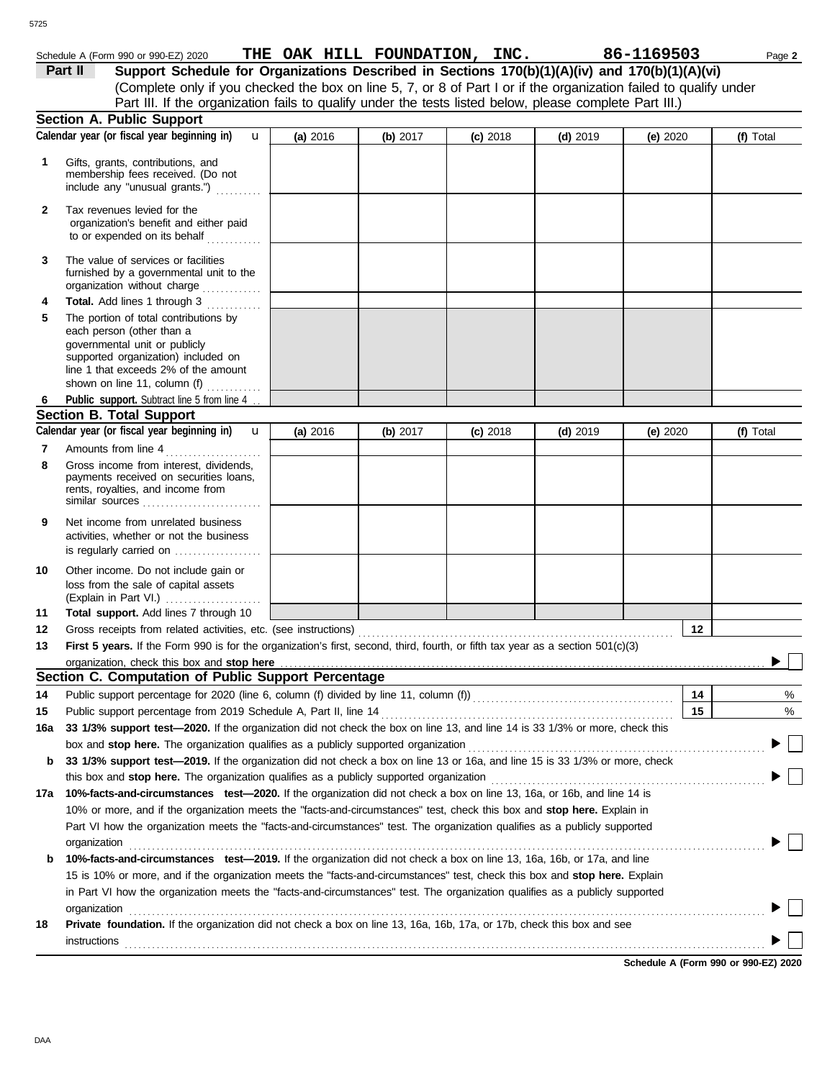| 725          |              |                                                                                                                                                                                                                                                      |                               |          |            |            |               |           |
|--------------|--------------|------------------------------------------------------------------------------------------------------------------------------------------------------------------------------------------------------------------------------------------------------|-------------------------------|----------|------------|------------|---------------|-----------|
|              | Part II      | Schedule A (Form 990 or 990-EZ) 2020<br>Support Schedule for Organizations Described in Sections 170(b)(1)(A)(iv) and 170(b)(1)(A)(vi)                                                                                                               | THE OAK HILL FOUNDATION, INC. |          |            |            | 86-1169503    | Page 2    |
|              |              | (Complete only if you checked the box on line 5, 7, or 8 of Part I or if the organization failed to qualify under<br>Part III. If the organization fails to qualify under the tests listed below, please complete Part III.)                         |                               |          |            |            |               |           |
|              |              | <b>Section A. Public Support</b>                                                                                                                                                                                                                     |                               |          |            |            |               |           |
|              |              | Calendar year (or fiscal year beginning in)<br>$\mathbf{u}$                                                                                                                                                                                          | (a) 2016                      | (b) 2017 | $(c)$ 2018 | $(d)$ 2019 | (e) $2020$    | (f) Total |
| 1            |              | Gifts, grants, contributions, and<br>membership fees received. (Do not<br>include any "unusual grants.")                                                                                                                                             |                               |          |            |            |               |           |
| $\mathbf{2}$ |              | Tax revenues levied for the<br>organization's benefit and either paid<br>to or expended on its behalf                                                                                                                                                |                               |          |            |            |               |           |
| 3            |              | The value of services or facilities<br>furnished by a governmental unit to the<br>organization without charge                                                                                                                                        |                               |          |            |            |               |           |
| 4            |              | Total. Add lines 1 through 3                                                                                                                                                                                                                         |                               |          |            |            |               |           |
| 5            |              | The portion of total contributions by<br>each person (other than a<br>governmental unit or publicly<br>supported organization) included on<br>line 1 that exceeds 2% of the amount<br>shown on line 11, column (f)                                   |                               |          |            |            |               |           |
| 6            |              | Public support. Subtract line 5 from line 4                                                                                                                                                                                                          |                               |          |            |            |               |           |
|              |              | <b>Section B. Total Support</b>                                                                                                                                                                                                                      |                               |          |            |            |               |           |
|              |              | Calendar year (or fiscal year beginning in)<br>$\mathbf{u}$                                                                                                                                                                                          | (a) 2016                      | (b) 2017 | $(c)$ 2018 | $(d)$ 2019 | (e) $2020$    | (f) Total |
| 7            |              | Amounts from line 4                                                                                                                                                                                                                                  |                               |          |            |            |               |           |
| 8            |              | Gross income from interest, dividends,<br>payments received on securities loans,<br>rents, royalties, and income from<br>similar sources                                                                                                             |                               |          |            |            |               |           |
| 9            |              | Net income from unrelated business<br>activities, whether or not the business<br>is regularly carried on                                                                                                                                             |                               |          |            |            |               |           |
| 10           |              | Other income. Do not include gain or<br>loss from the sale of capital assets<br>(Explain in Part VI.)                                                                                                                                                |                               |          |            |            |               |           |
| 11           |              | Total support. Add lines 7 through 10                                                                                                                                                                                                                |                               |          |            |            |               |           |
| 12           |              |                                                                                                                                                                                                                                                      |                               |          |            |            | . 12 <u>.</u> |           |
| 13           |              | First 5 years. If the Form 990 is for the organization's first, second, third, fourth, or fifth tax year as a section 501(c)(3)                                                                                                                      |                               |          |            |            |               |           |
|              |              | organization, check this box and stop here                                                                                                                                                                                                           |                               |          |            |            |               |           |
|              |              | Section C. Computation of Public Support Percentage                                                                                                                                                                                                  |                               |          |            |            |               |           |
| 14           |              | Public support percentage for 2020 (line 6, column (f) divided by line 11, column (f)) [[[[[[[[[[[[[[[[[[[[[[                                                                                                                                        |                               |          |            |            | 14            | %         |
| 15           |              |                                                                                                                                                                                                                                                      |                               |          |            |            | 15            | %         |
| 16a          |              | 33 1/3% support test-2020. If the organization did not check the box on line 13, and line 14 is 33 1/3% or more, check this                                                                                                                          |                               |          |            |            |               |           |
|              |              |                                                                                                                                                                                                                                                      |                               |          |            |            |               |           |
| b            |              | 33 1/3% support test-2019. If the organization did not check a box on line 13 or 16a, and line 15 is 33 1/3% or more, check                                                                                                                          |                               |          |            |            |               |           |
|              |              | this box and stop here. The organization qualifies as a publicly supported organization                                                                                                                                                              |                               |          |            |            |               |           |
| 17a          |              | 10%-facts-and-circumstances test-2020. If the organization did not check a box on line 13, 16a, or 16b, and line 14 is                                                                                                                               |                               |          |            |            |               |           |
|              |              | 10% or more, and if the organization meets the "facts-and-circumstances" test, check this box and stop here. Explain in<br>Part VI how the organization meets the "facts-and-circumstances" test. The organization qualifies as a publicly supported |                               |          |            |            |               |           |
|              | organization |                                                                                                                                                                                                                                                      |                               |          |            |            |               |           |
| b            |              | 10%-facts-and-circumstances test-2019. If the organization did not check a box on line 13, 16a, 16b, or 17a, and line<br>15 is 10% or more, and if the organization meets the "facts-and-circumstances" test, check this box and stop here. Explain  |                               |          |            |            |               |           |
|              | organization | in Part VI how the organization meets the "facts-and-circumstances" test. The organization qualifies as a publicly supported                                                                                                                         |                               |          |            |            |               |           |
| 18           | instructions | Private foundation. If the organization did not check a box on line 13, 16a, 16b, 17a, or 17b, check this box and see                                                                                                                                |                               |          |            |            |               |           |
|              |              |                                                                                                                                                                                                                                                      |                               |          |            |            |               |           |

**Schedule A (Form 990 or 990-EZ) 2020**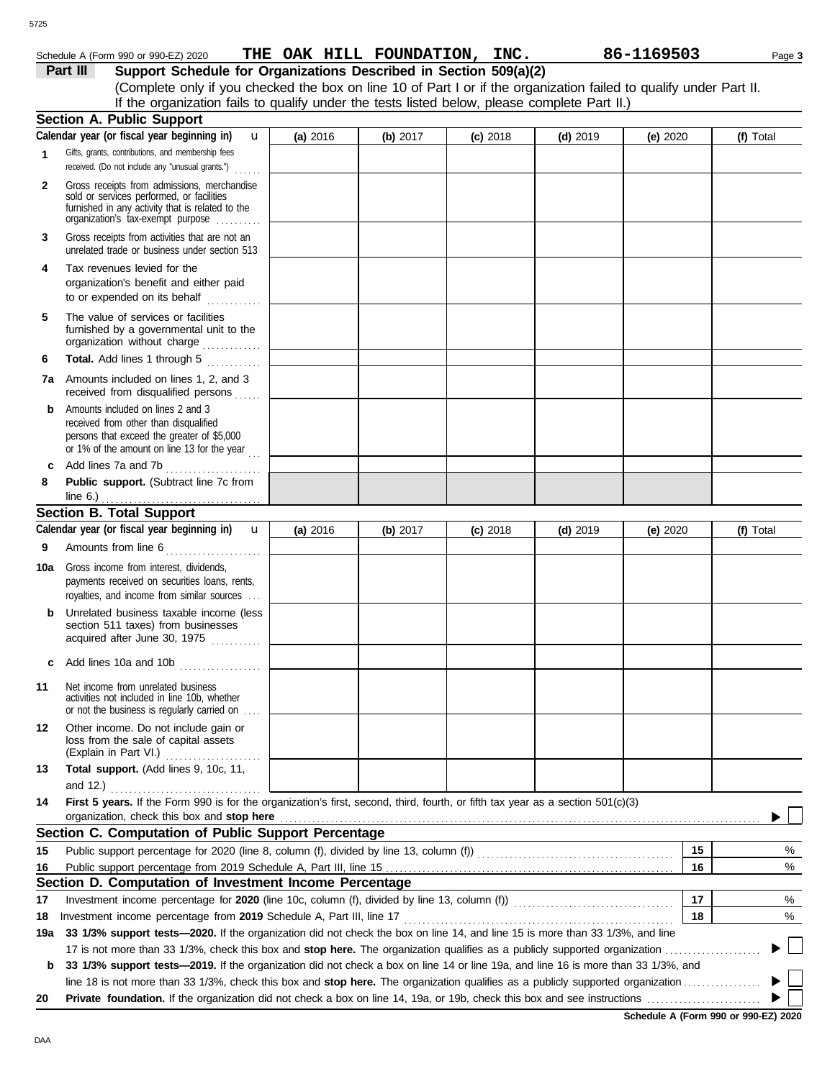#### 5725

## Schedule A (Form 990 or 990-EZ) 2020 **THE OAK HILL FOUNDATION, INC.** 86-1169503 Page 3

**Part III** Support Schedule for Organizations Described in Section 509(a)(2) (Complete only if you checked the box on line 10 of Part I or if the organization failed to qualify under Part II. If the organization fails to qualify under the tests listed below, please complete Part II.)

|              | <b>Section A. Public Support</b>                                                                                                                                                  |          |            |            |            |            |           |
|--------------|-----------------------------------------------------------------------------------------------------------------------------------------------------------------------------------|----------|------------|------------|------------|------------|-----------|
|              | Calendar year (or fiscal year beginning in)<br>u                                                                                                                                  | (a) 2016 | (b) $2017$ | $(c)$ 2018 | $(d)$ 2019 | (e) $2020$ | (f) Total |
| 1            | Gifts, grants, contributions, and membership fees<br>received. (Do not include any "unusual grants.")<br>.                                                                        |          |            |            |            |            |           |
| $\mathbf{2}$ | Gross receipts from admissions, merchandise<br>sold or services performed, or facilities<br>furnished in any activity that is related to the<br>organization's tax-exempt purpose |          |            |            |            |            |           |
| 3            | Gross receipts from activities that are not an<br>unrelated trade or business under section 513                                                                                   |          |            |            |            |            |           |
| 4            | Tax revenues levied for the<br>organization's benefit and either paid<br>to or expended on its behalf                                                                             |          |            |            |            |            |           |
| 5            | The value of services or facilities<br>furnished by a governmental unit to the<br>organization without charge                                                                     |          |            |            |            |            |           |
| 6            | Total. Add lines 1 through 5                                                                                                                                                      |          |            |            |            |            |           |
|              | <b>7a</b> Amounts included on lines 1, 2, and 3<br>received from disqualified persons                                                                                             |          |            |            |            |            |           |
| b            | Amounts included on lines 2 and 3<br>received from other than disqualified<br>persons that exceed the greater of \$5,000<br>or 1% of the amount on line 13 for the year           |          |            |            |            |            |           |
| c            | Add lines 7a and 7b                                                                                                                                                               |          |            |            |            |            |           |
| 8            | Public support. (Subtract line 7c from<br>line $6.$ )                                                                                                                             |          |            |            |            |            |           |
|              | <b>Section B. Total Support</b>                                                                                                                                                   |          |            |            |            |            |           |
|              | Calendar year (or fiscal year beginning in)<br>$\mathbf{u}$                                                                                                                       | (a) 2016 | (b) 2017   | $(c)$ 2018 | $(d)$ 2019 | (e) 2020   | (f) Total |
| 9            | Amounts from line 6                                                                                                                                                               |          |            |            |            |            |           |
| 10a          | Gross income from interest, dividends,<br>payments received on securities loans, rents,<br>royalties, and income from similar sources                                             |          |            |            |            |            |           |
| b            | Unrelated business taxable income (less<br>section 511 taxes) from businesses<br>acquired after June 30, 1975                                                                     |          |            |            |            |            |           |
|              | Add lines 10a and 10b                                                                                                                                                             |          |            |            |            |            |           |
| 11           | Net income from unrelated business<br>activities not included in line 10b, whether<br>or not the business is regularly carried on                                                 |          |            |            |            |            |           |
| 12           | Other income. Do not include gain or<br>loss from the sale of capital assets<br>(Explain in Part VI.)<br>.                                                                        |          |            |            |            |            |           |
| 13           | Total support. (Add lines 9, 10c, 11,                                                                                                                                             |          |            |            |            |            |           |
| 14           | and 12.) $\ldots$<br>First 5 years. If the Form 990 is for the organization's first, second, third, fourth, or fifth tax year as a section 501(c)(3)                              |          |            |            |            |            |           |
|              | organization, check this box and stop here                                                                                                                                        |          |            |            |            |            |           |
|              | Section C. Computation of Public Support Percentage                                                                                                                               |          |            |            |            |            |           |
| 15           |                                                                                                                                                                                   |          |            |            |            | 15         | %         |
| 16           | Public support percentage from 2019 Schedule A, Part III, line 15                                                                                                                 |          |            |            |            | 16         | %         |
|              | Section D. Computation of Investment Income Percentage                                                                                                                            |          |            |            |            |            |           |
| 17           |                                                                                                                                                                                   |          |            |            |            | 17         | %         |
| 18           |                                                                                                                                                                                   |          |            |            |            | 18         | %         |
| 19a          | 33 1/3% support tests-2020. If the organization did not check the box on line 14, and line 15 is more than 33 1/3%, and line                                                      |          |            |            |            |            |           |
|              |                                                                                                                                                                                   |          |            |            |            |            |           |
| b            | 33 1/3% support tests-2019. If the organization did not check a box on line 14 or line 19a, and line 16 is more than 33 1/3%, and                                                 |          |            |            |            |            |           |
| 20           |                                                                                                                                                                                   |          |            |            |            |            |           |
|              |                                                                                                                                                                                   |          |            |            |            |            |           |

**Schedule A (Form 990 or 990-EZ) 2020**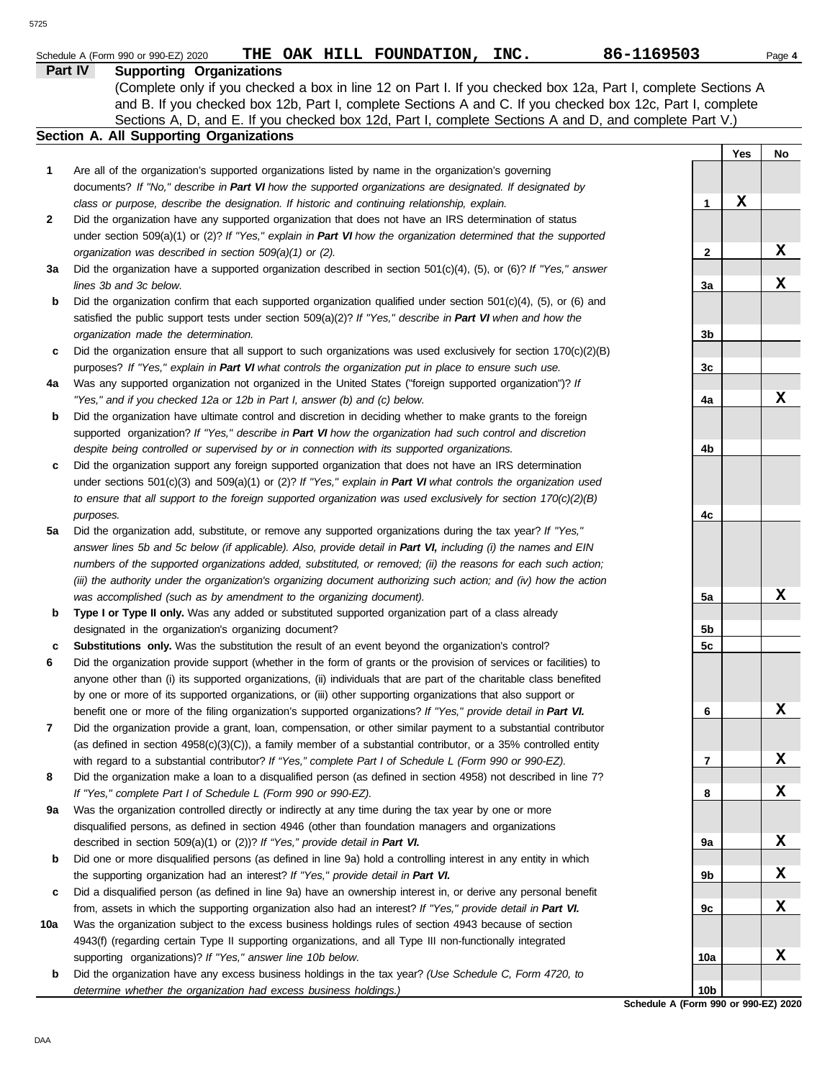|              | 86-1169503<br>THE OAK HILL FOUNDATION, INC.<br>Schedule A (Form 990 or 990-EZ) 2020                                                                                                                     |     |     | Page 4 |
|--------------|---------------------------------------------------------------------------------------------------------------------------------------------------------------------------------------------------------|-----|-----|--------|
|              | Part IV<br><b>Supporting Organizations</b>                                                                                                                                                              |     |     |        |
|              | (Complete only if you checked a box in line 12 on Part I. If you checked box 12a, Part I, complete Sections A                                                                                           |     |     |        |
|              | and B. If you checked box 12b, Part I, complete Sections A and C. If you checked box 12c, Part I, complete                                                                                              |     |     |        |
|              | Sections A, D, and E. If you checked box 12d, Part I, complete Sections A and D, and complete Part V.)<br>Section A. All Supporting Organizations                                                       |     |     |        |
|              |                                                                                                                                                                                                         |     |     |        |
|              |                                                                                                                                                                                                         |     | Yes | No     |
| 1            | Are all of the organization's supported organizations listed by name in the organization's governing                                                                                                    |     |     |        |
|              | documents? If "No," describe in Part VI how the supported organizations are designated. If designated by                                                                                                | 1   | X   |        |
| $\mathbf{2}$ | class or purpose, describe the designation. If historic and continuing relationship, explain.<br>Did the organization have any supported organization that does not have an IRS determination of status |     |     |        |
|              | under section 509(a)(1) or (2)? If "Yes," explain in Part VI how the organization determined that the supported                                                                                         |     |     |        |
|              | organization was described in section 509(a)(1) or (2).                                                                                                                                                 | 2   |     | X      |
| За           | Did the organization have a supported organization described in section $501(c)(4)$ , (5), or (6)? If "Yes," answer                                                                                     |     |     |        |
|              | lines 3b and 3c below.                                                                                                                                                                                  | 3a  |     | X      |
| b            | Did the organization confirm that each supported organization qualified under section $501(c)(4)$ , $(5)$ , or $(6)$ and                                                                                |     |     |        |
|              | satisfied the public support tests under section 509(a)(2)? If "Yes," describe in Part VI when and how the                                                                                              |     |     |        |
|              | organization made the determination.                                                                                                                                                                    | 3b  |     |        |
| С            | Did the organization ensure that all support to such organizations was used exclusively for section $170(c)(2)(B)$                                                                                      |     |     |        |
|              | purposes? If "Yes," explain in Part VI what controls the organization put in place to ensure such use.                                                                                                  | 3c  |     |        |
| 4a           | Was any supported organization not organized in the United States ("foreign supported organization")? If                                                                                                |     |     |        |
|              | "Yes," and if you checked 12a or 12b in Part I, answer (b) and (c) below.                                                                                                                               | 4a  |     | X      |
| b            | Did the organization have ultimate control and discretion in deciding whether to make grants to the foreign                                                                                             |     |     |        |
|              | supported organization? If "Yes," describe in Part VI how the organization had such control and discretion                                                                                              |     |     |        |
|              | despite being controlled or supervised by or in connection with its supported organizations.                                                                                                            | 4b  |     |        |
| С            | Did the organization support any foreign supported organization that does not have an IRS determination                                                                                                 |     |     |        |
|              | under sections $501(c)(3)$ and $509(a)(1)$ or (2)? If "Yes," explain in Part VI what controls the organization used                                                                                     |     |     |        |
|              | to ensure that all support to the foreign supported organization was used exclusively for section $170(c)(2)(B)$                                                                                        |     |     |        |
|              | purposes.                                                                                                                                                                                               | 4c  |     |        |
| 5а           | Did the organization add, substitute, or remove any supported organizations during the tax year? If "Yes,"                                                                                              |     |     |        |
|              | answer lines 5b and 5c below (if applicable). Also, provide detail in Part VI, including (i) the names and EIN                                                                                          |     |     |        |
|              | numbers of the supported organizations added, substituted, or removed; (ii) the reasons for each such action;                                                                                           |     |     |        |
|              | (iii) the authority under the organization's organizing document authorizing such action; and (iv) how the action                                                                                       |     |     |        |
|              | was accomplished (such as by amendment to the organizing document).                                                                                                                                     | 5a  |     | х      |
| b            | Type I or Type II only. Was any added or substituted supported organization part of a class already                                                                                                     |     |     |        |
|              | designated in the organization's organizing document?                                                                                                                                                   | 5b  |     |        |
|              | <b>Substitutions only.</b> Was the substitution the result of an event beyond the organization's control?                                                                                               | 5c  |     |        |
| 6            | Did the organization provide support (whether in the form of grants or the provision of services or facilities) to                                                                                      |     |     |        |
|              | anyone other than (i) its supported organizations, (ii) individuals that are part of the charitable class benefited                                                                                     |     |     |        |
|              | by one or more of its supported organizations, or (iii) other supporting organizations that also support or                                                                                             |     |     |        |
|              | benefit one or more of the filing organization's supported organizations? If "Yes," provide detail in Part VI.                                                                                          | 6   |     | X      |
| 7            | Did the organization provide a grant, loan, compensation, or other similar payment to a substantial contributor                                                                                         |     |     |        |
|              | (as defined in section $4958(c)(3)(C)$ ), a family member of a substantial contributor, or a 35% controlled entity                                                                                      |     |     |        |
|              | with regard to a substantial contributor? If "Yes," complete Part I of Schedule L (Form 990 or 990-EZ).                                                                                                 | 7   |     | X      |
| 8            | Did the organization make a loan to a disqualified person (as defined in section 4958) not described in line 7?                                                                                         |     |     |        |
|              | If "Yes," complete Part I of Schedule L (Form 990 or 990-EZ).                                                                                                                                           | 8   |     | X      |
| 9а           | Was the organization controlled directly or indirectly at any time during the tax year by one or more                                                                                                   |     |     |        |
|              | disqualified persons, as defined in section 4946 (other than foundation managers and organizations                                                                                                      |     |     |        |
|              | described in section 509(a)(1) or (2))? If "Yes," provide detail in Part VI.                                                                                                                            | 9а  |     | X      |
| b            | Did one or more disqualified persons (as defined in line 9a) hold a controlling interest in any entity in which                                                                                         |     |     |        |
|              | the supporting organization had an interest? If "Yes," provide detail in Part VI.                                                                                                                       | 9b  |     | X      |
| с            | Did a disqualified person (as defined in line 9a) have an ownership interest in, or derive any personal benefit                                                                                         |     |     |        |
|              | from, assets in which the supporting organization also had an interest? If "Yes," provide detail in Part VI.                                                                                            | 9с  |     | X      |
| 10a          | Was the organization subject to the excess business holdings rules of section 4943 because of section                                                                                                   |     |     |        |
|              | 4943(f) (regarding certain Type II supporting organizations, and all Type III non-functionally integrated                                                                                               |     |     |        |
|              | supporting organizations)? If "Yes," answer line 10b below.                                                                                                                                             | 10a |     | X      |
| b            | Did the organization have any excess business holdings in the tax year? (Use Schedule C, Form 4720, to                                                                                                  |     |     |        |

**Schedule A (Form 990 or 990-EZ) 2020 10b**

*determine whether the organization had excess business holdings.)*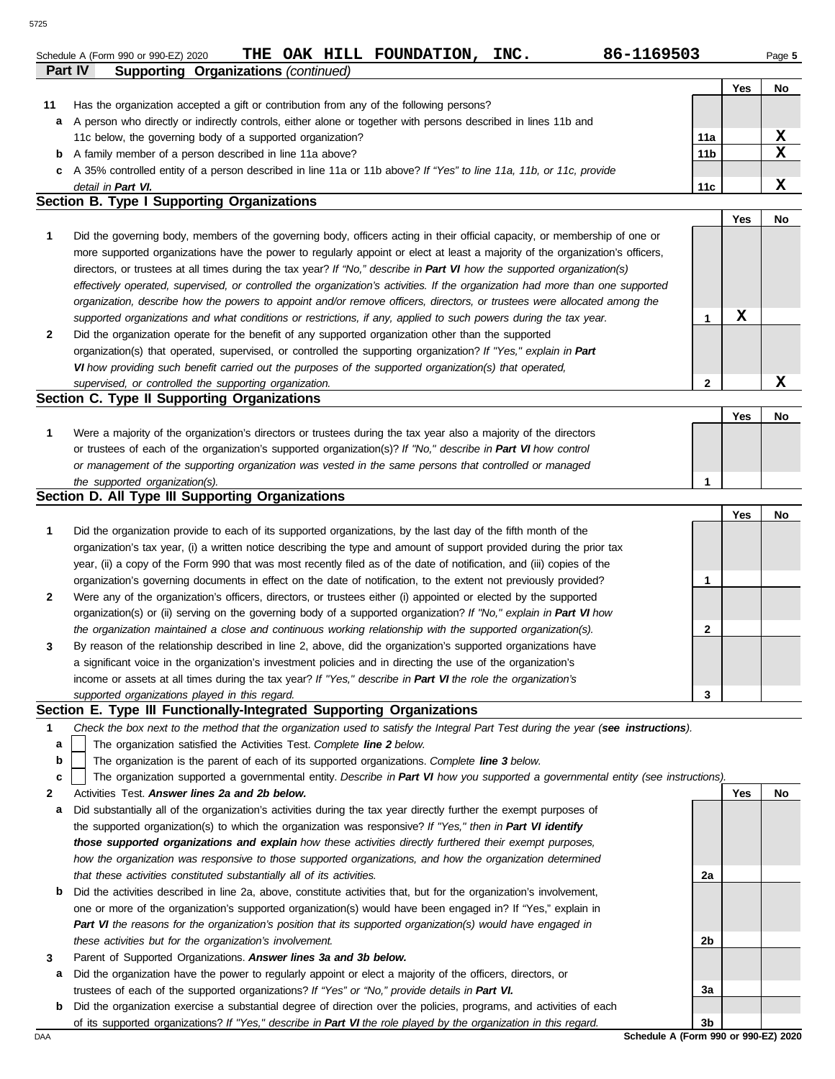| Schedule A (Form 990 or 990-EZ) 2020 |  | THE OAK HILL FOUNDATION, | INC. | 86-1169503 | Page 5 |
|--------------------------------------|--|--------------------------|------|------------|--------|
|                                      |  |                          |      |            |        |

**2**

**Yes No**

**X**

|    |                                                                                                                      |                 | Yes | No |
|----|----------------------------------------------------------------------------------------------------------------------|-----------------|-----|----|
| 11 | Has the organization accepted a gift or contribution from any of the following persons?                              |                 |     |    |
|    | a A person who directly or indirectly controls, either alone or together with persons described in lines 11b and     |                 |     |    |
|    | 11c below, the governing body of a supported organization?                                                           | 11a             |     |    |
|    | <b>b</b> A family member of a person described in line 11a above?                                                    | 11 <sub>b</sub> |     |    |
|    | c A 35% controlled entity of a person described in line 11a or 11b above? If "Yes" to line 11a, 11b, or 11c, provide |                 |     |    |
|    | detail in Part VI.                                                                                                   | 11c             |     |    |
|    | $\mathbf{A}$ is the set of $\mathbf{A}$ is the set of $\mathbf{A}$                                                   |                 |     |    |

#### **Section B. Type I Supporting Organizations**

**Part IV Supporting Organizations** *(continued)*

**2 1** *supported organizations and what conditions or restrictions, if any, applied to such powers during the tax year. organization, describe how the powers to appoint and/or remove officers, directors, or trustees were allocated among the effectively operated, supervised, or controlled the organization's activities. If the organization had more than one supported* directors, or trustees at all times during the tax year? *If "No," describe in Part VI how the supported organization(s)* more supported organizations have the power to regularly appoint or elect at least a majority of the organization's officers, Did the governing body, members of the governing body, officers acting in their official capacity, or membership of one or Did the organization operate for the benefit of any supported organization other than the supported organization(s) that operated, supervised, or controlled the supporting organization? *If "Yes," explain in Part*  **1 X**

*VI how providing such benefit carried out the purposes of the supported organization(s) that operated,* 

#### *supervised, or controlled the supporting organization.* **Section C. Type II Supporting Organizations**

Were a majority of the organization's directors or trustees during the tax year also a majority of the directors or trustees of each of the organization's supported organization(s)? *If "No," describe in Part VI how control* **1** *or management of the supporting organization was vested in the same persons that controlled or managed the supported organization(s).* **Yes No 1**

#### **Section D. All Type III Supporting Organizations**

|                |                                                                                                                        | Yes | No |
|----------------|------------------------------------------------------------------------------------------------------------------------|-----|----|
| $\mathbf{1}$   | Did the organization provide to each of its supported organizations, by the last day of the fifth month of the         |     |    |
|                | organization's tax year, (i) a written notice describing the type and amount of support provided during the prior tax  |     |    |
|                | year, (ii) a copy of the Form 990 that was most recently filed as of the date of notification, and (iii) copies of the |     |    |
|                | organization's governing documents in effect on the date of notification, to the extent not previously provided?       |     |    |
| $\overline{2}$ | Were any of the organization's officers, directors, or trustees either (i) appointed or elected by the supported       |     |    |
|                | organization(s) or (ii) serving on the governing body of a supported organization? If "No," explain in Part VI how     |     |    |
|                | the organization maintained a close and continuous working relationship with the supported organization(s).            |     |    |
| $\mathbf{3}$   | By reason of the relationship described in line 2, above, did the organization's supported organizations have          |     |    |
|                | a significant voice in the organization's investment policies and in directing the use of the organization's           |     |    |
|                | income or assets at all times during the tax year? If "Yes," describe in Part VI the role the organization's           |     |    |
|                | supported organizations played in this regard.                                                                         |     |    |

#### **Section E. Type III Functionally-Integrated Supporting Organizations**

- **1** *Check the box next to the method that the organization used to satisfy the Integral Part Test during the year (see instructions).*
	- The organization satisfied the Activities Test. *Complete line 2 below.* **a**
	- The organization is the parent of each of its supported organizations. *Complete line 3 below.* **b**

The organization supported a governmental entity. *Describe in Part VI how you supported a governmental entity (see instructions).* **c**

- **2** Activities Test. *Answer lines 2a and 2b below.*
- **a** Did substantially all of the organization's activities during the tax year directly further the exempt purposes of the supported organization(s) to which the organization was responsive? *If "Yes," then in Part VI identify those supported organizations and explain how these activities directly furthered their exempt purposes,*  how the organization was responsive to those supported organizations, and how the organization determined *that these activities constituted substantially all of its activities.*
- **b** Did the activities described in line 2a, above, constitute activities that, but for the organization's involvement, one or more of the organization's supported organization(s) would have been engaged in? If "Yes," explain in *Part VI the reasons for the organization's position that its supported organization(s) would have engaged in these activities but for the organization's involvement.*
- **3** Parent of Supported Organizations. *Answer lines 3a and 3b below.*
- **a** Did the organization have the power to regularly appoint or elect a majority of the officers, directors, or trustees of each of the supported organizations? *If "Yes" or "No," provide details in Part VI.*
- **b** Did the organization exercise a substantial degree of direction over the policies, programs, and activities of each of its supported organizations? *If "Yes," describe in Part VI the role played by the organization in this regard.*

DAA **Schedule A (Form 990 or 990-EZ) 2020 3b**

**2a**

**2b**

**3a**

**Yes No**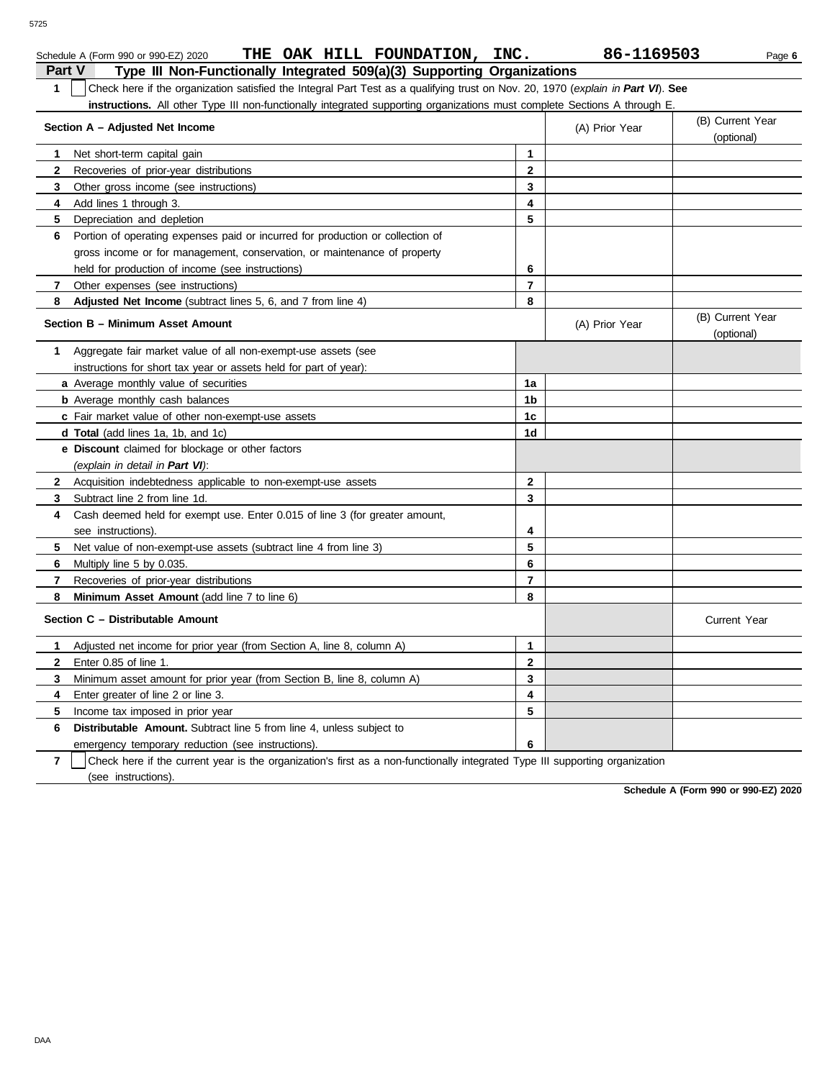| Schedule A (Form 990 or 990-EZ) 2020 | THE |  | OAK HILL FOUNDATION, | INC. | 86-1169503 | Page 6 |
|--------------------------------------|-----|--|----------------------|------|------------|--------|

| Part V<br>Type III Non-Functionally Integrated 509(a)(3) Supporting Organizations                                                     |                         |                |                                |  |  |  |
|---------------------------------------------------------------------------------------------------------------------------------------|-------------------------|----------------|--------------------------------|--|--|--|
| Check here if the organization satisfied the Integral Part Test as a qualifying trust on Nov. 20, 1970 (explain in Part VI). See<br>1 |                         |                |                                |  |  |  |
| <b>instructions.</b> All other Type III non-functionally integrated supporting organizations must complete Sections A through E.      |                         |                |                                |  |  |  |
| Section A - Adjusted Net Income                                                                                                       |                         | (A) Prior Year | (B) Current Year               |  |  |  |
|                                                                                                                                       |                         |                | (optional)                     |  |  |  |
| Net short-term capital gain<br>1.                                                                                                     | $\mathbf{1}$            |                |                                |  |  |  |
| $\mathbf{2}$<br>Recoveries of prior-year distributions                                                                                | $\mathbf{2}$            |                |                                |  |  |  |
| 3<br>Other gross income (see instructions)                                                                                            | 3                       |                |                                |  |  |  |
| 4<br>Add lines 1 through 3.                                                                                                           | $\overline{\mathbf{4}}$ |                |                                |  |  |  |
| 5<br>Depreciation and depletion                                                                                                       | 5                       |                |                                |  |  |  |
| 6<br>Portion of operating expenses paid or incurred for production or collection of                                                   |                         |                |                                |  |  |  |
| gross income or for management, conservation, or maintenance of property                                                              |                         |                |                                |  |  |  |
| held for production of income (see instructions)                                                                                      | 6                       |                |                                |  |  |  |
| $\mathbf{7}$<br>Other expenses (see instructions)                                                                                     | $\overline{7}$          |                |                                |  |  |  |
| Adjusted Net Income (subtract lines 5, 6, and 7 from line 4)<br>8                                                                     | 8                       |                |                                |  |  |  |
| Section B - Minimum Asset Amount                                                                                                      |                         | (A) Prior Year | (B) Current Year<br>(optional) |  |  |  |
| Aggregate fair market value of all non-exempt-use assets (see<br>1                                                                    |                         |                |                                |  |  |  |
| instructions for short tax year or assets held for part of year):                                                                     |                         |                |                                |  |  |  |
| <b>a</b> Average monthly value of securities                                                                                          | 1a                      |                |                                |  |  |  |
| <b>b</b> Average monthly cash balances                                                                                                | 1b                      |                |                                |  |  |  |
| c Fair market value of other non-exempt-use assets                                                                                    | 1c                      |                |                                |  |  |  |
| <b>d Total</b> (add lines 1a, 1b, and 1c)                                                                                             | 1d                      |                |                                |  |  |  |
| e Discount claimed for blockage or other factors                                                                                      |                         |                |                                |  |  |  |
| (explain in detail in Part VI).                                                                                                       |                         |                |                                |  |  |  |
| $\mathbf{2}$<br>Acquisition indebtedness applicable to non-exempt-use assets                                                          | $\mathbf{2}$            |                |                                |  |  |  |
| 3<br>Subtract line 2 from line 1d.                                                                                                    | 3                       |                |                                |  |  |  |
| Cash deemed held for exempt use. Enter 0.015 of line 3 (for greater amount,<br>4                                                      |                         |                |                                |  |  |  |
| see instructions).                                                                                                                    | 4                       |                |                                |  |  |  |
| 5<br>Net value of non-exempt-use assets (subtract line 4 from line 3)                                                                 | 5                       |                |                                |  |  |  |
| 6<br>Multiply line 5 by 0.035.                                                                                                        | 6                       |                |                                |  |  |  |
| 7<br>Recoveries of prior-year distributions                                                                                           | $\overline{7}$          |                |                                |  |  |  |
| 8<br>Minimum Asset Amount (add line 7 to line 6)                                                                                      | 8                       |                |                                |  |  |  |
| Section C - Distributable Amount                                                                                                      |                         |                | Current Year                   |  |  |  |
| Adjusted net income for prior year (from Section A, line 8, column A)<br>1                                                            | $\mathbf{1}$            |                |                                |  |  |  |
| $\mathbf{2}$<br>Enter 0.85 of line 1.                                                                                                 | $\mathbf{2}$            |                |                                |  |  |  |
| 3<br>Minimum asset amount for prior year (from Section B, line 8, column A)                                                           | 3                       |                |                                |  |  |  |
| Enter greater of line 2 or line 3.<br>4                                                                                               | 4                       |                |                                |  |  |  |
| 5<br>Income tax imposed in prior year                                                                                                 | 5                       |                |                                |  |  |  |
| 6<br><b>Distributable Amount.</b> Subtract line 5 from line 4, unless subject to                                                      |                         |                |                                |  |  |  |
| emergency temporary reduction (see instructions).                                                                                     | 6                       |                |                                |  |  |  |
| 7<br>Check here if the current year is the organization's first as a non-functionally integrated Type III supporting organization     |                         |                |                                |  |  |  |

(see instructions).

**Schedule A (Form 990 or 990-EZ) 2020**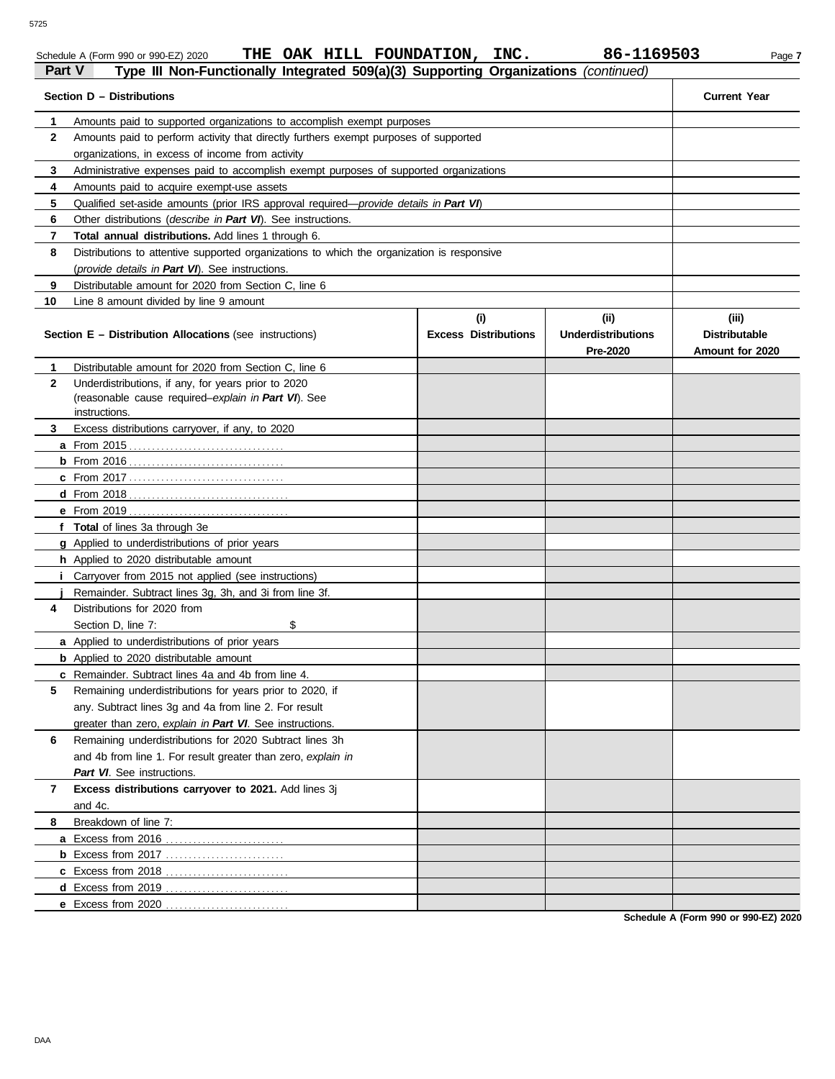|              | THE OAK HILL FOUNDATION, INC.<br>Schedule A (Form 990 or 990-EZ) 2020                                                       |                                    | 86-1169503                                    | Page 7                                           |
|--------------|-----------------------------------------------------------------------------------------------------------------------------|------------------------------------|-----------------------------------------------|--------------------------------------------------|
| Part V       | Type III Non-Functionally Integrated 509(a)(3) Supporting Organizations (continued)                                         |                                    |                                               |                                                  |
|              | Section D - Distributions                                                                                                   |                                    |                                               | <b>Current Year</b>                              |
|              | Amounts paid to supported organizations to accomplish exempt purposes                                                       |                                    |                                               |                                                  |
| $\mathbf{2}$ | Amounts paid to perform activity that directly furthers exempt purposes of supported                                        |                                    |                                               |                                                  |
|              | organizations, in excess of income from activity                                                                            |                                    |                                               |                                                  |
| 3            | Administrative expenses paid to accomplish exempt purposes of supported organizations                                       |                                    |                                               |                                                  |
| 4            | Amounts paid to acquire exempt-use assets                                                                                   |                                    |                                               |                                                  |
| 5            | Qualified set-aside amounts (prior IRS approval required—provide details in Part VI)                                        |                                    |                                               |                                                  |
| 6            | Other distributions ( <i>describe in Part VI</i> ). See instructions.                                                       |                                    |                                               |                                                  |
| 7            | Total annual distributions. Add lines 1 through 6.                                                                          |                                    |                                               |                                                  |
| 8            | Distributions to attentive supported organizations to which the organization is responsive                                  |                                    |                                               |                                                  |
|              | (provide details in Part VI). See instructions.                                                                             |                                    |                                               |                                                  |
| 9            | Distributable amount for 2020 from Section C, line 6                                                                        |                                    |                                               |                                                  |
| 10           | Line 8 amount divided by line 9 amount                                                                                      |                                    |                                               |                                                  |
|              | <b>Section E - Distribution Allocations (see instructions)</b>                                                              | (i)<br><b>Excess Distributions</b> | (ii)<br><b>Underdistributions</b><br>Pre-2020 | (iii)<br><b>Distributable</b><br>Amount for 2020 |
|              | Distributable amount for 2020 from Section C, line 6                                                                        |                                    |                                               |                                                  |
| $\mathbf{2}$ | Underdistributions, if any, for years prior to 2020<br>(reasonable cause required-explain in Part VI). See<br>instructions. |                                    |                                               |                                                  |
| 3            | Excess distributions carryover, if any, to 2020                                                                             |                                    |                                               |                                                  |
|              |                                                                                                                             |                                    |                                               |                                                  |
|              |                                                                                                                             |                                    |                                               |                                                  |
|              |                                                                                                                             |                                    |                                               |                                                  |
|              |                                                                                                                             |                                    |                                               |                                                  |
|              |                                                                                                                             |                                    |                                               |                                                  |
|              | f Total of lines 3a through 3e                                                                                              |                                    |                                               |                                                  |
|              | g Applied to underdistributions of prior years                                                                              |                                    |                                               |                                                  |
|              | h Applied to 2020 distributable amount                                                                                      |                                    |                                               |                                                  |
|              | Carryover from 2015 not applied (see instructions)                                                                          |                                    |                                               |                                                  |
|              | Remainder. Subtract lines 3g, 3h, and 3i from line 3f.                                                                      |                                    |                                               |                                                  |
| 4            | Distributions for 2020 from                                                                                                 |                                    |                                               |                                                  |
|              | \$<br>Section D, line 7:                                                                                                    |                                    |                                               |                                                  |
|              | a Applied to underdistributions of prior years                                                                              |                                    |                                               |                                                  |
|              | <b>b</b> Applied to 2020 distributable amount                                                                               |                                    |                                               |                                                  |
|              | c Remainder. Subtract lines 4a and 4b from line 4.                                                                          |                                    |                                               |                                                  |
| 5            | Remaining underdistributions for years prior to 2020, if                                                                    |                                    |                                               |                                                  |
|              | any. Subtract lines 3g and 4a from line 2. For result                                                                       |                                    |                                               |                                                  |
|              | greater than zero, explain in Part VI. See instructions.                                                                    |                                    |                                               |                                                  |
| 6            | Remaining underdistributions for 2020 Subtract lines 3h                                                                     |                                    |                                               |                                                  |
|              | and 4b from line 1. For result greater than zero, explain in<br>Part VI. See instructions.                                  |                                    |                                               |                                                  |
| 7            | Excess distributions carryover to 2021. Add lines 3j<br>and 4c.                                                             |                                    |                                               |                                                  |
| 8.           | Breakdown of line 7:                                                                                                        |                                    |                                               |                                                  |
|              | a Excess from 2016                                                                                                          |                                    |                                               |                                                  |
|              |                                                                                                                             |                                    |                                               |                                                  |
|              |                                                                                                                             |                                    |                                               |                                                  |
|              |                                                                                                                             |                                    |                                               |                                                  |
|              | e Excess from 2020                                                                                                          |                                    |                                               |                                                  |

**Schedule A (Form 990 or 990-EZ) 2020**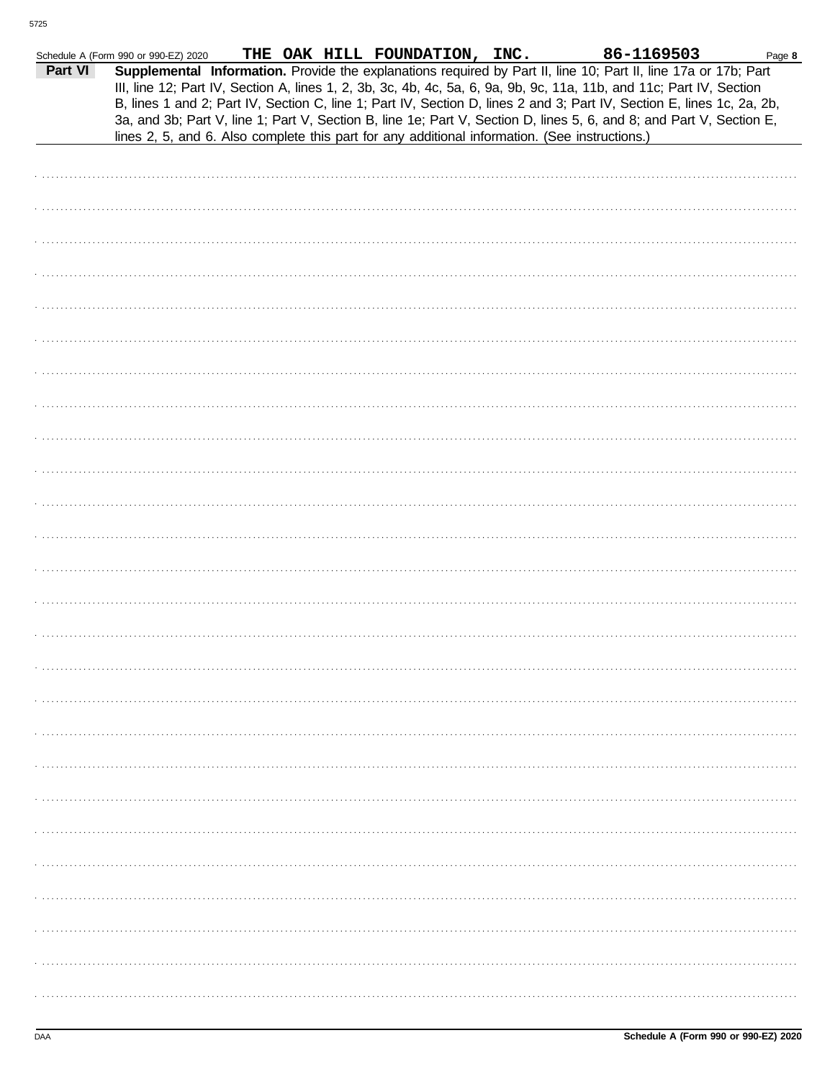|         | Schedule A (Form 990 or 990-EZ) 2020                                                           | THE OAK HILL FOUNDATION, INC. |  | 86-1169503                                                                                                                                                                                                                                                                                                                                                                                                                                                                                | Page 8 |
|---------|------------------------------------------------------------------------------------------------|-------------------------------|--|-------------------------------------------------------------------------------------------------------------------------------------------------------------------------------------------------------------------------------------------------------------------------------------------------------------------------------------------------------------------------------------------------------------------------------------------------------------------------------------------|--------|
| Part VI | lines 2, 5, and 6. Also complete this part for any additional information. (See instructions.) |                               |  | Supplemental Information. Provide the explanations required by Part II, line 10; Part II, line 17a or 17b; Part<br>III, line 12; Part IV, Section A, lines 1, 2, 3b, 3c, 4b, 4c, 5a, 6, 9a, 9b, 9c, 11a, 11b, and 11c; Part IV, Section<br>B, lines 1 and 2; Part IV, Section C, line 1; Part IV, Section D, lines 2 and 3; Part IV, Section E, lines 1c, 2a, 2b,<br>3a, and 3b; Part V, line 1; Part V, Section B, line 1e; Part V, Section D, lines 5, 6, and 8; and Part V, Section E, |        |
|         |                                                                                                |                               |  |                                                                                                                                                                                                                                                                                                                                                                                                                                                                                           |        |
|         |                                                                                                |                               |  |                                                                                                                                                                                                                                                                                                                                                                                                                                                                                           |        |
|         |                                                                                                |                               |  |                                                                                                                                                                                                                                                                                                                                                                                                                                                                                           |        |
|         |                                                                                                |                               |  |                                                                                                                                                                                                                                                                                                                                                                                                                                                                                           |        |
|         |                                                                                                |                               |  |                                                                                                                                                                                                                                                                                                                                                                                                                                                                                           |        |
|         |                                                                                                |                               |  |                                                                                                                                                                                                                                                                                                                                                                                                                                                                                           |        |
|         |                                                                                                |                               |  |                                                                                                                                                                                                                                                                                                                                                                                                                                                                                           |        |
|         |                                                                                                |                               |  |                                                                                                                                                                                                                                                                                                                                                                                                                                                                                           |        |
|         |                                                                                                |                               |  |                                                                                                                                                                                                                                                                                                                                                                                                                                                                                           |        |
|         |                                                                                                |                               |  |                                                                                                                                                                                                                                                                                                                                                                                                                                                                                           |        |
|         |                                                                                                |                               |  |                                                                                                                                                                                                                                                                                                                                                                                                                                                                                           |        |
|         |                                                                                                |                               |  |                                                                                                                                                                                                                                                                                                                                                                                                                                                                                           |        |
|         |                                                                                                |                               |  |                                                                                                                                                                                                                                                                                                                                                                                                                                                                                           |        |
|         |                                                                                                |                               |  |                                                                                                                                                                                                                                                                                                                                                                                                                                                                                           |        |
|         |                                                                                                |                               |  |                                                                                                                                                                                                                                                                                                                                                                                                                                                                                           |        |
|         |                                                                                                |                               |  |                                                                                                                                                                                                                                                                                                                                                                                                                                                                                           |        |
|         |                                                                                                |                               |  |                                                                                                                                                                                                                                                                                                                                                                                                                                                                                           |        |
|         |                                                                                                |                               |  |                                                                                                                                                                                                                                                                                                                                                                                                                                                                                           |        |
|         |                                                                                                |                               |  |                                                                                                                                                                                                                                                                                                                                                                                                                                                                                           |        |
|         |                                                                                                |                               |  |                                                                                                                                                                                                                                                                                                                                                                                                                                                                                           |        |
|         |                                                                                                |                               |  |                                                                                                                                                                                                                                                                                                                                                                                                                                                                                           |        |
|         |                                                                                                |                               |  |                                                                                                                                                                                                                                                                                                                                                                                                                                                                                           |        |
|         |                                                                                                |                               |  |                                                                                                                                                                                                                                                                                                                                                                                                                                                                                           |        |
|         |                                                                                                |                               |  |                                                                                                                                                                                                                                                                                                                                                                                                                                                                                           |        |
|         |                                                                                                |                               |  |                                                                                                                                                                                                                                                                                                                                                                                                                                                                                           |        |
|         |                                                                                                |                               |  |                                                                                                                                                                                                                                                                                                                                                                                                                                                                                           |        |
|         |                                                                                                |                               |  |                                                                                                                                                                                                                                                                                                                                                                                                                                                                                           |        |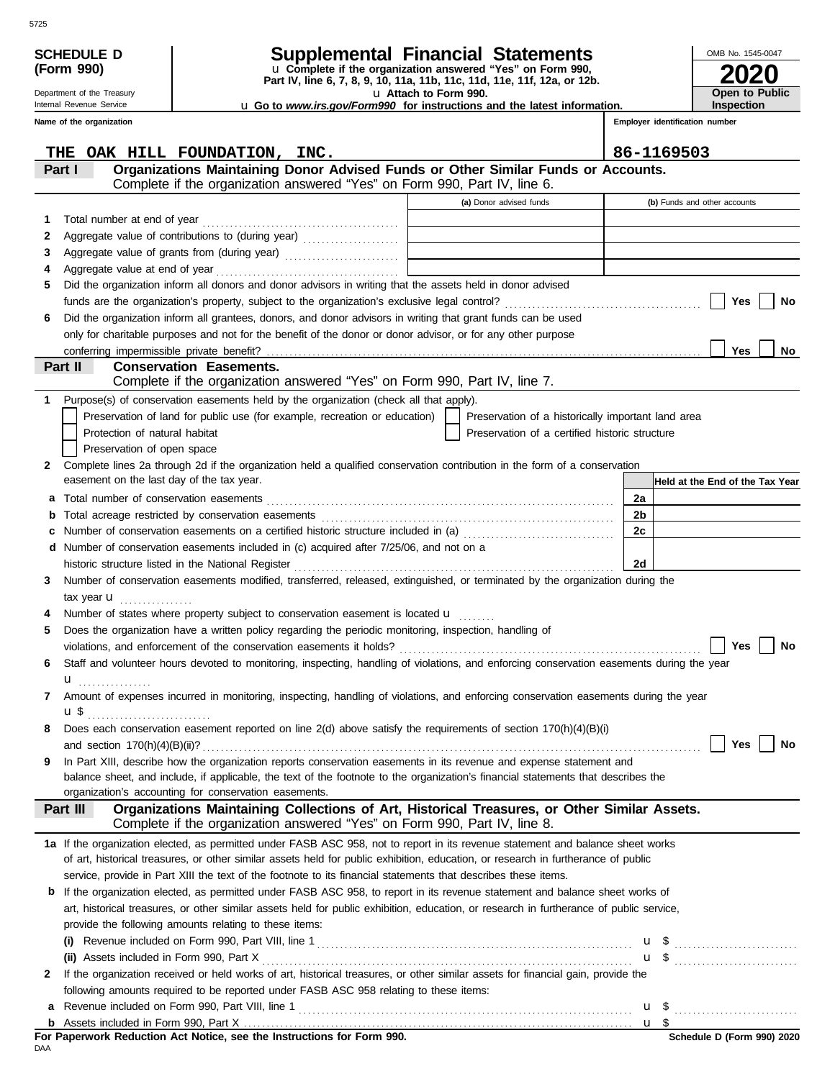|         | <b>SCHEDULE D</b>                                                                                                                                    | <b>Supplemental Financial Statements</b>                                                                                                                       |  |                                                    |    | OMB No. 1545-0047                   |
|---------|------------------------------------------------------------------------------------------------------------------------------------------------------|----------------------------------------------------------------------------------------------------------------------------------------------------------------|--|----------------------------------------------------|----|-------------------------------------|
|         | u Complete if the organization answered "Yes" on Form 990,<br>(Form 990)<br>Part IV, line 6, 7, 8, 9, 10, 11a, 11b, 11c, 11d, 11e, 11f, 12a, or 12b. |                                                                                                                                                                |  |                                                    |    |                                     |
|         | Department of the Treasury<br>Internal Revenue Service                                                                                               | u Attach to Form 990.                                                                                                                                          |  |                                                    |    | <b>Open to Public</b><br>Inspection |
|         | Name of the organization                                                                                                                             | <b>u</b> Go to www.irs.gov/Form990 for instructions and the latest information.                                                                                |  |                                                    |    | Employer identification number      |
|         |                                                                                                                                                      |                                                                                                                                                                |  |                                                    |    |                                     |
| THE     |                                                                                                                                                      | OAK HILL FOUNDATION, INC.                                                                                                                                      |  |                                                    |    | 86-1169503                          |
| Part I  |                                                                                                                                                      | Organizations Maintaining Donor Advised Funds or Other Similar Funds or Accounts.<br>Complete if the organization answered "Yes" on Form 990, Part IV, line 6. |  |                                                    |    |                                     |
|         |                                                                                                                                                      |                                                                                                                                                                |  | (a) Donor advised funds                            |    | (b) Funds and other accounts        |
| 1       |                                                                                                                                                      |                                                                                                                                                                |  |                                                    |    |                                     |
| 2       |                                                                                                                                                      | Aggregate value of contributions to (during year)                                                                                                              |  |                                                    |    |                                     |
| 3       |                                                                                                                                                      |                                                                                                                                                                |  |                                                    |    |                                     |
| 4       |                                                                                                                                                      |                                                                                                                                                                |  |                                                    |    |                                     |
| 5       |                                                                                                                                                      | Did the organization inform all donors and donor advisors in writing that the assets held in donor advised                                                     |  |                                                    |    |                                     |
|         |                                                                                                                                                      |                                                                                                                                                                |  |                                                    |    | Yes<br>No                           |
| 6       |                                                                                                                                                      | Did the organization inform all grantees, donors, and donor advisors in writing that grant funds can be used                                                   |  |                                                    |    |                                     |
|         |                                                                                                                                                      | only for charitable purposes and not for the benefit of the donor or donor advisor, or for any other purpose                                                   |  |                                                    |    | Yes<br><b>No</b>                    |
| Part II |                                                                                                                                                      | <b>Conservation Easements.</b>                                                                                                                                 |  |                                                    |    |                                     |
|         |                                                                                                                                                      | Complete if the organization answered "Yes" on Form 990, Part IV, line 7.                                                                                      |  |                                                    |    |                                     |
| 1.      |                                                                                                                                                      | Purpose(s) of conservation easements held by the organization (check all that apply).                                                                          |  |                                                    |    |                                     |
|         |                                                                                                                                                      | Preservation of land for public use (for example, recreation or education)                                                                                     |  | Preservation of a historically important land area |    |                                     |
|         | Protection of natural habitat                                                                                                                        |                                                                                                                                                                |  | Preservation of a certified historic structure     |    |                                     |
|         | Preservation of open space                                                                                                                           |                                                                                                                                                                |  |                                                    |    |                                     |
| 2       | easement on the last day of the tax year.                                                                                                            | Complete lines 2a through 2d if the organization held a qualified conservation contribution in the form of a conservation                                      |  |                                                    |    |                                     |
| a       |                                                                                                                                                      |                                                                                                                                                                |  |                                                    | 2a | Held at the End of the Tax Year     |
| b       |                                                                                                                                                      |                                                                                                                                                                |  |                                                    | 2b |                                     |
| c       |                                                                                                                                                      | Number of conservation easements on a certified historic structure included in (a) [[[[[[[[[[[[[[[[[[[[[[[[[]]]]]]]                                            |  |                                                    | 2c |                                     |
| d       |                                                                                                                                                      | Number of conservation easements included in (c) acquired after 7/25/06, and not on a                                                                          |  |                                                    |    |                                     |
|         |                                                                                                                                                      |                                                                                                                                                                |  |                                                    | 2d |                                     |
| 3       |                                                                                                                                                      | Number of conservation easements modified, transferred, released, extinguished, or terminated by the organization during the                                   |  |                                                    |    |                                     |
|         | tax year <b>u</b><br>.                                                                                                                               |                                                                                                                                                                |  |                                                    |    |                                     |
|         |                                                                                                                                                      | Number of states where property subject to conservation easement is located <b>u</b>                                                                           |  |                                                    |    |                                     |
| 5       |                                                                                                                                                      | Does the organization have a written policy regarding the periodic monitoring, inspection, handling of                                                         |  |                                                    |    |                                     |
|         |                                                                                                                                                      | violations, and enforcement of the conservation easements it holds?                                                                                            |  |                                                    |    | Yes<br>No                           |
| 6       |                                                                                                                                                      | Staff and volunteer hours devoted to monitoring, inspecting, handling of violations, and enforcing conservation easements during the year                      |  |                                                    |    |                                     |
| 7       | u <sub></sub>                                                                                                                                        | Amount of expenses incurred in monitoring, inspecting, handling of violations, and enforcing conservation easements during the year                            |  |                                                    |    |                                     |
|         | u\$                                                                                                                                                  |                                                                                                                                                                |  |                                                    |    |                                     |
| 8       |                                                                                                                                                      | Does each conservation easement reported on line $2(d)$ above satisfy the requirements of section $170(h)(4)(B)(i)$                                            |  |                                                    |    |                                     |
|         |                                                                                                                                                      |                                                                                                                                                                |  |                                                    |    | Yes<br><b>No</b>                    |
| 9       |                                                                                                                                                      | In Part XIII, describe how the organization reports conservation easements in its revenue and expense statement and                                            |  |                                                    |    |                                     |
|         |                                                                                                                                                      | balance sheet, and include, if applicable, the text of the footnote to the organization's financial statements that describes the                              |  |                                                    |    |                                     |
|         |                                                                                                                                                      | organization's accounting for conservation easements.<br>Organizations Maintaining Collections of Art, Historical Treasures, or Other Similar Assets.          |  |                                                    |    |                                     |
|         | Part III                                                                                                                                             | Complete if the organization answered "Yes" on Form 990, Part IV, line 8.                                                                                      |  |                                                    |    |                                     |
|         |                                                                                                                                                      | 1a If the organization elected, as permitted under FASB ASC 958, not to report in its revenue statement and balance sheet works                                |  |                                                    |    |                                     |
|         |                                                                                                                                                      | of art, historical treasures, or other similar assets held for public exhibition, education, or research in furtherance of public                              |  |                                                    |    |                                     |
|         |                                                                                                                                                      | service, provide in Part XIII the text of the footnote to its financial statements that describes these items.                                                 |  |                                                    |    |                                     |
| b       |                                                                                                                                                      | If the organization elected, as permitted under FASB ASC 958, to report in its revenue statement and balance sheet works of                                    |  |                                                    |    |                                     |
|         |                                                                                                                                                      | art, historical treasures, or other similar assets held for public exhibition, education, or research in furtherance of public service,                        |  |                                                    |    |                                     |
|         |                                                                                                                                                      | provide the following amounts relating to these items:                                                                                                         |  |                                                    |    |                                     |
|         |                                                                                                                                                      |                                                                                                                                                                |  |                                                    |    |                                     |
| 2       | (ii) Assets included in Form 990, Part X                                                                                                             | If the organization received or held works of art, historical treasures, or other similar assets for financial gain, provide the                               |  |                                                    |    |                                     |
|         |                                                                                                                                                      | following amounts required to be reported under FASB ASC 958 relating to these items:                                                                          |  |                                                    |    |                                     |
| а       |                                                                                                                                                      |                                                                                                                                                                |  |                                                    |    |                                     |
|         |                                                                                                                                                      |                                                                                                                                                                |  |                                                    |    |                                     |
| DAA     |                                                                                                                                                      |                                                                                                                                                                |  |                                                    |    | Schedule D (Form 990) 2020          |
|         |                                                                                                                                                      |                                                                                                                                                                |  |                                                    |    |                                     |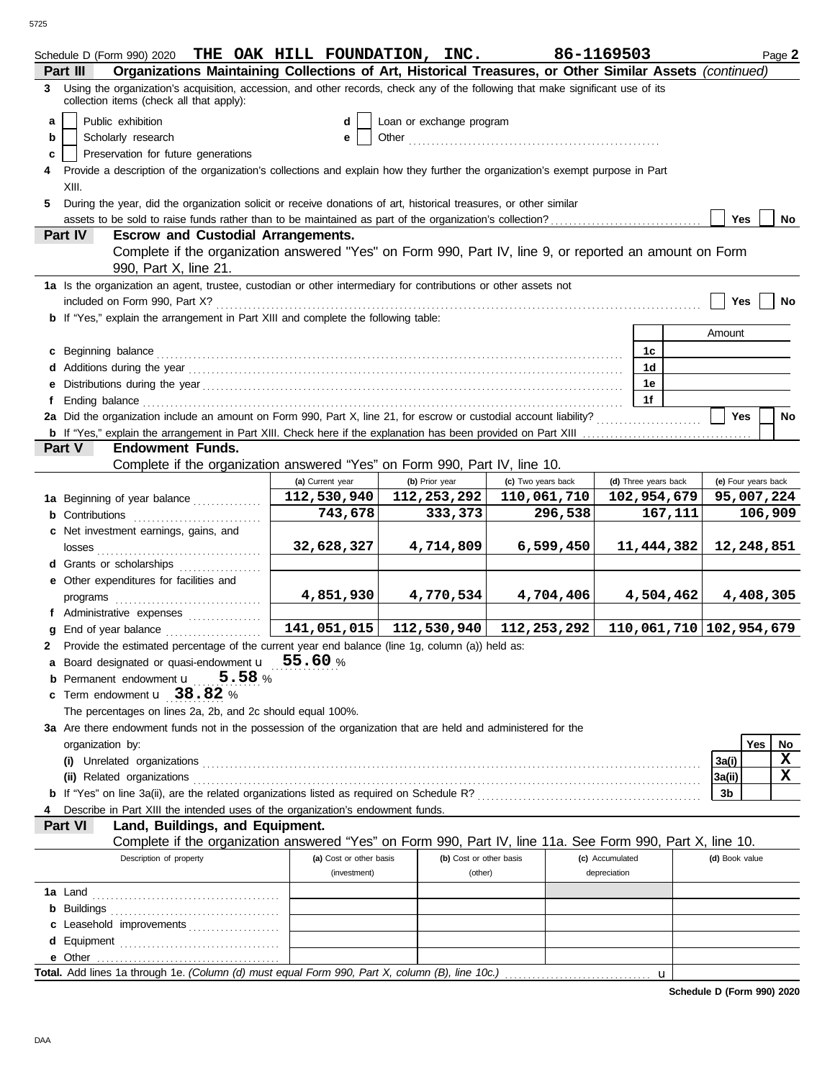| Schedule D (Form 990) 2020 THE OAK HILL FOUNDATION, INC.                                                                                                                      |                         |                          |                    | 86-1169503              |                | Page 2              |
|-------------------------------------------------------------------------------------------------------------------------------------------------------------------------------|-------------------------|--------------------------|--------------------|-------------------------|----------------|---------------------|
| Organizations Maintaining Collections of Art, Historical Treasures, or Other Similar Assets (continued)<br>Part III                                                           |                         |                          |                    |                         |                |                     |
| 3 Using the organization's acquisition, accession, and other records, check any of the following that make significant use of its<br>collection items (check all that apply): |                         |                          |                    |                         |                |                     |
| Public exhibition<br>a                                                                                                                                                        | d                       |                          |                    |                         |                |                     |
|                                                                                                                                                                               |                         | Loan or exchange program |                    |                         |                |                     |
| Scholarly research<br>b                                                                                                                                                       | е                       |                          |                    |                         |                |                     |
| Preservation for future generations<br>c                                                                                                                                      |                         |                          |                    |                         |                |                     |
| Provide a description of the organization's collections and explain how they further the organization's exempt purpose in Part                                                |                         |                          |                    |                         |                |                     |
| XIII.                                                                                                                                                                         |                         |                          |                    |                         |                |                     |
| During the year, did the organization solicit or receive donations of art, historical treasures, or other similar<br>5.                                                       |                         |                          |                    |                         |                |                     |
|                                                                                                                                                                               |                         |                          |                    |                         | Yes            | No                  |
| <b>Escrow and Custodial Arrangements.</b><br>Part IV                                                                                                                          |                         |                          |                    |                         |                |                     |
| Complete if the organization answered "Yes" on Form 990, Part IV, line 9, or reported an amount on Form                                                                       |                         |                          |                    |                         |                |                     |
| 990, Part X, line 21.                                                                                                                                                         |                         |                          |                    |                         |                |                     |
| 1a Is the organization an agent, trustee, custodian or other intermediary for contributions or other assets not                                                               |                         |                          |                    |                         |                |                     |
| included on Form 990, Part X?                                                                                                                                                 |                         |                          |                    |                         | Yes            | <b>No</b>           |
| <b>b</b> If "Yes," explain the arrangement in Part XIII and complete the following table:                                                                                     |                         |                          |                    |                         |                |                     |
|                                                                                                                                                                               |                         |                          |                    |                         | Amount         |                     |
| c Beginning balance                                                                                                                                                           |                         |                          |                    | 1c                      |                |                     |
|                                                                                                                                                                               |                         |                          |                    | 1 <sub>d</sub>          |                |                     |
|                                                                                                                                                                               |                         |                          |                    | 1e                      |                |                     |
|                                                                                                                                                                               |                         |                          |                    |                         |                |                     |
|                                                                                                                                                                               |                         |                          |                    | 1f                      |                |                     |
| 2a Did the organization include an amount on Form 990, Part X, line 21, for escrow or custodial account liability?                                                            |                         |                          |                    |                         | <b>Yes</b>     | No                  |
|                                                                                                                                                                               |                         |                          |                    |                         |                |                     |
| Part V<br><b>Endowment Funds.</b>                                                                                                                                             |                         |                          |                    |                         |                |                     |
| Complete if the organization answered "Yes" on Form 990, Part IV, line 10.                                                                                                    |                         |                          |                    |                         |                |                     |
|                                                                                                                                                                               | (a) Current year        | (b) Prior year           | (c) Two years back | (d) Three years back    |                | (e) Four years back |
| 1a Beginning of year balance                                                                                                                                                  | 112,530,940             | 112,253,292              | 110,061,710        | 102,954,679             |                | 95,007,224          |
| <b>b</b> Contributions                                                                                                                                                        | 743,678                 | 333,373                  | 296,538            | 167,111                 |                | 106,909             |
| c Net investment earnings, gains, and                                                                                                                                         |                         |                          |                    |                         |                |                     |
|                                                                                                                                                                               | 32,628,327              | 4,714,809                | 6,599,450          | 11,444,382              |                | 12,248,851          |
| d Grants or scholarships                                                                                                                                                      |                         |                          |                    |                         |                |                     |
| e Other expenditures for facilities and                                                                                                                                       |                         |                          |                    |                         |                |                     |
| programs                                                                                                                                                                      | 4,851,930               | 4,770,534                | 4,704,406          | 4,504,462               |                | 4,408,305           |
| f Administrative expenses                                                                                                                                                     |                         |                          |                    |                         |                |                     |
| End of year balance                                                                                                                                                           | 141,051,015             | 112,530,940              | 112,253,292        | 110,061,710 102,954,679 |                |                     |
| Provide the estimated percentage of the current year end balance (line 1g, column (a)) held as:                                                                               |                         |                          |                    |                         |                |                     |
|                                                                                                                                                                               |                         |                          |                    |                         |                |                     |
| Board designated or quasi-endowment <b>u</b> 55.60 %                                                                                                                          |                         |                          |                    |                         |                |                     |
| 5.58 $%$<br><b>b</b> Permanent endowment <b>u</b>                                                                                                                             |                         |                          |                    |                         |                |                     |
| c Term endowment u 38.82 %                                                                                                                                                    |                         |                          |                    |                         |                |                     |
| The percentages on lines 2a, 2b, and 2c should equal 100%.                                                                                                                    |                         |                          |                    |                         |                |                     |
| 3a Are there endowment funds not in the possession of the organization that are held and administered for the                                                                 |                         |                          |                    |                         |                |                     |
| organization by:                                                                                                                                                              |                         |                          |                    |                         |                | Yes<br>No           |
|                                                                                                                                                                               |                         |                          |                    |                         | 3a(i)          | X                   |
| (ii) Related organizations                                                                                                                                                    |                         |                          |                    |                         | 3a(ii)         | X                   |
|                                                                                                                                                                               |                         |                          |                    |                         | 3b             |                     |
| Describe in Part XIII the intended uses of the organization's endowment funds.                                                                                                |                         |                          |                    |                         |                |                     |
| Part VI<br>Land, Buildings, and Equipment.                                                                                                                                    |                         |                          |                    |                         |                |                     |
| Complete if the organization answered "Yes" on Form 990, Part IV, line 11a. See Form 990, Part X, line 10.                                                                    |                         |                          |                    |                         |                |                     |
| Description of property                                                                                                                                                       | (a) Cost or other basis | (b) Cost or other basis  |                    | (c) Accumulated         | (d) Book value |                     |
|                                                                                                                                                                               | (investment)            | (other)                  |                    | depreciation            |                |                     |
|                                                                                                                                                                               |                         |                          |                    |                         |                |                     |
|                                                                                                                                                                               |                         |                          |                    |                         |                |                     |
|                                                                                                                                                                               |                         |                          |                    |                         |                |                     |
| c Leasehold improvements                                                                                                                                                      |                         |                          |                    |                         |                |                     |
|                                                                                                                                                                               |                         |                          |                    |                         |                |                     |
|                                                                                                                                                                               |                         |                          |                    |                         |                |                     |
| Total. Add lines 1a through 1e. (Column (d) must equal Form 990, Part X, column (B), line 10c.)                                                                               |                         |                          |                    | $\mathbf u$             |                |                     |

**Schedule D (Form 990) 2020**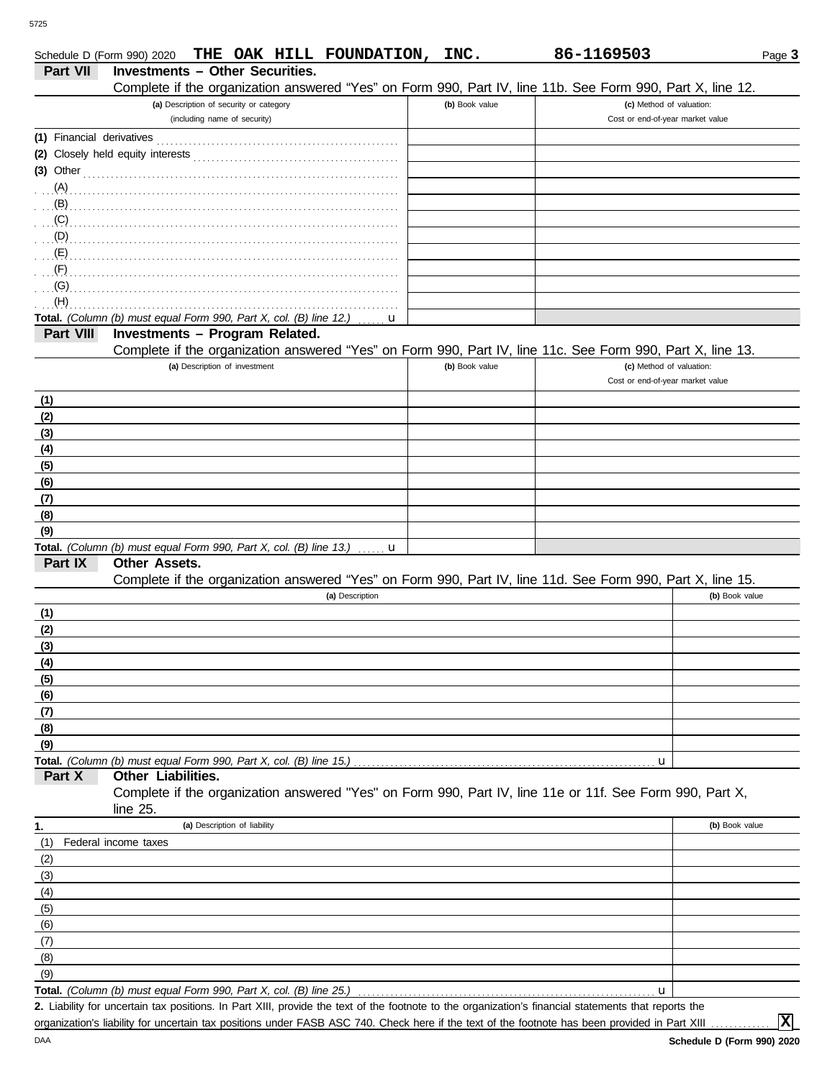|                           | THE OAK HILL FOUNDATION, INC.<br>Schedule D (Form 990) 2020                                                  |                | 86-1169503                       | Page 3         |
|---------------------------|--------------------------------------------------------------------------------------------------------------|----------------|----------------------------------|----------------|
| Part VII                  | <b>Investments - Other Securities.</b>                                                                       |                |                                  |                |
|                           | Complete if the organization answered "Yes" on Form 990, Part IV, line 11b. See Form 990, Part X, line 12.   |                |                                  |                |
|                           | (a) Description of security or category                                                                      | (b) Book value | (c) Method of valuation:         |                |
|                           | (including name of security)                                                                                 |                | Cost or end-of-year market value |                |
|                           |                                                                                                              |                |                                  |                |
|                           |                                                                                                              |                |                                  |                |
|                           | (3) Other $\qquad \qquad$ 0.11                                                                               |                |                                  |                |
|                           |                                                                                                              |                |                                  |                |
|                           |                                                                                                              |                |                                  |                |
|                           |                                                                                                              |                |                                  |                |
| $\mathcal{L}(\mathsf{E})$ |                                                                                                              |                |                                  |                |
| $\mathcal{F}(\mathsf{F})$ |                                                                                                              |                |                                  |                |
| (G)                       |                                                                                                              |                |                                  |                |
| (H)                       |                                                                                                              |                |                                  |                |
|                           | Total. (Column (b) must equal Form 990, Part X, col. (B) line 12.)<br>u                                      |                |                                  |                |
| Part VIII                 | Investments - Program Related.                                                                               |                |                                  |                |
|                           | Complete if the organization answered "Yes" on Form 990, Part IV, line 11c. See Form 990, Part X, line 13.   |                |                                  |                |
|                           | (a) Description of investment                                                                                | (b) Book value | (c) Method of valuation:         |                |
|                           |                                                                                                              |                | Cost or end-of-year market value |                |
| (1)                       |                                                                                                              |                |                                  |                |
| (2)                       |                                                                                                              |                |                                  |                |
| (3)                       |                                                                                                              |                |                                  |                |
| (4)                       |                                                                                                              |                |                                  |                |
| (5)                       |                                                                                                              |                |                                  |                |
| (6)                       |                                                                                                              |                |                                  |                |
| (7)                       |                                                                                                              |                |                                  |                |
| (8)                       |                                                                                                              |                |                                  |                |
| (9)                       |                                                                                                              |                |                                  |                |
| Part IX                   | <b>Total.</b> (Column (b) must equal Form 990, Part X, col. (B) line 13.) $\ldots$ <b>u</b><br>Other Assets. |                |                                  |                |
|                           | Complete if the organization answered "Yes" on Form 990, Part IV, line 11d. See Form 990, Part X, line 15.   |                |                                  |                |
|                           | (a) Description                                                                                              |                |                                  | (b) Book value |
| (1)                       |                                                                                                              |                |                                  |                |
| (2)                       |                                                                                                              |                |                                  |                |
| (3)                       |                                                                                                              |                |                                  |                |
| (4)                       |                                                                                                              |                |                                  |                |
| (5)                       |                                                                                                              |                |                                  |                |
| (6)                       |                                                                                                              |                |                                  |                |
| (7)                       |                                                                                                              |                |                                  |                |
| (8)                       |                                                                                                              |                |                                  |                |
| (9)                       |                                                                                                              |                |                                  |                |
|                           | Total. (Column (b) must equal Form 990, Part X, col. (B) line 15.)                                           |                | u                                |                |
| Part X                    | Other Liabilities.                                                                                           |                |                                  |                |
|                           | Complete if the organization answered "Yes" on Form 990, Part IV, line 11e or 11f. See Form 990, Part X,     |                |                                  |                |
|                           | line 25.<br>(a) Description of liability                                                                     |                |                                  | (b) Book value |
| 1.<br>(1)                 | Federal income taxes                                                                                         |                |                                  |                |
| (2)                       |                                                                                                              |                |                                  |                |
| (3)                       |                                                                                                              |                |                                  |                |
| (4)                       |                                                                                                              |                |                                  |                |
| (5)                       |                                                                                                              |                |                                  |                |
| (6)                       |                                                                                                              |                |                                  |                |
| (7)                       |                                                                                                              |                |                                  |                |
| (8)                       |                                                                                                              |                |                                  |                |
| (9)                       |                                                                                                              |                |                                  |                |
|                           | <b>Total.</b> (Column (b) must equal Form 990, Part X, col. (B) line 25.)                                    |                | u                                |                |
|                           | uppertoin toy positions. In Part VIII, provide the toy of the fectpate to the                                |                |                                  |                |

Liability for uncertain tax positions. In Part XIII, provide the text of the footnote to the organization's financial statements that reports the **2.** organization's liability for uncertain tax positions under FASB ASC 740. Check here if the text of the footnote has been provided in Part XIII

**X**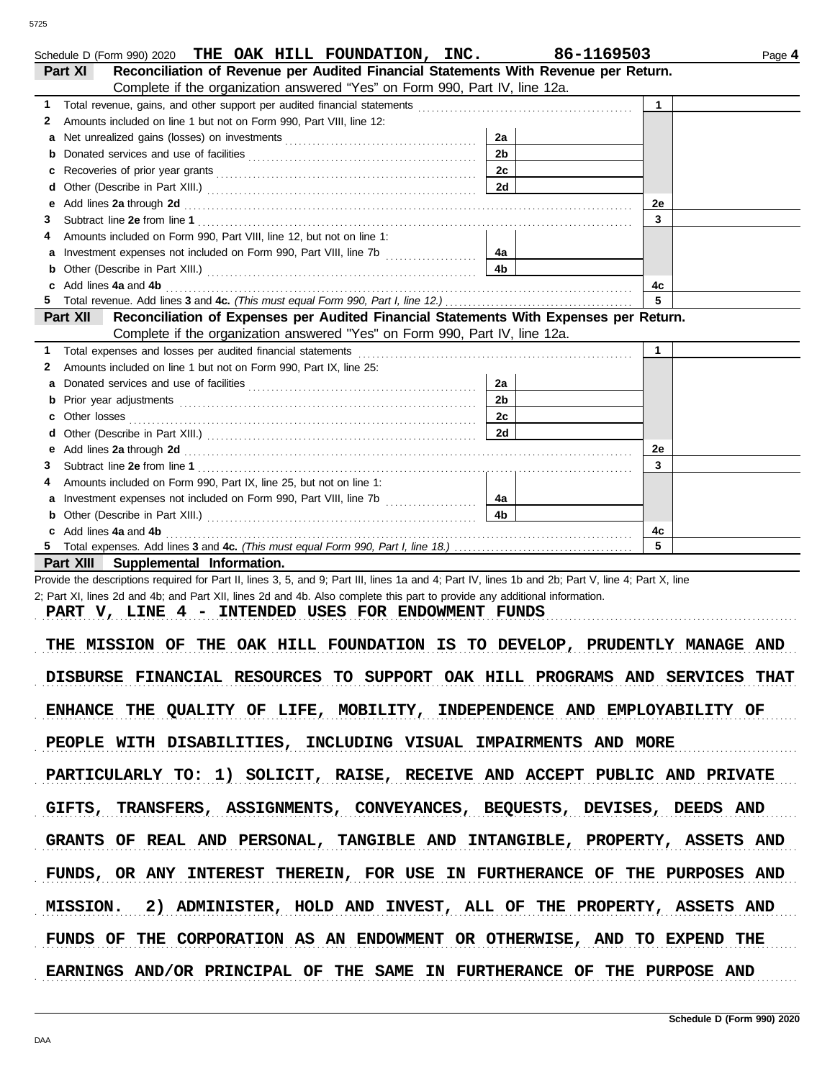| Reconciliation of Revenue per Audited Financial Statements With Revenue per Return.<br>Part XI                                                                                                                                                                                   | THE OAK HILL FOUNDATION, INC. | 86-1169503   | Page 4 |
|----------------------------------------------------------------------------------------------------------------------------------------------------------------------------------------------------------------------------------------------------------------------------------|-------------------------------|--------------|--------|
| Complete if the organization answered "Yes" on Form 990, Part IV, line 12a.                                                                                                                                                                                                      |                               |              |        |
| 1                                                                                                                                                                                                                                                                                |                               | 1            |        |
| Amounts included on line 1 but not on Form 990, Part VIII, line 12:<br>2                                                                                                                                                                                                         |                               |              |        |
| a                                                                                                                                                                                                                                                                                | 2a                            |              |        |
| b                                                                                                                                                                                                                                                                                | 2 <sub>b</sub>                |              |        |
| c                                                                                                                                                                                                                                                                                | 2c                            |              |        |
| d                                                                                                                                                                                                                                                                                | 2d                            |              |        |
| Add lines 2a through 2d [11] All and the contract of the contract of the contract of the contract of the contract of the contract of the contract of the contract of the contract of the contract of the contract of the contr<br>е                                              |                               | 2е           |        |
| 3                                                                                                                                                                                                                                                                                |                               | 3            |        |
| Amounts included on Form 990, Part VIII, line 12, but not on line 1:<br>4                                                                                                                                                                                                        |                               |              |        |
| a                                                                                                                                                                                                                                                                                | 4a                            |              |        |
| b                                                                                                                                                                                                                                                                                | 4b                            |              |        |
| Add lines 4a and 4b<br>c                                                                                                                                                                                                                                                         |                               | 4c           |        |
|                                                                                                                                                                                                                                                                                  |                               | 5            |        |
| Reconciliation of Expenses per Audited Financial Statements With Expenses per Return.<br>Part XII                                                                                                                                                                                |                               |              |        |
| Complete if the organization answered "Yes" on Form 990, Part IV, line 12a.                                                                                                                                                                                                      |                               |              |        |
| 1                                                                                                                                                                                                                                                                                |                               | $\mathbf{1}$ |        |
| Amounts included on line 1 but not on Form 990, Part IX, line 25:<br>2                                                                                                                                                                                                           |                               |              |        |
| a                                                                                                                                                                                                                                                                                | 2a                            |              |        |
| b                                                                                                                                                                                                                                                                                | 2 <sub>b</sub>                |              |        |
| Other losses<br>c                                                                                                                                                                                                                                                                | 2c                            |              |        |
| d                                                                                                                                                                                                                                                                                | 2d                            |              |        |
| е                                                                                                                                                                                                                                                                                |                               | 2e           |        |
| 3                                                                                                                                                                                                                                                                                |                               | 3            |        |
| Amounts included on Form 990, Part IX, line 25, but not on line 1:<br>4                                                                                                                                                                                                          |                               |              |        |
| Investment expenses not included on Form 990, Part VIII, line 7b [11, 11, 11, 11, 11, 11, 11, 11, 11<br>а                                                                                                                                                                        | 4a                            |              |        |
| b                                                                                                                                                                                                                                                                                | 4 <sub>b</sub>                |              |        |
| Add lines 4a and 4b                                                                                                                                                                                                                                                              |                               | 4c           |        |
|                                                                                                                                                                                                                                                                                  |                               | 5            |        |
|                                                                                                                                                                                                                                                                                  |                               |              |        |
|                                                                                                                                                                                                                                                                                  |                               |              |        |
| Part XIII Supplemental Information.                                                                                                                                                                                                                                              |                               |              |        |
| Provide the descriptions required for Part II, lines 3, 5, and 9; Part III, lines 1a and 4; Part IV, lines 1b and 2b; Part V, line 4; Part X, line<br>2; Part XI, lines 2d and 4b; and Part XII, lines 2d and 4b. Also complete this part to provide any additional information. |                               |              |        |

PART V, LINE 4 - INTENDED USES FOR ENDOWMENT FUNDS

THE MISSION OF THE OAK HILL FOUNDATION IS TO DEVELOP, PRUDENTLY MANAGE AND DISBURSE FINANCIAL RESOURCES TO SUPPORT OAK HILL PROGRAMS AND SERVICES THAT ENHANCE THE QUALITY OF LIFE, MOBILITY, INDEPENDENCE AND EMPLOYABILITY OF PEOPLE WITH DISABILITIES, INCLUDING VISUAL IMPAIRMENTS AND MORE PARTICULARLY TO: 1) SOLICIT, RAISE, RECEIVE AND ACCEPT PUBLIC AND PRIVATE GIFTS, TRANSFERS, ASSIGNMENTS, CONVEYANCES, BEQUESTS, DEVISES, DEEDS AND MISSION. 2) ADMINISTER, HOLD AND INVEST, ALL OF THE PROPERTY, ASSETS AND GRANTS OF REAL AND PERSONAL, TANGIBLE AND INTANGIBLE, PROPERTY, ASSETS AND FUNDS, OR ANY INTEREST THEREIN, FOR USE IN FURTHERANCE OF THE PURPOSES AND FUNDS OF THE CORPORATION AS AN ENDOWMENT OR OTHERWISE, AND TO EXPEND THE EARNINGS AND/OR PRINCIPAL OF THE SAME IN FURTHERANCE OF THE PURPOSE AND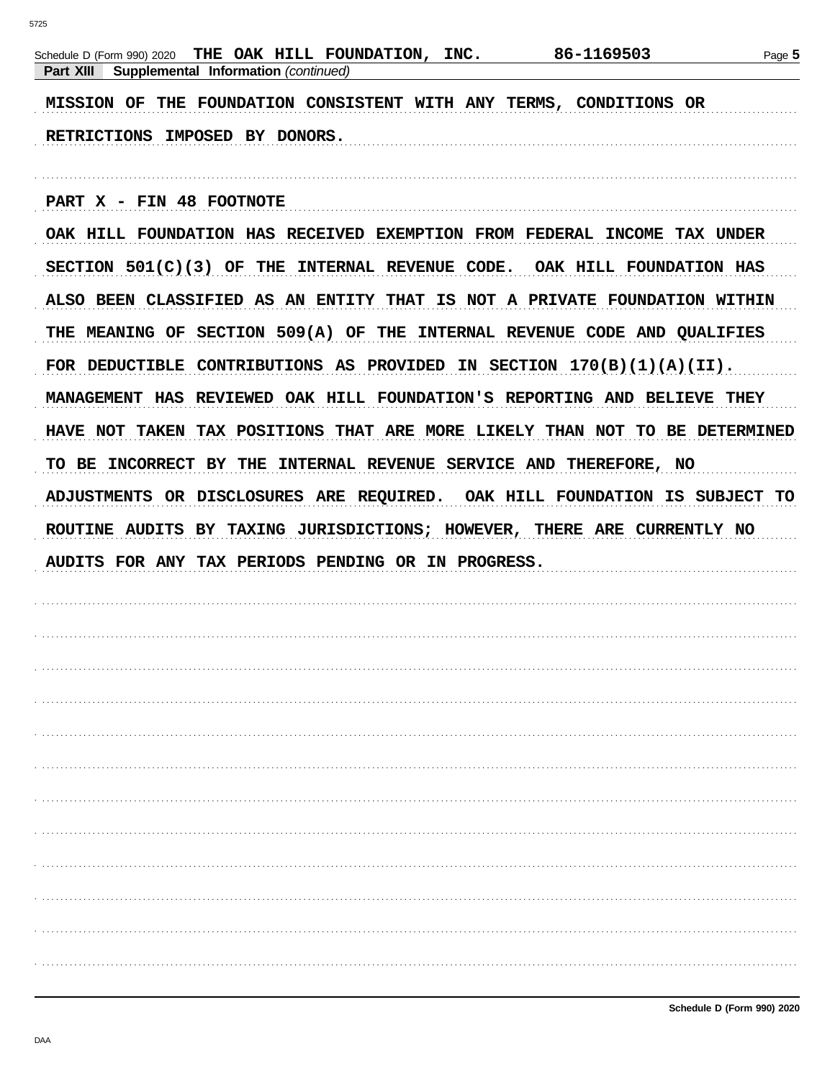| THE OAK HILL FOUNDATION, INC.<br>Schedule D (Form 990) 2020                  | 86-1169503<br>Page 5 |
|------------------------------------------------------------------------------|----------------------|
| Supplemental Information (continued)<br>Part XIII                            |                      |
| THE FOUNDATION CONSISTENT WITH ANY TERMS, CONDITIONS OR<br><b>MISSION OF</b> |                      |
| RETRICTIONS IMPOSED BY DONORS.                                               |                      |
|                                                                              |                      |
| PART X - FIN 48 FOOTNOTE                                                     |                      |
| OAK HILL FOUNDATION HAS RECEIVED EXEMPTION FROM FEDERAL INCOME TAX UNDER     |                      |
| $SECTION 501(C)(3)$ OF THE INTERNAL REVENUE CODE. OAK HILL FOUNDATION HAS    |                      |
| ALSO BEEN CLASSIFIED AS AN ENTITY THAT IS NOT A PRIVATE FOUNDATION WITHIN    |                      |
| THE MEANING OF SECTION 509(A) OF THE INTERNAL REVENUE CODE AND QUALIFIES     |                      |
| FOR DEDUCTIBLE CONTRIBUTIONS AS PROVIDED IN SECTION $170(B)(1)(A)(II)$ .     |                      |
| MANAGEMENT HAS REVIEWED OAK HILL FOUNDATION'S REPORTING AND BELIEVE THEY     |                      |
| HAVE NOT TAKEN TAX POSITIONS THAT ARE MORE LIKELY THAN NOT TO BE DETERMINED  |                      |
| TO BE INCORRECT BY THE INTERNAL REVENUE SERVICE AND THEREFORE, NO            |                      |
| ADJUSTMENTS OR DISCLOSURES ARE REQUIRED. OAK HILL FOUNDATION IS SUBJECT TO   |                      |
| ROUTINE AUDITS BY TAXING JURISDICTIONS; HOWEVER, THERE ARE CURRENTLY NO      |                      |
| AUDITS FOR ANY TAX PERIODS PENDING OR IN PROGRESS.                           |                      |
|                                                                              |                      |
|                                                                              |                      |
|                                                                              |                      |
|                                                                              |                      |
|                                                                              |                      |
|                                                                              |                      |
|                                                                              |                      |
|                                                                              |                      |
|                                                                              |                      |
|                                                                              |                      |
|                                                                              |                      |
|                                                                              |                      |
|                                                                              |                      |
|                                                                              |                      |
|                                                                              |                      |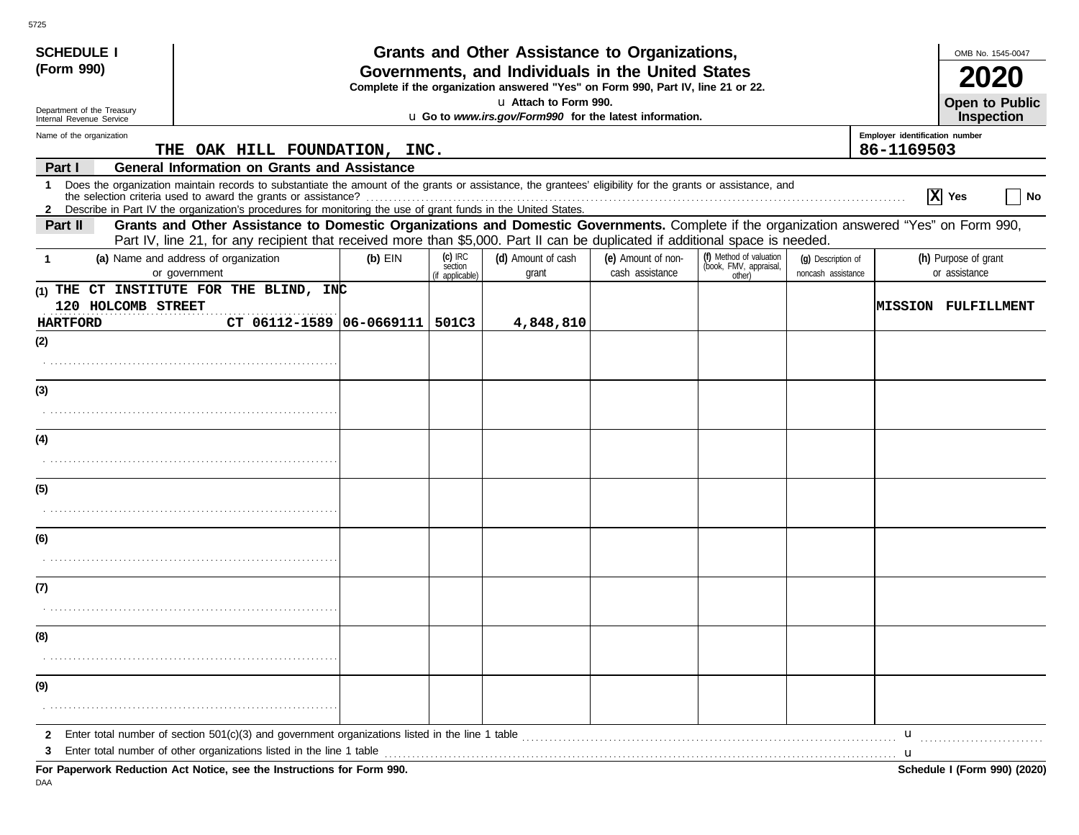| <b>SCHEDULE I</b>                                      |                                                                                                                                                                                                                                                                                                                                                 |           |                                         | Grants and Other Assistance to Organizations,                                                                                         |                                       |                                                             |                                          |                                              | OMB No. 1545-0047                     |
|--------------------------------------------------------|-------------------------------------------------------------------------------------------------------------------------------------------------------------------------------------------------------------------------------------------------------------------------------------------------------------------------------------------------|-----------|-----------------------------------------|---------------------------------------------------------------------------------------------------------------------------------------|---------------------------------------|-------------------------------------------------------------|------------------------------------------|----------------------------------------------|---------------------------------------|
| (Form 990)                                             |                                                                                                                                                                                                                                                                                                                                                 |           |                                         | Governments, and Individuals in the United States<br>Complete if the organization answered "Yes" on Form 990, Part IV, line 21 or 22. |                                       |                                                             |                                          |                                              |                                       |
|                                                        |                                                                                                                                                                                                                                                                                                                                                 |           |                                         | u Attach to Form 990.                                                                                                                 |                                       |                                                             |                                          |                                              | <b>Open to Public</b>                 |
| Department of the Treasury<br>Internal Revenue Service |                                                                                                                                                                                                                                                                                                                                                 |           |                                         | u Go to www.irs.gov/Form990 for the latest information.                                                                               |                                       |                                                             |                                          |                                              | <b>Inspection</b>                     |
| Name of the organization                               | THE OAK HILL FOUNDATION, INC.                                                                                                                                                                                                                                                                                                                   |           |                                         |                                                                                                                                       |                                       |                                                             |                                          | Employer identification number<br>86-1169503 |                                       |
| Part I                                                 | <b>General Information on Grants and Assistance</b>                                                                                                                                                                                                                                                                                             |           |                                         |                                                                                                                                       |                                       |                                                             |                                          |                                              |                                       |
| $\mathbf{1}$                                           | Does the organization maintain records to substantiate the amount of the grants or assistance, the grantees' eligibility for the grants or assistance, and<br>the selection criteria used to award the grants or assistance?<br>2 Describe in Part IV the organization's procedures for monitoring the use of grant funds in the United States. |           |                                         |                                                                                                                                       |                                       |                                                             |                                          |                                              | $ \mathbf{X} $ Yes<br>No              |
| Part II                                                | Grants and Other Assistance to Domestic Organizations and Domestic Governments. Complete if the organization answered "Yes" on Form 990,<br>Part IV, line 21, for any recipient that received more than \$5,000. Part II can be duplicated if additional space is needed.                                                                       |           |                                         |                                                                                                                                       |                                       |                                                             |                                          |                                              |                                       |
| $\mathbf{1}$                                           | (a) Name and address of organization<br>or government                                                                                                                                                                                                                                                                                           | $(b)$ EIN | $(c)$ IRC<br>section<br>(if applicable) | (d) Amount of cash<br>grant                                                                                                           | (e) Amount of non-<br>cash assistance | (f) Method of valuation<br>(book, FMV, appraisal,<br>other) | (q) Description of<br>noncash assistance |                                              | (h) Purpose of grant<br>or assistance |
| 120 HOLCOMB STREET<br><b>HARTFORD</b>                  | (1) THE CT INSTITUTE FOR THE BLIND, INC<br>CT 06112-1589 06-0669111   501C3                                                                                                                                                                                                                                                                     |           |                                         | 4,848,810                                                                                                                             |                                       |                                                             |                                          |                                              | <b>IMISSION FULFILLMENT</b>           |
| (2)                                                    |                                                                                                                                                                                                                                                                                                                                                 |           |                                         |                                                                                                                                       |                                       |                                                             |                                          |                                              |                                       |
|                                                        |                                                                                                                                                                                                                                                                                                                                                 |           |                                         |                                                                                                                                       |                                       |                                                             |                                          |                                              |                                       |
| (3)                                                    |                                                                                                                                                                                                                                                                                                                                                 |           |                                         |                                                                                                                                       |                                       |                                                             |                                          |                                              |                                       |
|                                                        |                                                                                                                                                                                                                                                                                                                                                 |           |                                         |                                                                                                                                       |                                       |                                                             |                                          |                                              |                                       |
| (4)                                                    |                                                                                                                                                                                                                                                                                                                                                 |           |                                         |                                                                                                                                       |                                       |                                                             |                                          |                                              |                                       |
|                                                        |                                                                                                                                                                                                                                                                                                                                                 |           |                                         |                                                                                                                                       |                                       |                                                             |                                          |                                              |                                       |
| (5)                                                    |                                                                                                                                                                                                                                                                                                                                                 |           |                                         |                                                                                                                                       |                                       |                                                             |                                          |                                              |                                       |
|                                                        |                                                                                                                                                                                                                                                                                                                                                 |           |                                         |                                                                                                                                       |                                       |                                                             |                                          |                                              |                                       |
| (6)                                                    |                                                                                                                                                                                                                                                                                                                                                 |           |                                         |                                                                                                                                       |                                       |                                                             |                                          |                                              |                                       |
|                                                        |                                                                                                                                                                                                                                                                                                                                                 |           |                                         |                                                                                                                                       |                                       |                                                             |                                          |                                              |                                       |
| (7)                                                    |                                                                                                                                                                                                                                                                                                                                                 |           |                                         |                                                                                                                                       |                                       |                                                             |                                          |                                              |                                       |
|                                                        |                                                                                                                                                                                                                                                                                                                                                 |           |                                         |                                                                                                                                       |                                       |                                                             |                                          |                                              |                                       |
| (8)                                                    |                                                                                                                                                                                                                                                                                                                                                 |           |                                         |                                                                                                                                       |                                       |                                                             |                                          |                                              |                                       |
|                                                        |                                                                                                                                                                                                                                                                                                                                                 |           |                                         |                                                                                                                                       |                                       |                                                             |                                          |                                              |                                       |
| (9)                                                    |                                                                                                                                                                                                                                                                                                                                                 |           |                                         |                                                                                                                                       |                                       |                                                             |                                          |                                              |                                       |
|                                                        |                                                                                                                                                                                                                                                                                                                                                 |           |                                         |                                                                                                                                       |                                       |                                                             |                                          |                                              |                                       |
| $\mathbf{2}$                                           |                                                                                                                                                                                                                                                                                                                                                 |           |                                         |                                                                                                                                       |                                       |                                                             |                                          | u                                            |                                       |
| 3                                                      | Enter total number of other organizations listed in the line 1 table<br>For Departually Deduction, Act Notice, age the Instructions for Form 000                                                                                                                                                                                                |           |                                         |                                                                                                                                       |                                       |                                                             |                                          |                                              | Cahadula I (Farm 000) (2020)          |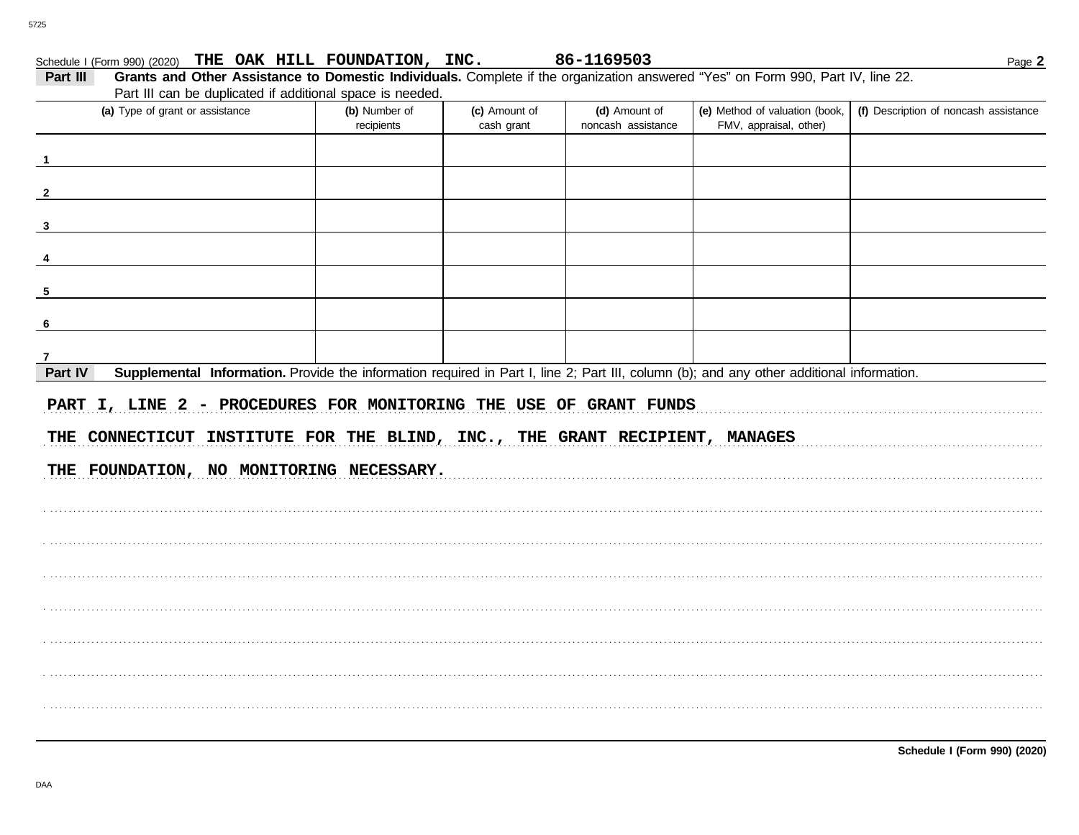| Schedule I (Form 990) (2020) THE OAK HILL FOUNDATION, INC.                                                                                           |                             |                             | 86-1169503                          |                                                          | Page 2                                |
|------------------------------------------------------------------------------------------------------------------------------------------------------|-----------------------------|-----------------------------|-------------------------------------|----------------------------------------------------------|---------------------------------------|
| Grants and Other Assistance to Domestic Individuals. Complete if the organization answered "Yes" on Form 990, Part IV, line 22.<br>Part III          |                             |                             |                                     |                                                          |                                       |
| Part III can be duplicated if additional space is needed.                                                                                            |                             |                             |                                     |                                                          |                                       |
| (a) Type of grant or assistance                                                                                                                      | (b) Number of<br>recipients | (c) Amount of<br>cash grant | (d) Amount of<br>noncash assistance | (e) Method of valuation (book,<br>FMV, appraisal, other) | (f) Description of noncash assistance |
|                                                                                                                                                      |                             |                             |                                     |                                                          |                                       |
|                                                                                                                                                      |                             |                             |                                     |                                                          |                                       |
|                                                                                                                                                      |                             |                             |                                     |                                                          |                                       |
|                                                                                                                                                      |                             |                             |                                     |                                                          |                                       |
|                                                                                                                                                      |                             |                             |                                     |                                                          |                                       |
|                                                                                                                                                      |                             |                             |                                     |                                                          |                                       |
|                                                                                                                                                      |                             |                             |                                     |                                                          |                                       |
| Part IV<br>Supplemental Information. Provide the information required in Part I, line 2; Part III, column (b); and any other additional information. |                             |                             |                                     |                                                          |                                       |
| PART I, LINE 2 - PROCEDURES FOR MONITORING THE USE OF GRANT FUNDS                                                                                    |                             |                             |                                     |                                                          |                                       |
| THE CONNECTICUT INSTITUTE FOR THE BLIND, INC., THE GRANT RECIPIENT, MANAGES                                                                          |                             |                             |                                     |                                                          |                                       |
| THE FOUNDATION, NO MONITORING NECESSARY.                                                                                                             |                             |                             |                                     |                                                          |                                       |
|                                                                                                                                                      |                             |                             |                                     |                                                          |                                       |
|                                                                                                                                                      |                             |                             |                                     |                                                          |                                       |
|                                                                                                                                                      |                             |                             |                                     |                                                          |                                       |
|                                                                                                                                                      |                             |                             |                                     |                                                          |                                       |
|                                                                                                                                                      |                             |                             |                                     |                                                          |                                       |
|                                                                                                                                                      |                             |                             |                                     |                                                          |                                       |
|                                                                                                                                                      |                             |                             |                                     |                                                          |                                       |
|                                                                                                                                                      |                             |                             |                                     |                                                          |                                       |

Schedule I (Form 990) (2020)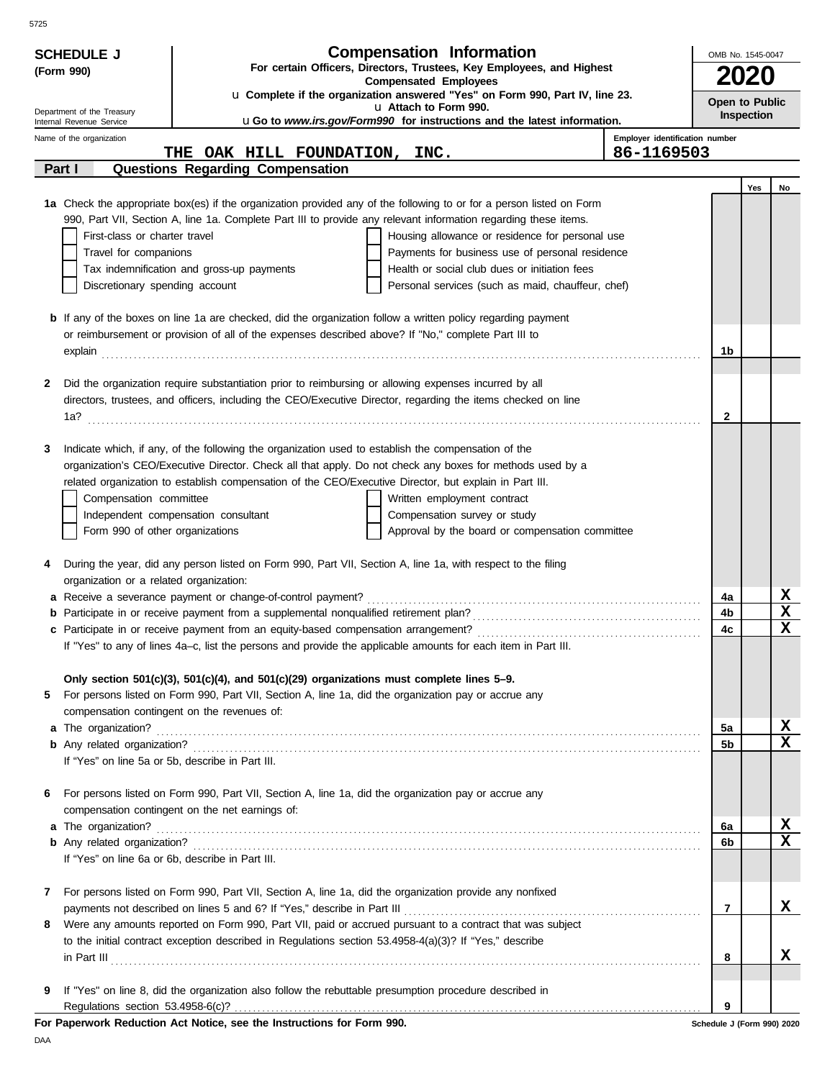| For certain Officers, Directors, Trustees, Key Employees, and Highest<br>(Form 990)<br>2020<br><b>Compensated Employees</b><br>u Complete if the organization answered "Yes" on Form 990, Part IV, line 23.<br>Open to Public<br>u Attach to Form 990.<br>Department of the Treasury<br>Inspection<br>uGo to www.irs.gov/Form990 for instructions and the latest information.<br>Internal Revenue Service<br>Employer identification number<br>Name of the organization<br>86-1169503<br>THE OAK HILL FOUNDATION, INC.<br>Questions Regarding Compensation<br>Part I<br>Yes<br>No<br>1a Check the appropriate box(es) if the organization provided any of the following to or for a person listed on Form<br>990, Part VII, Section A, line 1a. Complete Part III to provide any relevant information regarding these items.<br>First-class or charter travel<br>Housing allowance or residence for personal use<br>Payments for business use of personal residence<br>Travel for companions<br>Health or social club dues or initiation fees<br>Tax indemnification and gross-up payments<br>Discretionary spending account<br>Personal services (such as maid, chauffeur, chef)<br><b>b</b> If any of the boxes on line 1a are checked, did the organization follow a written policy regarding payment<br>or reimbursement or provision of all of the expenses described above? If "No," complete Part III to<br>1b<br>Did the organization require substantiation prior to reimbursing or allowing expenses incurred by all<br>2<br>directors, trustees, and officers, including the CEO/Executive Director, regarding the items checked on line<br>$\mathbf{2}$<br>Indicate which, if any, of the following the organization used to establish the compensation of the<br>3<br>organization's CEO/Executive Director. Check all that apply. Do not check any boxes for methods used by a<br>related organization to establish compensation of the CEO/Executive Director, but explain in Part III.<br>Compensation committee<br>Written employment contract<br>Independent compensation consultant<br>Compensation survey or study<br>Form 990 of other organizations<br>Approval by the board or compensation committee<br>During the year, did any person listed on Form 990, Part VII, Section A, line 1a, with respect to the filing<br>4<br>organization or a related organization:<br>x<br>a Receive a severance payment or change-of-control payment?<br>4a<br>$\mathbf x$<br><b>b</b> Participate in or receive payment from a supplemental nonqualified retirement plan?<br>4b<br>X<br>c Participate in or receive payment from an equity-based compensation arrangement?<br>4c<br>If "Yes" to any of lines 4a-c, list the persons and provide the applicable amounts for each item in Part III.<br>Only section $501(c)(3)$ , $501(c)(4)$ , and $501(c)(29)$ organizations must complete lines $5-9$ .<br>For persons listed on Form 990, Part VII, Section A, line 1a, did the organization pay or accrue any<br>5<br>compensation contingent on the revenues of:<br>X<br>5а<br>$\mathbf x$<br>5b<br>If "Yes" on line 5a or 5b, describe in Part III.<br>For persons listed on Form 990, Part VII, Section A, line 1a, did the organization pay or accrue any<br>6<br>compensation contingent on the net earnings of:<br>x<br>a The organization?<br>6a<br>$\mathbf x$<br>6b<br>If "Yes" on line 6a or 6b, describe in Part III.<br>For persons listed on Form 990, Part VII, Section A, line 1a, did the organization provide any nonfixed<br>7<br>x<br>7<br>Were any amounts reported on Form 990, Part VII, paid or accrued pursuant to a contract that was subject<br>8<br>to the initial contract exception described in Regulations section 53.4958-4(a)(3)? If "Yes," describe<br>x<br>$\ $ n Part III $\ $<br>8<br>If "Yes" on line 8, did the organization also follow the rebuttable presumption procedure described in<br>9<br>9<br>For Paperwork Reduction Act Notice, see the Instructions for Form 990.<br>Schedule J (Form 990) 2020 | <b>SCHEDULE J</b> | <b>Compensation Information</b> | OMB No. 1545-0047 |
|--------------------------------------------------------------------------------------------------------------------------------------------------------------------------------------------------------------------------------------------------------------------------------------------------------------------------------------------------------------------------------------------------------------------------------------------------------------------------------------------------------------------------------------------------------------------------------------------------------------------------------------------------------------------------------------------------------------------------------------------------------------------------------------------------------------------------------------------------------------------------------------------------------------------------------------------------------------------------------------------------------------------------------------------------------------------------------------------------------------------------------------------------------------------------------------------------------------------------------------------------------------------------------------------------------------------------------------------------------------------------------------------------------------------------------------------------------------------------------------------------------------------------------------------------------------------------------------------------------------------------------------------------------------------------------------------------------------------------------------------------------------------------------------------------------------------------------------------------------------------------------------------------------------------------------------------------------------------------------------------------------------------------------------------------------------------------------------------------------------------------------------------------------------------------------------------------------------------------------------------------------------------------------------------------------------------------------------------------------------------------------------------------------------------------------------------------------------------------------------------------------------------------------------------------------------------------------------------------------------------------------------------------------------------------------------------------------------------------------------------------------------------------------------------------------------------------------------------------------------------------------------------------------------------------------------------------------------------------------------------------------------------------------------------------------------------------------------------------------------------------------------------------------------------------------------------------------------------------------------------------------------------------------------------------------------------------------------------------------------------------------------------------------------------------------------------------------------------------------------------------------------------------------------------------------------------------------------------------------------------------------------------------------------------------------------------------------------------------------------------------------------------------------------------------------------------------------------------------------------------------------------------------------------------------------------------------------------------------------------------------------------------------------------------------------------------|-------------------|---------------------------------|-------------------|
|                                                                                                                                                                                                                                                                                                                                                                                                                                                                                                                                                                                                                                                                                                                                                                                                                                                                                                                                                                                                                                                                                                                                                                                                                                                                                                                                                                                                                                                                                                                                                                                                                                                                                                                                                                                                                                                                                                                                                                                                                                                                                                                                                                                                                                                                                                                                                                                                                                                                                                                                                                                                                                                                                                                                                                                                                                                                                                                                                                                                                                                                                                                                                                                                                                                                                                                                                                                                                                                                                                                                                                                                                                                                                                                                                                                                                                                                                                                                                                                                                                                                    |                   |                                 |                   |
|                                                                                                                                                                                                                                                                                                                                                                                                                                                                                                                                                                                                                                                                                                                                                                                                                                                                                                                                                                                                                                                                                                                                                                                                                                                                                                                                                                                                                                                                                                                                                                                                                                                                                                                                                                                                                                                                                                                                                                                                                                                                                                                                                                                                                                                                                                                                                                                                                                                                                                                                                                                                                                                                                                                                                                                                                                                                                                                                                                                                                                                                                                                                                                                                                                                                                                                                                                                                                                                                                                                                                                                                                                                                                                                                                                                                                                                                                                                                                                                                                                                                    |                   |                                 |                   |
|                                                                                                                                                                                                                                                                                                                                                                                                                                                                                                                                                                                                                                                                                                                                                                                                                                                                                                                                                                                                                                                                                                                                                                                                                                                                                                                                                                                                                                                                                                                                                                                                                                                                                                                                                                                                                                                                                                                                                                                                                                                                                                                                                                                                                                                                                                                                                                                                                                                                                                                                                                                                                                                                                                                                                                                                                                                                                                                                                                                                                                                                                                                                                                                                                                                                                                                                                                                                                                                                                                                                                                                                                                                                                                                                                                                                                                                                                                                                                                                                                                                                    |                   |                                 |                   |
|                                                                                                                                                                                                                                                                                                                                                                                                                                                                                                                                                                                                                                                                                                                                                                                                                                                                                                                                                                                                                                                                                                                                                                                                                                                                                                                                                                                                                                                                                                                                                                                                                                                                                                                                                                                                                                                                                                                                                                                                                                                                                                                                                                                                                                                                                                                                                                                                                                                                                                                                                                                                                                                                                                                                                                                                                                                                                                                                                                                                                                                                                                                                                                                                                                                                                                                                                                                                                                                                                                                                                                                                                                                                                                                                                                                                                                                                                                                                                                                                                                                                    |                   |                                 |                   |
|                                                                                                                                                                                                                                                                                                                                                                                                                                                                                                                                                                                                                                                                                                                                                                                                                                                                                                                                                                                                                                                                                                                                                                                                                                                                                                                                                                                                                                                                                                                                                                                                                                                                                                                                                                                                                                                                                                                                                                                                                                                                                                                                                                                                                                                                                                                                                                                                                                                                                                                                                                                                                                                                                                                                                                                                                                                                                                                                                                                                                                                                                                                                                                                                                                                                                                                                                                                                                                                                                                                                                                                                                                                                                                                                                                                                                                                                                                                                                                                                                                                                    |                   |                                 |                   |
|                                                                                                                                                                                                                                                                                                                                                                                                                                                                                                                                                                                                                                                                                                                                                                                                                                                                                                                                                                                                                                                                                                                                                                                                                                                                                                                                                                                                                                                                                                                                                                                                                                                                                                                                                                                                                                                                                                                                                                                                                                                                                                                                                                                                                                                                                                                                                                                                                                                                                                                                                                                                                                                                                                                                                                                                                                                                                                                                                                                                                                                                                                                                                                                                                                                                                                                                                                                                                                                                                                                                                                                                                                                                                                                                                                                                                                                                                                                                                                                                                                                                    |                   |                                 |                   |
|                                                                                                                                                                                                                                                                                                                                                                                                                                                                                                                                                                                                                                                                                                                                                                                                                                                                                                                                                                                                                                                                                                                                                                                                                                                                                                                                                                                                                                                                                                                                                                                                                                                                                                                                                                                                                                                                                                                                                                                                                                                                                                                                                                                                                                                                                                                                                                                                                                                                                                                                                                                                                                                                                                                                                                                                                                                                                                                                                                                                                                                                                                                                                                                                                                                                                                                                                                                                                                                                                                                                                                                                                                                                                                                                                                                                                                                                                                                                                                                                                                                                    |                   |                                 |                   |
|                                                                                                                                                                                                                                                                                                                                                                                                                                                                                                                                                                                                                                                                                                                                                                                                                                                                                                                                                                                                                                                                                                                                                                                                                                                                                                                                                                                                                                                                                                                                                                                                                                                                                                                                                                                                                                                                                                                                                                                                                                                                                                                                                                                                                                                                                                                                                                                                                                                                                                                                                                                                                                                                                                                                                                                                                                                                                                                                                                                                                                                                                                                                                                                                                                                                                                                                                                                                                                                                                                                                                                                                                                                                                                                                                                                                                                                                                                                                                                                                                                                                    |                   |                                 |                   |
|                                                                                                                                                                                                                                                                                                                                                                                                                                                                                                                                                                                                                                                                                                                                                                                                                                                                                                                                                                                                                                                                                                                                                                                                                                                                                                                                                                                                                                                                                                                                                                                                                                                                                                                                                                                                                                                                                                                                                                                                                                                                                                                                                                                                                                                                                                                                                                                                                                                                                                                                                                                                                                                                                                                                                                                                                                                                                                                                                                                                                                                                                                                                                                                                                                                                                                                                                                                                                                                                                                                                                                                                                                                                                                                                                                                                                                                                                                                                                                                                                                                                    |                   |                                 |                   |
|                                                                                                                                                                                                                                                                                                                                                                                                                                                                                                                                                                                                                                                                                                                                                                                                                                                                                                                                                                                                                                                                                                                                                                                                                                                                                                                                                                                                                                                                                                                                                                                                                                                                                                                                                                                                                                                                                                                                                                                                                                                                                                                                                                                                                                                                                                                                                                                                                                                                                                                                                                                                                                                                                                                                                                                                                                                                                                                                                                                                                                                                                                                                                                                                                                                                                                                                                                                                                                                                                                                                                                                                                                                                                                                                                                                                                                                                                                                                                                                                                                                                    |                   |                                 |                   |
|                                                                                                                                                                                                                                                                                                                                                                                                                                                                                                                                                                                                                                                                                                                                                                                                                                                                                                                                                                                                                                                                                                                                                                                                                                                                                                                                                                                                                                                                                                                                                                                                                                                                                                                                                                                                                                                                                                                                                                                                                                                                                                                                                                                                                                                                                                                                                                                                                                                                                                                                                                                                                                                                                                                                                                                                                                                                                                                                                                                                                                                                                                                                                                                                                                                                                                                                                                                                                                                                                                                                                                                                                                                                                                                                                                                                                                                                                                                                                                                                                                                                    |                   |                                 |                   |
|                                                                                                                                                                                                                                                                                                                                                                                                                                                                                                                                                                                                                                                                                                                                                                                                                                                                                                                                                                                                                                                                                                                                                                                                                                                                                                                                                                                                                                                                                                                                                                                                                                                                                                                                                                                                                                                                                                                                                                                                                                                                                                                                                                                                                                                                                                                                                                                                                                                                                                                                                                                                                                                                                                                                                                                                                                                                                                                                                                                                                                                                                                                                                                                                                                                                                                                                                                                                                                                                                                                                                                                                                                                                                                                                                                                                                                                                                                                                                                                                                                                                    |                   |                                 |                   |
|                                                                                                                                                                                                                                                                                                                                                                                                                                                                                                                                                                                                                                                                                                                                                                                                                                                                                                                                                                                                                                                                                                                                                                                                                                                                                                                                                                                                                                                                                                                                                                                                                                                                                                                                                                                                                                                                                                                                                                                                                                                                                                                                                                                                                                                                                                                                                                                                                                                                                                                                                                                                                                                                                                                                                                                                                                                                                                                                                                                                                                                                                                                                                                                                                                                                                                                                                                                                                                                                                                                                                                                                                                                                                                                                                                                                                                                                                                                                                                                                                                                                    |                   |                                 |                   |
|                                                                                                                                                                                                                                                                                                                                                                                                                                                                                                                                                                                                                                                                                                                                                                                                                                                                                                                                                                                                                                                                                                                                                                                                                                                                                                                                                                                                                                                                                                                                                                                                                                                                                                                                                                                                                                                                                                                                                                                                                                                                                                                                                                                                                                                                                                                                                                                                                                                                                                                                                                                                                                                                                                                                                                                                                                                                                                                                                                                                                                                                                                                                                                                                                                                                                                                                                                                                                                                                                                                                                                                                                                                                                                                                                                                                                                                                                                                                                                                                                                                                    |                   |                                 |                   |
|                                                                                                                                                                                                                                                                                                                                                                                                                                                                                                                                                                                                                                                                                                                                                                                                                                                                                                                                                                                                                                                                                                                                                                                                                                                                                                                                                                                                                                                                                                                                                                                                                                                                                                                                                                                                                                                                                                                                                                                                                                                                                                                                                                                                                                                                                                                                                                                                                                                                                                                                                                                                                                                                                                                                                                                                                                                                                                                                                                                                                                                                                                                                                                                                                                                                                                                                                                                                                                                                                                                                                                                                                                                                                                                                                                                                                                                                                                                                                                                                                                                                    |                   |                                 |                   |
|                                                                                                                                                                                                                                                                                                                                                                                                                                                                                                                                                                                                                                                                                                                                                                                                                                                                                                                                                                                                                                                                                                                                                                                                                                                                                                                                                                                                                                                                                                                                                                                                                                                                                                                                                                                                                                                                                                                                                                                                                                                                                                                                                                                                                                                                                                                                                                                                                                                                                                                                                                                                                                                                                                                                                                                                                                                                                                                                                                                                                                                                                                                                                                                                                                                                                                                                                                                                                                                                                                                                                                                                                                                                                                                                                                                                                                                                                                                                                                                                                                                                    |                   |                                 |                   |
|                                                                                                                                                                                                                                                                                                                                                                                                                                                                                                                                                                                                                                                                                                                                                                                                                                                                                                                                                                                                                                                                                                                                                                                                                                                                                                                                                                                                                                                                                                                                                                                                                                                                                                                                                                                                                                                                                                                                                                                                                                                                                                                                                                                                                                                                                                                                                                                                                                                                                                                                                                                                                                                                                                                                                                                                                                                                                                                                                                                                                                                                                                                                                                                                                                                                                                                                                                                                                                                                                                                                                                                                                                                                                                                                                                                                                                                                                                                                                                                                                                                                    |                   |                                 |                   |
|                                                                                                                                                                                                                                                                                                                                                                                                                                                                                                                                                                                                                                                                                                                                                                                                                                                                                                                                                                                                                                                                                                                                                                                                                                                                                                                                                                                                                                                                                                                                                                                                                                                                                                                                                                                                                                                                                                                                                                                                                                                                                                                                                                                                                                                                                                                                                                                                                                                                                                                                                                                                                                                                                                                                                                                                                                                                                                                                                                                                                                                                                                                                                                                                                                                                                                                                                                                                                                                                                                                                                                                                                                                                                                                                                                                                                                                                                                                                                                                                                                                                    |                   |                                 |                   |
|                                                                                                                                                                                                                                                                                                                                                                                                                                                                                                                                                                                                                                                                                                                                                                                                                                                                                                                                                                                                                                                                                                                                                                                                                                                                                                                                                                                                                                                                                                                                                                                                                                                                                                                                                                                                                                                                                                                                                                                                                                                                                                                                                                                                                                                                                                                                                                                                                                                                                                                                                                                                                                                                                                                                                                                                                                                                                                                                                                                                                                                                                                                                                                                                                                                                                                                                                                                                                                                                                                                                                                                                                                                                                                                                                                                                                                                                                                                                                                                                                                                                    |                   |                                 |                   |
|                                                                                                                                                                                                                                                                                                                                                                                                                                                                                                                                                                                                                                                                                                                                                                                                                                                                                                                                                                                                                                                                                                                                                                                                                                                                                                                                                                                                                                                                                                                                                                                                                                                                                                                                                                                                                                                                                                                                                                                                                                                                                                                                                                                                                                                                                                                                                                                                                                                                                                                                                                                                                                                                                                                                                                                                                                                                                                                                                                                                                                                                                                                                                                                                                                                                                                                                                                                                                                                                                                                                                                                                                                                                                                                                                                                                                                                                                                                                                                                                                                                                    |                   |                                 |                   |
|                                                                                                                                                                                                                                                                                                                                                                                                                                                                                                                                                                                                                                                                                                                                                                                                                                                                                                                                                                                                                                                                                                                                                                                                                                                                                                                                                                                                                                                                                                                                                                                                                                                                                                                                                                                                                                                                                                                                                                                                                                                                                                                                                                                                                                                                                                                                                                                                                                                                                                                                                                                                                                                                                                                                                                                                                                                                                                                                                                                                                                                                                                                                                                                                                                                                                                                                                                                                                                                                                                                                                                                                                                                                                                                                                                                                                                                                                                                                                                                                                                                                    |                   |                                 |                   |
|                                                                                                                                                                                                                                                                                                                                                                                                                                                                                                                                                                                                                                                                                                                                                                                                                                                                                                                                                                                                                                                                                                                                                                                                                                                                                                                                                                                                                                                                                                                                                                                                                                                                                                                                                                                                                                                                                                                                                                                                                                                                                                                                                                                                                                                                                                                                                                                                                                                                                                                                                                                                                                                                                                                                                                                                                                                                                                                                                                                                                                                                                                                                                                                                                                                                                                                                                                                                                                                                                                                                                                                                                                                                                                                                                                                                                                                                                                                                                                                                                                                                    |                   |                                 |                   |
|                                                                                                                                                                                                                                                                                                                                                                                                                                                                                                                                                                                                                                                                                                                                                                                                                                                                                                                                                                                                                                                                                                                                                                                                                                                                                                                                                                                                                                                                                                                                                                                                                                                                                                                                                                                                                                                                                                                                                                                                                                                                                                                                                                                                                                                                                                                                                                                                                                                                                                                                                                                                                                                                                                                                                                                                                                                                                                                                                                                                                                                                                                                                                                                                                                                                                                                                                                                                                                                                                                                                                                                                                                                                                                                                                                                                                                                                                                                                                                                                                                                                    |                   |                                 |                   |
|                                                                                                                                                                                                                                                                                                                                                                                                                                                                                                                                                                                                                                                                                                                                                                                                                                                                                                                                                                                                                                                                                                                                                                                                                                                                                                                                                                                                                                                                                                                                                                                                                                                                                                                                                                                                                                                                                                                                                                                                                                                                                                                                                                                                                                                                                                                                                                                                                                                                                                                                                                                                                                                                                                                                                                                                                                                                                                                                                                                                                                                                                                                                                                                                                                                                                                                                                                                                                                                                                                                                                                                                                                                                                                                                                                                                                                                                                                                                                                                                                                                                    |                   |                                 |                   |
|                                                                                                                                                                                                                                                                                                                                                                                                                                                                                                                                                                                                                                                                                                                                                                                                                                                                                                                                                                                                                                                                                                                                                                                                                                                                                                                                                                                                                                                                                                                                                                                                                                                                                                                                                                                                                                                                                                                                                                                                                                                                                                                                                                                                                                                                                                                                                                                                                                                                                                                                                                                                                                                                                                                                                                                                                                                                                                                                                                                                                                                                                                                                                                                                                                                                                                                                                                                                                                                                                                                                                                                                                                                                                                                                                                                                                                                                                                                                                                                                                                                                    |                   |                                 |                   |
|                                                                                                                                                                                                                                                                                                                                                                                                                                                                                                                                                                                                                                                                                                                                                                                                                                                                                                                                                                                                                                                                                                                                                                                                                                                                                                                                                                                                                                                                                                                                                                                                                                                                                                                                                                                                                                                                                                                                                                                                                                                                                                                                                                                                                                                                                                                                                                                                                                                                                                                                                                                                                                                                                                                                                                                                                                                                                                                                                                                                                                                                                                                                                                                                                                                                                                                                                                                                                                                                                                                                                                                                                                                                                                                                                                                                                                                                                                                                                                                                                                                                    |                   |                                 |                   |
|                                                                                                                                                                                                                                                                                                                                                                                                                                                                                                                                                                                                                                                                                                                                                                                                                                                                                                                                                                                                                                                                                                                                                                                                                                                                                                                                                                                                                                                                                                                                                                                                                                                                                                                                                                                                                                                                                                                                                                                                                                                                                                                                                                                                                                                                                                                                                                                                                                                                                                                                                                                                                                                                                                                                                                                                                                                                                                                                                                                                                                                                                                                                                                                                                                                                                                                                                                                                                                                                                                                                                                                                                                                                                                                                                                                                                                                                                                                                                                                                                                                                    |                   |                                 |                   |
|                                                                                                                                                                                                                                                                                                                                                                                                                                                                                                                                                                                                                                                                                                                                                                                                                                                                                                                                                                                                                                                                                                                                                                                                                                                                                                                                                                                                                                                                                                                                                                                                                                                                                                                                                                                                                                                                                                                                                                                                                                                                                                                                                                                                                                                                                                                                                                                                                                                                                                                                                                                                                                                                                                                                                                                                                                                                                                                                                                                                                                                                                                                                                                                                                                                                                                                                                                                                                                                                                                                                                                                                                                                                                                                                                                                                                                                                                                                                                                                                                                                                    |                   |                                 |                   |
|                                                                                                                                                                                                                                                                                                                                                                                                                                                                                                                                                                                                                                                                                                                                                                                                                                                                                                                                                                                                                                                                                                                                                                                                                                                                                                                                                                                                                                                                                                                                                                                                                                                                                                                                                                                                                                                                                                                                                                                                                                                                                                                                                                                                                                                                                                                                                                                                                                                                                                                                                                                                                                                                                                                                                                                                                                                                                                                                                                                                                                                                                                                                                                                                                                                                                                                                                                                                                                                                                                                                                                                                                                                                                                                                                                                                                                                                                                                                                                                                                                                                    |                   |                                 |                   |
|                                                                                                                                                                                                                                                                                                                                                                                                                                                                                                                                                                                                                                                                                                                                                                                                                                                                                                                                                                                                                                                                                                                                                                                                                                                                                                                                                                                                                                                                                                                                                                                                                                                                                                                                                                                                                                                                                                                                                                                                                                                                                                                                                                                                                                                                                                                                                                                                                                                                                                                                                                                                                                                                                                                                                                                                                                                                                                                                                                                                                                                                                                                                                                                                                                                                                                                                                                                                                                                                                                                                                                                                                                                                                                                                                                                                                                                                                                                                                                                                                                                                    |                   |                                 |                   |
|                                                                                                                                                                                                                                                                                                                                                                                                                                                                                                                                                                                                                                                                                                                                                                                                                                                                                                                                                                                                                                                                                                                                                                                                                                                                                                                                                                                                                                                                                                                                                                                                                                                                                                                                                                                                                                                                                                                                                                                                                                                                                                                                                                                                                                                                                                                                                                                                                                                                                                                                                                                                                                                                                                                                                                                                                                                                                                                                                                                                                                                                                                                                                                                                                                                                                                                                                                                                                                                                                                                                                                                                                                                                                                                                                                                                                                                                                                                                                                                                                                                                    |                   |                                 |                   |
|                                                                                                                                                                                                                                                                                                                                                                                                                                                                                                                                                                                                                                                                                                                                                                                                                                                                                                                                                                                                                                                                                                                                                                                                                                                                                                                                                                                                                                                                                                                                                                                                                                                                                                                                                                                                                                                                                                                                                                                                                                                                                                                                                                                                                                                                                                                                                                                                                                                                                                                                                                                                                                                                                                                                                                                                                                                                                                                                                                                                                                                                                                                                                                                                                                                                                                                                                                                                                                                                                                                                                                                                                                                                                                                                                                                                                                                                                                                                                                                                                                                                    |                   |                                 |                   |
|                                                                                                                                                                                                                                                                                                                                                                                                                                                                                                                                                                                                                                                                                                                                                                                                                                                                                                                                                                                                                                                                                                                                                                                                                                                                                                                                                                                                                                                                                                                                                                                                                                                                                                                                                                                                                                                                                                                                                                                                                                                                                                                                                                                                                                                                                                                                                                                                                                                                                                                                                                                                                                                                                                                                                                                                                                                                                                                                                                                                                                                                                                                                                                                                                                                                                                                                                                                                                                                                                                                                                                                                                                                                                                                                                                                                                                                                                                                                                                                                                                                                    |                   |                                 |                   |
|                                                                                                                                                                                                                                                                                                                                                                                                                                                                                                                                                                                                                                                                                                                                                                                                                                                                                                                                                                                                                                                                                                                                                                                                                                                                                                                                                                                                                                                                                                                                                                                                                                                                                                                                                                                                                                                                                                                                                                                                                                                                                                                                                                                                                                                                                                                                                                                                                                                                                                                                                                                                                                                                                                                                                                                                                                                                                                                                                                                                                                                                                                                                                                                                                                                                                                                                                                                                                                                                                                                                                                                                                                                                                                                                                                                                                                                                                                                                                                                                                                                                    |                   |                                 |                   |
|                                                                                                                                                                                                                                                                                                                                                                                                                                                                                                                                                                                                                                                                                                                                                                                                                                                                                                                                                                                                                                                                                                                                                                                                                                                                                                                                                                                                                                                                                                                                                                                                                                                                                                                                                                                                                                                                                                                                                                                                                                                                                                                                                                                                                                                                                                                                                                                                                                                                                                                                                                                                                                                                                                                                                                                                                                                                                                                                                                                                                                                                                                                                                                                                                                                                                                                                                                                                                                                                                                                                                                                                                                                                                                                                                                                                                                                                                                                                                                                                                                                                    |                   |                                 |                   |
|                                                                                                                                                                                                                                                                                                                                                                                                                                                                                                                                                                                                                                                                                                                                                                                                                                                                                                                                                                                                                                                                                                                                                                                                                                                                                                                                                                                                                                                                                                                                                                                                                                                                                                                                                                                                                                                                                                                                                                                                                                                                                                                                                                                                                                                                                                                                                                                                                                                                                                                                                                                                                                                                                                                                                                                                                                                                                                                                                                                                                                                                                                                                                                                                                                                                                                                                                                                                                                                                                                                                                                                                                                                                                                                                                                                                                                                                                                                                                                                                                                                                    |                   |                                 |                   |
|                                                                                                                                                                                                                                                                                                                                                                                                                                                                                                                                                                                                                                                                                                                                                                                                                                                                                                                                                                                                                                                                                                                                                                                                                                                                                                                                                                                                                                                                                                                                                                                                                                                                                                                                                                                                                                                                                                                                                                                                                                                                                                                                                                                                                                                                                                                                                                                                                                                                                                                                                                                                                                                                                                                                                                                                                                                                                                                                                                                                                                                                                                                                                                                                                                                                                                                                                                                                                                                                                                                                                                                                                                                                                                                                                                                                                                                                                                                                                                                                                                                                    |                   |                                 |                   |
|                                                                                                                                                                                                                                                                                                                                                                                                                                                                                                                                                                                                                                                                                                                                                                                                                                                                                                                                                                                                                                                                                                                                                                                                                                                                                                                                                                                                                                                                                                                                                                                                                                                                                                                                                                                                                                                                                                                                                                                                                                                                                                                                                                                                                                                                                                                                                                                                                                                                                                                                                                                                                                                                                                                                                                                                                                                                                                                                                                                                                                                                                                                                                                                                                                                                                                                                                                                                                                                                                                                                                                                                                                                                                                                                                                                                                                                                                                                                                                                                                                                                    |                   |                                 |                   |
|                                                                                                                                                                                                                                                                                                                                                                                                                                                                                                                                                                                                                                                                                                                                                                                                                                                                                                                                                                                                                                                                                                                                                                                                                                                                                                                                                                                                                                                                                                                                                                                                                                                                                                                                                                                                                                                                                                                                                                                                                                                                                                                                                                                                                                                                                                                                                                                                                                                                                                                                                                                                                                                                                                                                                                                                                                                                                                                                                                                                                                                                                                                                                                                                                                                                                                                                                                                                                                                                                                                                                                                                                                                                                                                                                                                                                                                                                                                                                                                                                                                                    |                   |                                 |                   |
|                                                                                                                                                                                                                                                                                                                                                                                                                                                                                                                                                                                                                                                                                                                                                                                                                                                                                                                                                                                                                                                                                                                                                                                                                                                                                                                                                                                                                                                                                                                                                                                                                                                                                                                                                                                                                                                                                                                                                                                                                                                                                                                                                                                                                                                                                                                                                                                                                                                                                                                                                                                                                                                                                                                                                                                                                                                                                                                                                                                                                                                                                                                                                                                                                                                                                                                                                                                                                                                                                                                                                                                                                                                                                                                                                                                                                                                                                                                                                                                                                                                                    |                   |                                 |                   |
|                                                                                                                                                                                                                                                                                                                                                                                                                                                                                                                                                                                                                                                                                                                                                                                                                                                                                                                                                                                                                                                                                                                                                                                                                                                                                                                                                                                                                                                                                                                                                                                                                                                                                                                                                                                                                                                                                                                                                                                                                                                                                                                                                                                                                                                                                                                                                                                                                                                                                                                                                                                                                                                                                                                                                                                                                                                                                                                                                                                                                                                                                                                                                                                                                                                                                                                                                                                                                                                                                                                                                                                                                                                                                                                                                                                                                                                                                                                                                                                                                                                                    |                   |                                 |                   |
|                                                                                                                                                                                                                                                                                                                                                                                                                                                                                                                                                                                                                                                                                                                                                                                                                                                                                                                                                                                                                                                                                                                                                                                                                                                                                                                                                                                                                                                                                                                                                                                                                                                                                                                                                                                                                                                                                                                                                                                                                                                                                                                                                                                                                                                                                                                                                                                                                                                                                                                                                                                                                                                                                                                                                                                                                                                                                                                                                                                                                                                                                                                                                                                                                                                                                                                                                                                                                                                                                                                                                                                                                                                                                                                                                                                                                                                                                                                                                                                                                                                                    |                   |                                 |                   |
|                                                                                                                                                                                                                                                                                                                                                                                                                                                                                                                                                                                                                                                                                                                                                                                                                                                                                                                                                                                                                                                                                                                                                                                                                                                                                                                                                                                                                                                                                                                                                                                                                                                                                                                                                                                                                                                                                                                                                                                                                                                                                                                                                                                                                                                                                                                                                                                                                                                                                                                                                                                                                                                                                                                                                                                                                                                                                                                                                                                                                                                                                                                                                                                                                                                                                                                                                                                                                                                                                                                                                                                                                                                                                                                                                                                                                                                                                                                                                                                                                                                                    |                   |                                 |                   |
|                                                                                                                                                                                                                                                                                                                                                                                                                                                                                                                                                                                                                                                                                                                                                                                                                                                                                                                                                                                                                                                                                                                                                                                                                                                                                                                                                                                                                                                                                                                                                                                                                                                                                                                                                                                                                                                                                                                                                                                                                                                                                                                                                                                                                                                                                                                                                                                                                                                                                                                                                                                                                                                                                                                                                                                                                                                                                                                                                                                                                                                                                                                                                                                                                                                                                                                                                                                                                                                                                                                                                                                                                                                                                                                                                                                                                                                                                                                                                                                                                                                                    |                   |                                 |                   |
|                                                                                                                                                                                                                                                                                                                                                                                                                                                                                                                                                                                                                                                                                                                                                                                                                                                                                                                                                                                                                                                                                                                                                                                                                                                                                                                                                                                                                                                                                                                                                                                                                                                                                                                                                                                                                                                                                                                                                                                                                                                                                                                                                                                                                                                                                                                                                                                                                                                                                                                                                                                                                                                                                                                                                                                                                                                                                                                                                                                                                                                                                                                                                                                                                                                                                                                                                                                                                                                                                                                                                                                                                                                                                                                                                                                                                                                                                                                                                                                                                                                                    |                   |                                 |                   |
|                                                                                                                                                                                                                                                                                                                                                                                                                                                                                                                                                                                                                                                                                                                                                                                                                                                                                                                                                                                                                                                                                                                                                                                                                                                                                                                                                                                                                                                                                                                                                                                                                                                                                                                                                                                                                                                                                                                                                                                                                                                                                                                                                                                                                                                                                                                                                                                                                                                                                                                                                                                                                                                                                                                                                                                                                                                                                                                                                                                                                                                                                                                                                                                                                                                                                                                                                                                                                                                                                                                                                                                                                                                                                                                                                                                                                                                                                                                                                                                                                                                                    |                   |                                 |                   |
|                                                                                                                                                                                                                                                                                                                                                                                                                                                                                                                                                                                                                                                                                                                                                                                                                                                                                                                                                                                                                                                                                                                                                                                                                                                                                                                                                                                                                                                                                                                                                                                                                                                                                                                                                                                                                                                                                                                                                                                                                                                                                                                                                                                                                                                                                                                                                                                                                                                                                                                                                                                                                                                                                                                                                                                                                                                                                                                                                                                                                                                                                                                                                                                                                                                                                                                                                                                                                                                                                                                                                                                                                                                                                                                                                                                                                                                                                                                                                                                                                                                                    |                   |                                 |                   |
|                                                                                                                                                                                                                                                                                                                                                                                                                                                                                                                                                                                                                                                                                                                                                                                                                                                                                                                                                                                                                                                                                                                                                                                                                                                                                                                                                                                                                                                                                                                                                                                                                                                                                                                                                                                                                                                                                                                                                                                                                                                                                                                                                                                                                                                                                                                                                                                                                                                                                                                                                                                                                                                                                                                                                                                                                                                                                                                                                                                                                                                                                                                                                                                                                                                                                                                                                                                                                                                                                                                                                                                                                                                                                                                                                                                                                                                                                                                                                                                                                                                                    |                   |                                 |                   |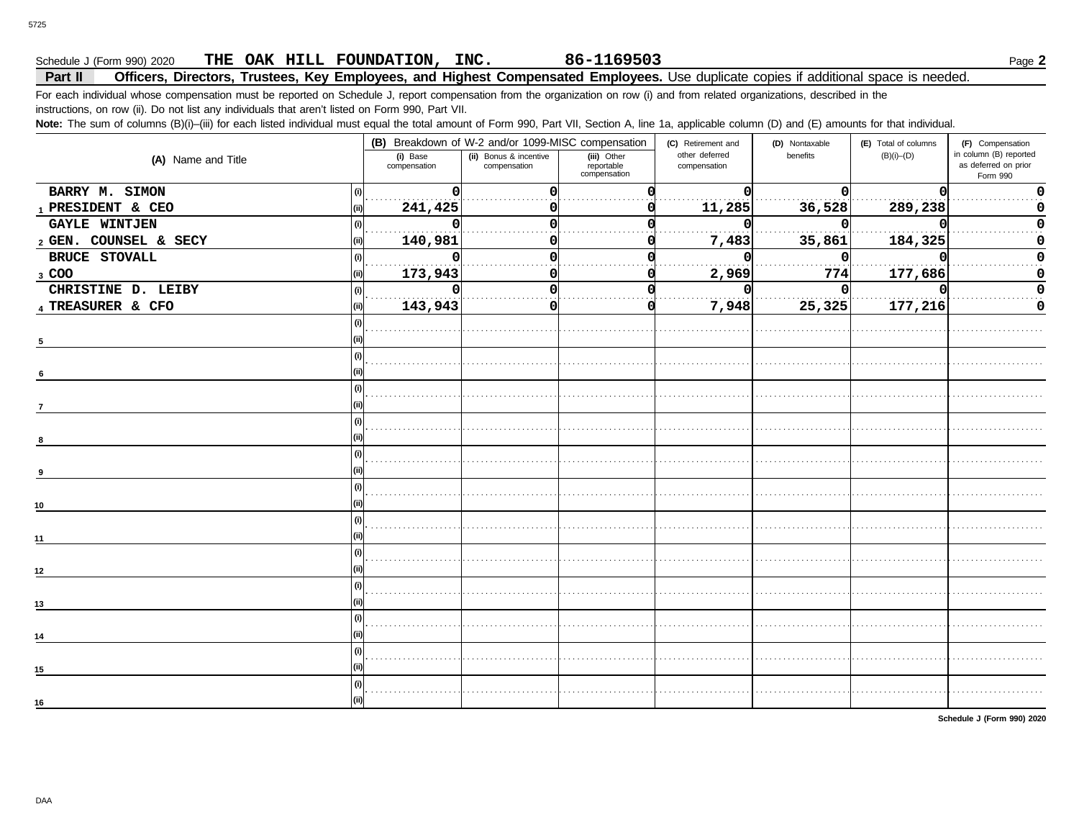## Schedule J (Form 990) 2020 Page **2 THE OAK HILL FOUNDATION, INC. 86-1169503**

#### **Part II Officers, Directors, Trustees, Key Employees, and Highest Compensated Employees.** Use duplicate copies if additional space is needed.

For each individual whose compensation must be reported on Schedule J, report compensation from the organization on row (i) and from related organizations, described in the instructions, on row (ii). Do not list any individuals that aren't listed on Form 990, Part VII.

Note: The sum of columns (B)(i)–(iii) for each listed individual must equal the total amount of Form 990, Part VII, Section A, line 1a, applicable column (D) and (E) amounts for that individual.

|                             |                          | (B) Breakdown of W-2 and/or 1099-MISC compensation |                                           | (C) Retirement and             | (D) Nontaxable | (E) Total of columns | (F) Compensation                                           |
|-----------------------------|--------------------------|----------------------------------------------------|-------------------------------------------|--------------------------------|----------------|----------------------|------------------------------------------------------------|
| (A) Name and Title          | (i) Base<br>compensation | (ii) Bonus & incentive<br>compensation             | (iii) Other<br>reportable<br>compensation | other deferred<br>compensation | benefits       | $(B)(i)$ – $(D)$     | in column (B) reported<br>as deferred on prior<br>Form 990 |
| BARRY M. SIMON              | O                        |                                                    |                                           |                                | ŋ              |                      |                                                            |
| 1 PRESIDENT & CEO           | 241,425                  |                                                    |                                           | 11,285                         | 36,528         | 289,238              |                                                            |
| <b>GAYLE WINTJEN</b>        |                          |                                                    |                                           |                                | U              |                      |                                                            |
| 2 GEN. COUNSEL & SECY       | 140,981                  |                                                    |                                           | 7,483                          | 35,861         | 184,325              |                                                            |
| <b>BRUCE STOVALL</b><br>(i) | O<br>.                   |                                                    |                                           |                                | n              |                      |                                                            |
| 3 COO                       | 173,943                  |                                                    |                                           | 2,969                          | 774            | 177,686              |                                                            |
| CHRISTINE D. LEIBY          | $\Omega$                 |                                                    |                                           |                                | 0              |                      |                                                            |
| 4 TREASURER & CFO<br>(ii)   | 143,943                  |                                                    |                                           | 7,948                          | 25,325         | 177,216              |                                                            |
|                             |                          |                                                    |                                           |                                |                |                      |                                                            |
| $5\phantom{.0}$             |                          |                                                    |                                           |                                |                |                      |                                                            |
|                             |                          |                                                    |                                           |                                |                |                      |                                                            |
| 6                           |                          |                                                    |                                           |                                |                |                      |                                                            |
|                             |                          |                                                    |                                           |                                |                |                      |                                                            |
| $\overline{7}$              |                          |                                                    |                                           |                                |                |                      |                                                            |
|                             |                          |                                                    |                                           |                                |                |                      |                                                            |
|                             |                          |                                                    |                                           |                                |                |                      |                                                            |
|                             |                          |                                                    |                                           |                                |                |                      |                                                            |
| 9                           |                          |                                                    |                                           |                                |                |                      |                                                            |
|                             |                          |                                                    |                                           |                                |                |                      |                                                            |
| 10                          |                          |                                                    |                                           |                                |                |                      |                                                            |
|                             |                          |                                                    |                                           |                                |                |                      |                                                            |
| 11                          |                          |                                                    |                                           |                                |                |                      |                                                            |
|                             |                          |                                                    |                                           |                                |                |                      |                                                            |
| 12                          |                          |                                                    |                                           |                                |                |                      |                                                            |
|                             |                          |                                                    |                                           |                                |                |                      |                                                            |
| 13                          |                          |                                                    |                                           |                                |                |                      |                                                            |
|                             |                          |                                                    |                                           |                                |                |                      |                                                            |
| 14                          |                          |                                                    |                                           |                                |                |                      |                                                            |
|                             |                          |                                                    |                                           |                                |                |                      |                                                            |
| 15                          |                          |                                                    |                                           |                                |                |                      |                                                            |
|                             |                          |                                                    |                                           |                                |                |                      |                                                            |
| 16                          |                          |                                                    |                                           |                                |                |                      |                                                            |

**Schedule J (Form 990) 2020**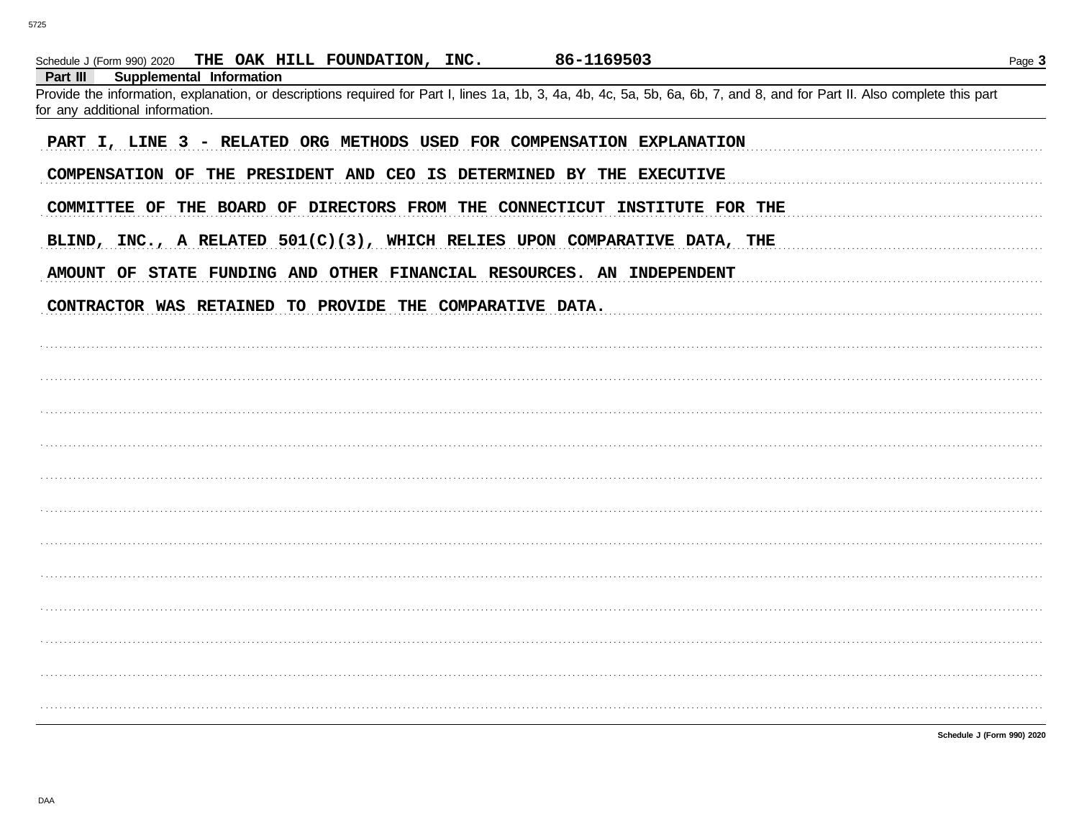| 86-1169503<br>Schedule J (Form 990) 2020 THE OAK HILL FOUNDATION, INC.                                                                                                                                                                                       | Page 3 |
|--------------------------------------------------------------------------------------------------------------------------------------------------------------------------------------------------------------------------------------------------------------|--------|
| <b>Supplemental Information</b><br>Part III<br>Provide the information, explanation, or descriptions required for Part I, lines 1a, 1b, 3, 4a, 4b, 4c, 5a, 5b, 6a, 6b, 7, and 8, and for Part II. Also complete this part<br>for any additional information. |        |
| PART I, LINE 3 - RELATED ORG METHODS USED FOR COMPENSATION EXPLANATION                                                                                                                                                                                       |        |
| COMPENSATION OF THE PRESIDENT AND CEO IS DETERMINED BY THE EXECUTIVE                                                                                                                                                                                         |        |
| COMMITTEE OF THE BOARD OF DIRECTORS FROM THE CONNECTICUT INSTITUTE FOR THE                                                                                                                                                                                   |        |
| BLIND, INC., A RELATED 501(C)(3), WHICH RELIES UPON COMPARATIVE DATA, THE                                                                                                                                                                                    |        |
| AMOUNT OF STATE FUNDING AND OTHER FINANCIAL RESOURCES. AN INDEPENDENT                                                                                                                                                                                        |        |
| CONTRACTOR WAS RETAINED TO PROVIDE THE COMPARATIVE DATA.                                                                                                                                                                                                     |        |
|                                                                                                                                                                                                                                                              |        |
|                                                                                                                                                                                                                                                              |        |
|                                                                                                                                                                                                                                                              |        |
|                                                                                                                                                                                                                                                              |        |
|                                                                                                                                                                                                                                                              |        |
|                                                                                                                                                                                                                                                              |        |
|                                                                                                                                                                                                                                                              |        |
|                                                                                                                                                                                                                                                              |        |
|                                                                                                                                                                                                                                                              |        |
|                                                                                                                                                                                                                                                              |        |
|                                                                                                                                                                                                                                                              |        |
| Schedule J (Form 990) 2020                                                                                                                                                                                                                                   |        |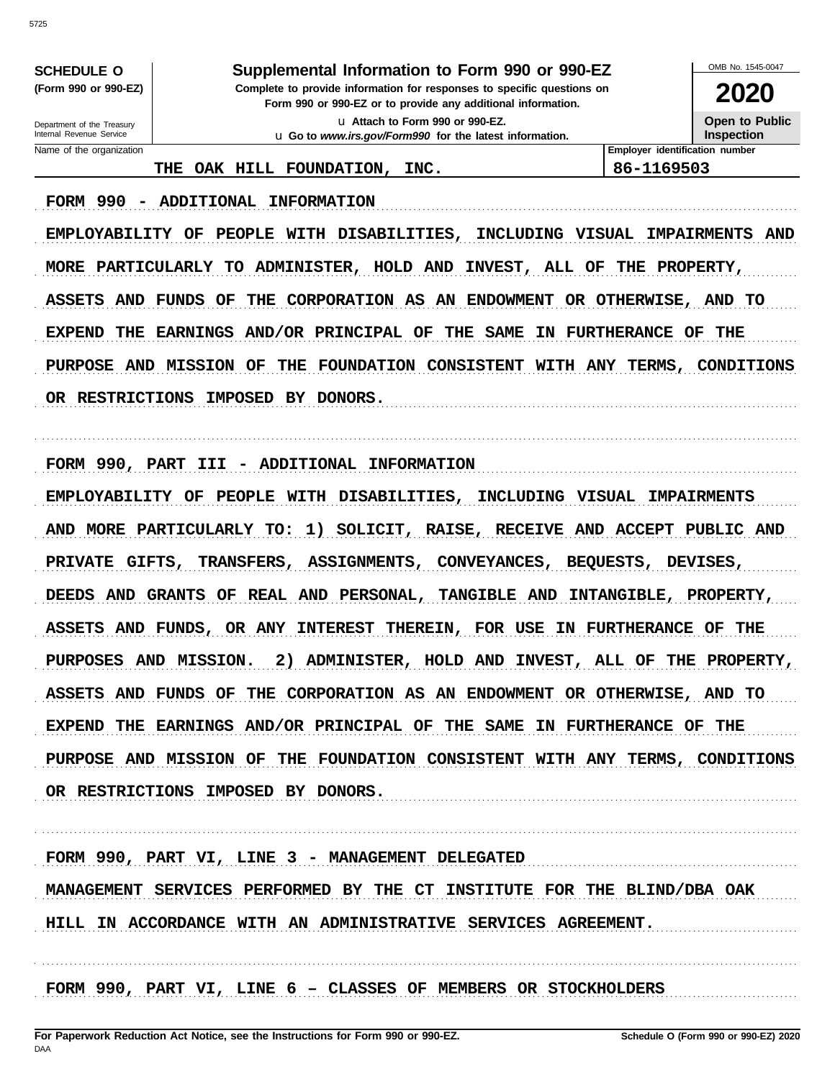**SCHEDULE O** (Form 990 or 990-EZ)

#### Supplemental Information to Form 990 or 990-EZ

Complete to provide information for responses to specific questions on Form 990 or 990-EZ or to provide any additional information.

> u Attach to Form 990 or 990-EZ. u Go to www.irs.gov/Form990 for the latest information.

OMB No. 1545-0047 2020

**Open to Public Inspection** 

Department of the Treasury Internal Revenue Service Name of the organization

THE OAK HILL FOUNDATION, INC. Employer identification number 86-1169503

FORM 990 - ADDITIONAL INFORMATION

EMPLOYABILITY OF PEOPLE WITH DISABILITIES, INCLUDING VISUAL IMPAIRMENTS AND MORE PARTICULARLY TO ADMINISTER, HOLD AND INVEST, ALL OF THE PROPERTY, ASSETS AND FUNDS OF THE CORPORATION AS AN ENDOWMENT OR OTHERWISE, AND TO EXPEND THE EARNINGS AND/OR PRINCIPAL OF THE SAME IN FURTHERANCE OF THE PURPOSE AND MISSION OF THE FOUNDATION CONSISTENT WITH ANY TERMS, CONDITIONS OR RESTRICTIONS IMPOSED BY DONORS.

FORM 990, PART III - ADDITIONAL INFORMATION

EMPLOYABILITY OF PEOPLE WITH DISABILITIES, INCLUDING VISUAL IMPAIRMENTS AND MORE PARTICULARLY TO: 1) SOLICIT, RAISE, RECEIVE AND ACCEPT PUBLIC AND PRIVATE GIFTS, TRANSFERS, ASSIGNMENTS, CONVEYANCES, BEQUESTS, DEVISES, DEEDS AND GRANTS OF REAL AND PERSONAL, TANGIBLE AND INTANGIBLE, PROPERTY, ASSETS AND FUNDS, OR ANY INTEREST THEREIN, FOR USE IN FURTHERANCE OF THE PURPOSES AND MISSION. 2) ADMINISTER, HOLD AND INVEST, ALL OF THE PROPERTY, ASSETS AND FUNDS OF THE CORPORATION AS AN ENDOWMENT OR OTHERWISE, AND TO EXPEND THE EARNINGS AND/OR PRINCIPAL OF THE SAME IN FURTHERANCE OF THE PURPOSE AND MISSION OF THE FOUNDATION CONSISTENT WITH ANY TERMS, CONDITIONS OR RESTRICTIONS IMPOSED BY DONORS.

FORM 990, PART VI, LINE 3 - MANAGEMENT DELEGATED MANAGEMENT SERVICES PERFORMED BY THE CT INSTITUTE FOR THE BLIND/DBA OAK HILL IN ACCORDANCE WITH AN ADMINISTRATIVE SERVICES AGREEMENT.

FORM 990, PART VI, LINE 6 - CLASSES OF MEMBERS OR STOCKHOLDERS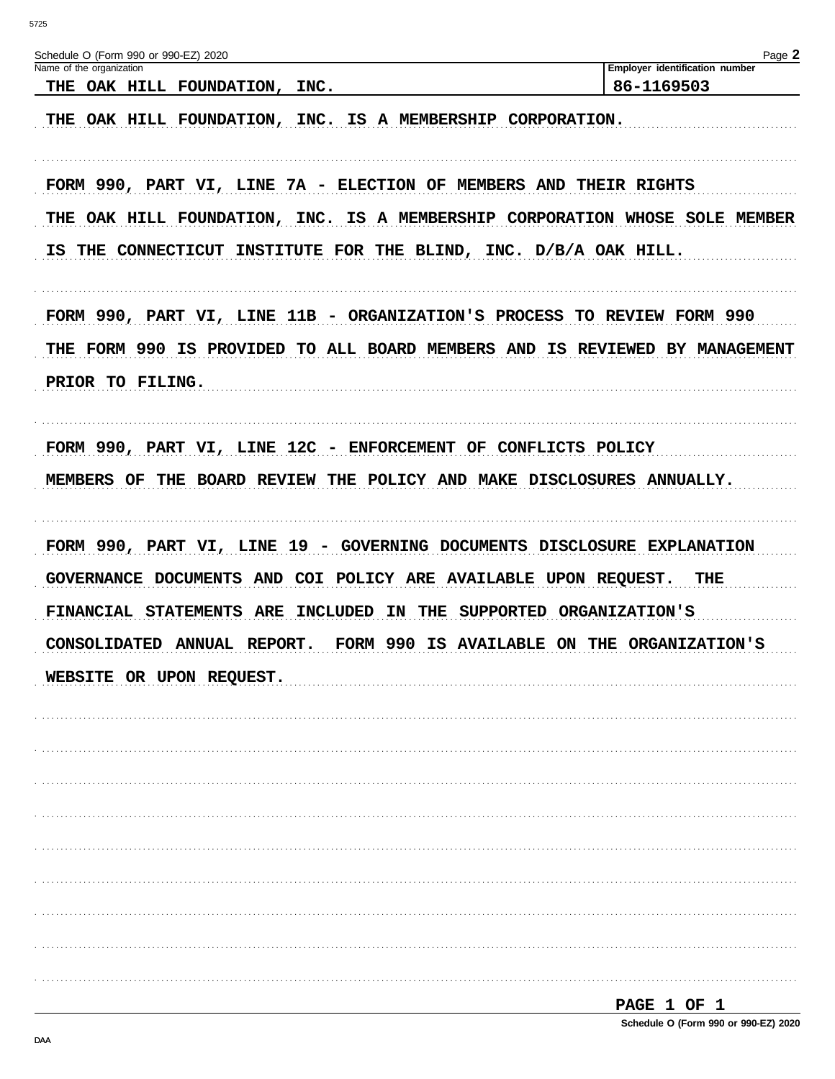| Schedule O (Form 990 or 990-EZ) 2020                                        | Page 2                                       |
|-----------------------------------------------------------------------------|----------------------------------------------|
| Name of the organization<br>THE OAK HILL FOUNDATION, INC.                   | Employer identification number<br>86-1169503 |
| THE OAK HILL FOUNDATION, INC. IS A MEMBERSHIP CORPORATION.                  |                                              |
| FORM 990, PART VI, LINE 7A - ELECTION OF MEMBERS AND THEIR RIGHTS           |                                              |
| THE OAK HILL FOUNDATION, INC. IS A MEMBERSHIP CORPORATION WHOSE SOLE MEMBER |                                              |
| IS THE CONNECTICUT INSTITUTE FOR THE BLIND, INC. D/B/A OAK HILL.            |                                              |
| FORM 990, PART VI, LINE 11B - ORGANIZATION'S PROCESS TO REVIEW FORM 990     |                                              |
| THE FORM 990 IS PROVIDED TO ALL BOARD MEMBERS AND IS REVIEWED BY MANAGEMENT |                                              |
| PRIOR TO FILING.                                                            |                                              |
| FORM 990, PART VI, LINE 12C - ENFORCEMENT OF CONFLICTS POLICY               |                                              |
| MEMBERS OF THE BOARD REVIEW THE POLICY AND MAKE DISCLOSURES ANNUALLY.       |                                              |
| FORM 990, PART VI, LINE 19 - GOVERNING DOCUMENTS DISCLOSURE EXPLANATION     |                                              |
| GOVERNANCE DOCUMENTS AND COI POLICY ARE AVAILABLE UPON REQUEST.             | THE                                          |
| FINANCIAL STATEMENTS ARE INCLUDED IN THE                                    | SUPPORTED ORGANIZATION'S                     |
| CONSOLIDATED ANNUAL REPORT. FORM 990 IS AVAILABLE ON THE ORGANIZATION'S     |                                              |
| WEBSITE OR UPON REQUEST.                                                    |                                              |
|                                                                             |                                              |
|                                                                             |                                              |
|                                                                             |                                              |
|                                                                             |                                              |
|                                                                             |                                              |
|                                                                             |                                              |
|                                                                             |                                              |
|                                                                             |                                              |
|                                                                             |                                              |
|                                                                             | PAGE 1 OF 1                                  |
|                                                                             |                                              |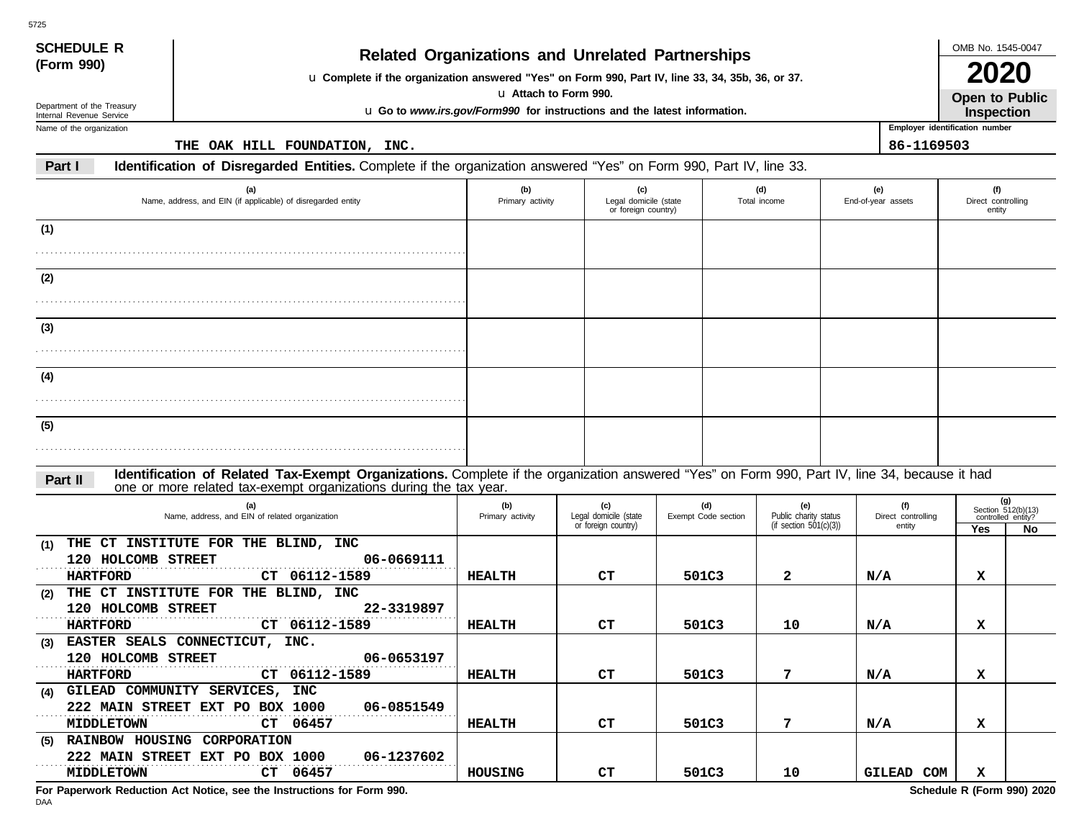| <b>SCHEDULE R</b><br><b>Related Organizations and Unrelated Partnerships</b> |                                                                                                                                                                                                                    |                         |                                                                                                   |                                              |                     |                                                    |  |                                |                                     |                             |  |  |
|------------------------------------------------------------------------------|--------------------------------------------------------------------------------------------------------------------------------------------------------------------------------------------------------------------|-------------------------|---------------------------------------------------------------------------------------------------|----------------------------------------------|---------------------|----------------------------------------------------|--|--------------------------------|-------------------------------------|-----------------------------|--|--|
| (Form 990)                                                                   | u Complete if the organization answered "Yes" on Form 990, Part IV, line 33, 34, 35b, 36, or 37.                                                                                                                   |                         |                                                                                                   |                                              |                     |                                                    |  |                                | <b>2020</b>                         |                             |  |  |
| Department of the Treasury<br>Internal Revenue Service                       |                                                                                                                                                                                                                    |                         | u Attach to Form 990.<br>u Go to www.irs.gov/Form990 for instructions and the latest information. |                                              |                     |                                                    |  |                                | Open to Public<br>Inspection        |                             |  |  |
| Name of the organization                                                     |                                                                                                                                                                                                                    |                         |                                                                                                   |                                              |                     |                                                    |  | Employer identification number |                                     |                             |  |  |
|                                                                              | THE OAK HILL FOUNDATION, INC.                                                                                                                                                                                      |                         |                                                                                                   |                                              |                     |                                                    |  | 86-1169503                     |                                     |                             |  |  |
| Part I                                                                       | Identification of Disregarded Entities. Complete if the organization answered "Yes" on Form 990, Part IV, line 33.                                                                                                 |                         |                                                                                                   |                                              |                     |                                                    |  |                                |                                     |                             |  |  |
| (a)<br>Name, address, and EIN (if applicable) of disregarded entity          |                                                                                                                                                                                                                    | (b)<br>Primary activity | (c)                                                                                               | Legal domicile (state<br>or foreign country) |                     | (d)<br>Total income                                |  | (e)<br>End-of-year assets      | (f)<br>Direct controlling<br>entity |                             |  |  |
| (1)                                                                          |                                                                                                                                                                                                                    |                         |                                                                                                   |                                              |                     |                                                    |  |                                |                                     |                             |  |  |
|                                                                              |                                                                                                                                                                                                                    |                         |                                                                                                   |                                              |                     |                                                    |  |                                |                                     |                             |  |  |
|                                                                              |                                                                                                                                                                                                                    |                         |                                                                                                   |                                              |                     |                                                    |  |                                |                                     |                             |  |  |
| (2)                                                                          |                                                                                                                                                                                                                    |                         |                                                                                                   |                                              |                     |                                                    |  |                                |                                     |                             |  |  |
|                                                                              |                                                                                                                                                                                                                    |                         |                                                                                                   |                                              |                     |                                                    |  |                                |                                     |                             |  |  |
| (3)                                                                          |                                                                                                                                                                                                                    |                         |                                                                                                   |                                              |                     |                                                    |  |                                |                                     |                             |  |  |
|                                                                              |                                                                                                                                                                                                                    |                         |                                                                                                   |                                              |                     |                                                    |  |                                |                                     |                             |  |  |
|                                                                              |                                                                                                                                                                                                                    |                         |                                                                                                   |                                              |                     |                                                    |  |                                |                                     |                             |  |  |
| (4)                                                                          |                                                                                                                                                                                                                    |                         |                                                                                                   |                                              |                     |                                                    |  |                                |                                     |                             |  |  |
|                                                                              |                                                                                                                                                                                                                    |                         |                                                                                                   |                                              |                     |                                                    |  |                                |                                     |                             |  |  |
| (5)                                                                          |                                                                                                                                                                                                                    |                         |                                                                                                   |                                              |                     |                                                    |  |                                |                                     |                             |  |  |
|                                                                              |                                                                                                                                                                                                                    |                         |                                                                                                   |                                              |                     |                                                    |  |                                |                                     |                             |  |  |
|                                                                              |                                                                                                                                                                                                                    |                         |                                                                                                   |                                              |                     |                                                    |  |                                |                                     |                             |  |  |
| Part II                                                                      | Identification of Related Tax-Exempt Organizations. Complete if the organization answered "Yes" on Form 990, Part IV, line 34, because it had<br>one or more related tax-exempt organizations during the tax year. |                         |                                                                                                   |                                              |                     |                                                    |  |                                |                                     |                             |  |  |
|                                                                              | (a)                                                                                                                                                                                                                | (b)                     | (c)                                                                                               |                                              | (d)                 | (e)                                                |  | (f)                            |                                     | (g)<br>Section $512(b)(13)$ |  |  |
|                                                                              | Name, address, and EIN of related organization                                                                                                                                                                     | Primary activity        | Legal domicile (state<br>or foreign country)                                                      |                                              | Exempt Code section | Public charity status<br>(if section $501(c)(3)$ ) |  | Direct controlling<br>entity   | controlled entity?                  |                             |  |  |
| (1)                                                                          | THE CT INSTITUTE FOR THE BLIND, INC                                                                                                                                                                                |                         |                                                                                                   |                                              |                     |                                                    |  |                                | Yes                                 | No                          |  |  |
| 120 HOLCOMB STREET                                                           | 06-0669111                                                                                                                                                                                                         |                         |                                                                                                   |                                              |                     |                                                    |  |                                |                                     |                             |  |  |
| <b>HARTFORD</b>                                                              | CT 06112-1589                                                                                                                                                                                                      | <b>HEALTH</b>           | CТ                                                                                                |                                              | 501C3               | 2                                                  |  | N/A                            | х                                   |                             |  |  |
| (2)                                                                          | THE CT INSTITUTE FOR THE BLIND, INC                                                                                                                                                                                |                         |                                                                                                   |                                              |                     |                                                    |  |                                |                                     |                             |  |  |
| 120 HOLCOMB STREET<br><b>HARTFORD</b>                                        | 22-3319897<br>CT 06112-1589                                                                                                                                                                                        | HEALTH                  | CТ                                                                                                |                                              | 501C3               | 10                                                 |  | N/A                            | х                                   |                             |  |  |
|                                                                              | (3) EASTER SEALS CONNECTICUT, INC.                                                                                                                                                                                 |                         |                                                                                                   |                                              |                     |                                                    |  |                                |                                     |                             |  |  |
| 120 HOLCOMB STREET                                                           | 06-0653197                                                                                                                                                                                                         |                         |                                                                                                   |                                              |                     |                                                    |  |                                |                                     |                             |  |  |
| <b>HARTFORD</b>                                                              | CT 06112-1589                                                                                                                                                                                                      | <b>HEALTH</b>           | CТ                                                                                                |                                              | 501C3               | 7                                                  |  | N/A                            | x                                   |                             |  |  |
|                                                                              | (4) GILEAD COMMUNITY SERVICES, INC                                                                                                                                                                                 |                         |                                                                                                   |                                              |                     |                                                    |  |                                |                                     |                             |  |  |
|                                                                              | 222 MAIN STREET EXT PO BOX 1000<br>06-0851549                                                                                                                                                                      |                         |                                                                                                   |                                              |                     |                                                    |  |                                |                                     |                             |  |  |
| <b>MIDDLETOWN</b>                                                            | CT 06457<br>(5) RAINBOW HOUSING CORPORATION                                                                                                                                                                        | HEALTH                  | CT                                                                                                |                                              | 501C3               | 7                                                  |  | N/A                            | x                                   |                             |  |  |
|                                                                              | 222 MAIN STREET EXT PO BOX 1000<br>06-1237602                                                                                                                                                                      |                         |                                                                                                   |                                              |                     |                                                    |  |                                |                                     |                             |  |  |
| <b>MIDDLETOWN</b>                                                            | CT 06457                                                                                                                                                                                                           | HOUSING                 | CT                                                                                                |                                              | 501C3               | 10                                                 |  | GILEAD COM                     | x                                   |                             |  |  |

**For Paperwork Reduction Act Notice, see the Instructions for Form 990. Schedule R (Form 990) 2020**

5725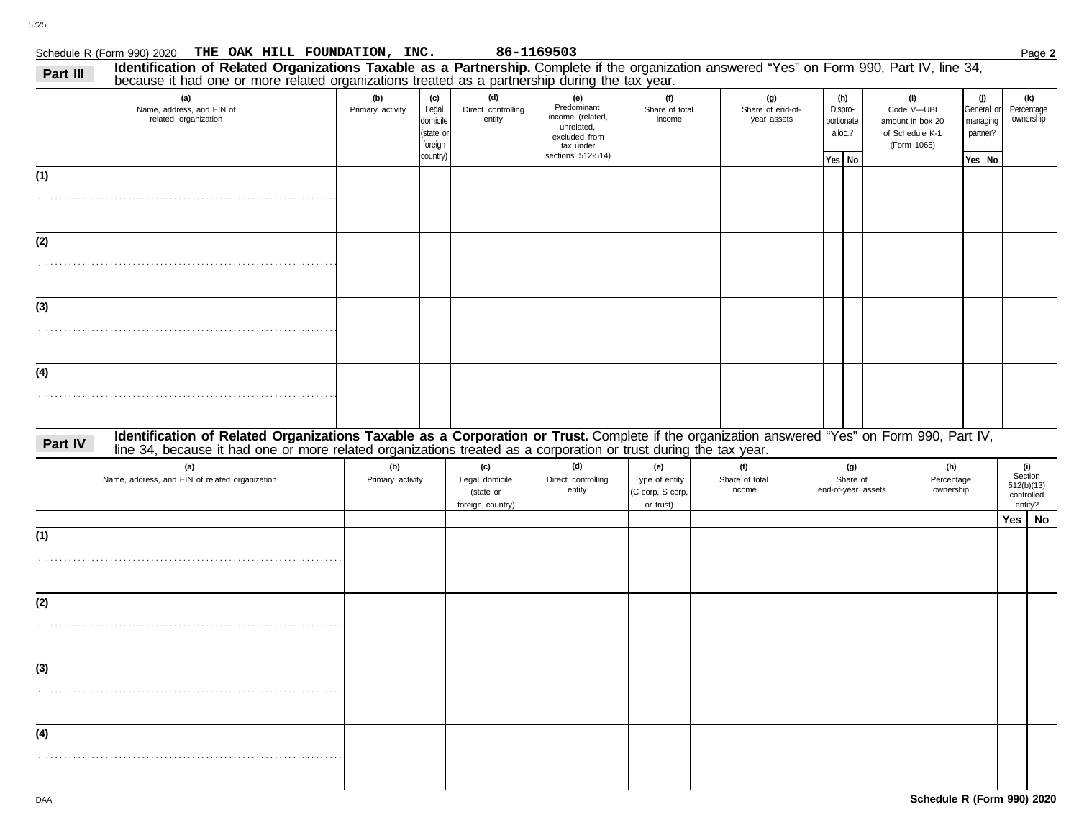# Schedule R (Form 990) 2020 Page **2 THE OAK HILL FOUNDATION, INC. 86-1169503**

| Part III | Identification of Related Organizations Taxable as a Partnership. Complete if the organization answered "Yes" on Form 990, Part IV, line 34,<br>because it had one or more related organizations treated as a partnership during the tax year. |                         |                                                              |                                                        |                                                                                                         |                                                        |                                        |                                                   |                    |                                                                         |                                                     |                                                       |  |
|----------|------------------------------------------------------------------------------------------------------------------------------------------------------------------------------------------------------------------------------------------------|-------------------------|--------------------------------------------------------------|--------------------------------------------------------|---------------------------------------------------------------------------------------------------------|--------------------------------------------------------|----------------------------------------|---------------------------------------------------|--------------------|-------------------------------------------------------------------------|-----------------------------------------------------|-------------------------------------------------------|--|
|          | (a)<br>Name, address, and EIN of<br>related organization                                                                                                                                                                                       | (b)<br>Primary activity | (c)<br>Legal<br>domicile<br>(state or<br>foreign<br>country) | (d)<br>Direct controlling<br>entity                    | (e)<br>Predominant<br>income (related,<br>unrelated,<br>excluded from<br>tax under<br>sections 512-514) | (f)<br>Share of total<br>income                        | (g)<br>Share of end-of-<br>year assets | (h)<br>Dispro-<br>portionate<br>alloc.?<br>Yes No |                    | (i)<br>Code V-UBI<br>amount in box 20<br>of Schedule K-1<br>(Form 1065) | (j)<br>General or<br>managing<br>partner?<br>Yes No | (k)<br>Percentage<br>ownership                        |  |
| (1)      |                                                                                                                                                                                                                                                |                         |                                                              |                                                        |                                                                                                         |                                                        |                                        |                                                   |                    |                                                                         |                                                     |                                                       |  |
| (2)      |                                                                                                                                                                                                                                                |                         |                                                              |                                                        |                                                                                                         |                                                        |                                        |                                                   |                    |                                                                         |                                                     |                                                       |  |
| (3)      |                                                                                                                                                                                                                                                |                         |                                                              |                                                        |                                                                                                         |                                                        |                                        |                                                   |                    |                                                                         |                                                     |                                                       |  |
| (4)      |                                                                                                                                                                                                                                                |                         |                                                              |                                                        |                                                                                                         |                                                        |                                        |                                                   |                    |                                                                         |                                                     |                                                       |  |
|          |                                                                                                                                                                                                                                                |                         |                                                              |                                                        |                                                                                                         |                                                        |                                        |                                                   |                    |                                                                         |                                                     |                                                       |  |
| Part IV  | Identification of Related Organizations Taxable as a Corporation or Trust. Complete if the organization answered "Yes" on Form 990, Part IV, line 34, because it had one or more related organizations treated as a corporatio                 |                         |                                                              |                                                        |                                                                                                         |                                                        |                                        |                                                   |                    |                                                                         |                                                     |                                                       |  |
|          | (a)<br>Name, address, and EIN of related organization                                                                                                                                                                                          | (b)<br>Primary activity |                                                              | (c)<br>Legal domicile<br>(state or<br>foreign country) | (d)<br>Direct controlling<br>entity                                                                     | (e)<br>Type of entity<br>(C corp, S corp,<br>or trust) | (f)<br>Share of total<br>income        | (g)<br>Share of                                   | end-of-year assets | (h)<br>Percentage<br>ownership                                          |                                                     | (i)<br>Section<br>512(b)(13)<br>controlled<br>entity? |  |
| (1)      |                                                                                                                                                                                                                                                |                         |                                                              |                                                        |                                                                                                         |                                                        |                                        |                                                   |                    |                                                                         |                                                     | Yes   No                                              |  |
| (2)      |                                                                                                                                                                                                                                                |                         |                                                              |                                                        |                                                                                                         |                                                        |                                        |                                                   |                    |                                                                         |                                                     |                                                       |  |
|          |                                                                                                                                                                                                                                                |                         |                                                              |                                                        |                                                                                                         |                                                        |                                        |                                                   |                    |                                                                         |                                                     |                                                       |  |
| (3)      |                                                                                                                                                                                                                                                |                         |                                                              |                                                        |                                                                                                         |                                                        |                                        |                                                   |                    |                                                                         |                                                     |                                                       |  |
| (4)      |                                                                                                                                                                                                                                                |                         |                                                              |                                                        |                                                                                                         |                                                        |                                        |                                                   |                    |                                                                         |                                                     |                                                       |  |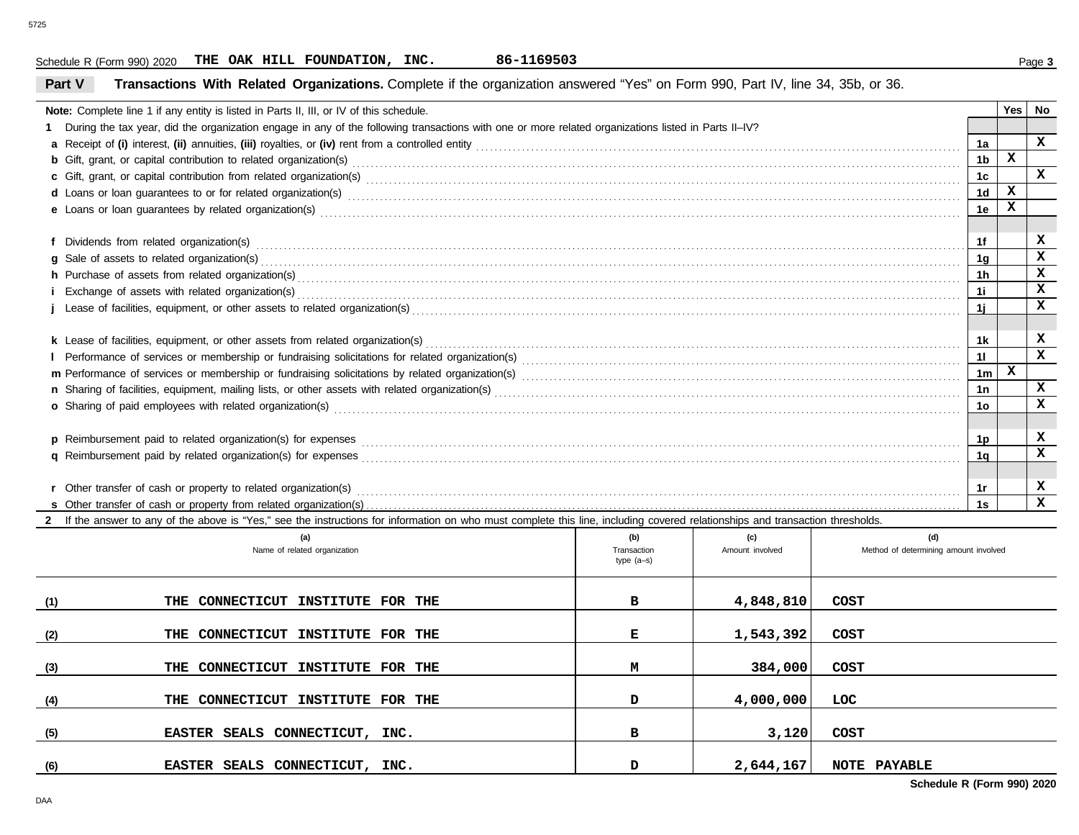#### **Part V Transactions With Related Organizations.** Complete if the organization answered "Yes" on Form 990, Part IV, line 34, 35b, or 36. Schedule R (Form 990) 2020 Page **3 THE OAK HILL FOUNDATION, INC. 86-1169503 Note:** Complete line 1 if any entity is listed in Parts II, III, or IV of this schedule. **1** During the tax year, did the organization engage in any of the following transactions with one or more related organizations listed in Parts II–IV? **a** Receipt of **(i)** interest, **(ii)** annuities, **(iii)** royalties, or **(iv)** rent from a controlled entity . . . . . . . . . . . . . . . . . . . . . . . . . . . . . . . . . . . . . . . . . . . . . . . . . . . . . . . . . . . . . . . . . . . . . . . . . . . . . . . . . . . . . . . . . . . . . . . . . . . . . . . . . . **b** Gift, grant, or capital contribution to related organization(s)  $\bm{c}$  Gift, grant, or capital contribution from related organization(s) with the content contract content control contribution from related organization(s) with content content content content content content of  $\bm{c}$ **d** Loans or loan guarantees to or for related organization(s) . . . . . . . . . . . . . . . . . . . . . . . . . . . . . . . . . . . . . . . . . . . . . . . . . . . . . . . . . . . . . . . . . . . . . . . . . . . . . . . . . . . . . . . . . . . . . . . . . . . . . . . . . . . . . . . . . . . . . . . . . . . . . . . . . . . . . . e Loans or loan guarantees by related organization(s) with an example construction and conserve the conserver o  $\mathsf f$  Dividends from related organization(s) with an example construction construction construction constrained and  $\mathsf f$ **g** Sale of assets to related organization(s) . . . . . . . . . . . . . . . . . . . . . . . . . . . . . . . . . . . . . . . . . . . . . . . . . . . . . . . . . . . . . . . . . . . . . . . . . . . . . . . . . . . . . . . . . . . . . . . . . . . . . . . . . . . . . . . . . . . . . . . . . . . . . . . . . . . . . . . . . . . . . . . . . . . . . . . . . **h** Purchase of assets from related organization(s) . . . . . . . . . . . . . . . . . . . . . . . . . . . . . . . . . . . . . . . . . . . . . . . . . . . . . . . . . . . . . . . . . . . . . . . . . . . . . . . . . . . . . . . . . . . . . . . . . . . . . . . . . . . . . . . . . . . . . . . . . . . . . . . . . . . . . . . . . . . . . . . . . **i** Exchange of assets with related organization(s) . . . . . . . . . . . . . . . . . . . . . . . . . . . . . . . . . . . . . . . . . . . . . . . . . . . . . . . . . . . . . . . . . . . . . . . . . . . . . . . . . . . . . . . . . . . . . . . . . . . . . . . . . . . . . . . . . . . . . . . . . . . . . . . . . . . . . . . . . . . . . . . . . **j** Lease of facilities, equipment, or other assets to related organization(s) . . . . . . . . . . . . . . . . . . . . . . . . . . . . . . . . . . . . . . . . . . . . . . . . . . . . . . . . . . . . . . . . . . . . . . . . . . . . . . . . . . . . . . . . . . . . . . . . . . . . . . . . . . . . . . . . . . . . . . . . k Lease of facilities, equipment, or other assets from related organization(s) www.areaseses and content and content to the content of facilities, equipment, or other assets from related organization(s) www.areasessessesse **l** Performance of services or membership or fundraising solicitations for related organization(s) . . . . . . . . . . . . . . . . . . . . . . . . . . . . . . . . . . . . . . . . . . . . . . . . . . . . . . . . . . . . . . . . . . . . . . . . . . . . . . . . . . . . . . . . . . . . . . . . **m** Performance of services or membership or fundraising solicitations by related organization(s) . . . . . . . . . . . . . . . . . . . . . . . . . . . . . . . . . . . . . . . . . . . . . . . . . . . . . . . . . . . . . . . . . . . . . . . . . . . . . . . . . . . . . . . . . . . . . . . . **n** Sharing of facilities, equipment, mailing lists, or other assets with related organization(s) . . . . . . . . . . . . . . . . . . . . . . . . . . . . . . . . . . . . . . . . . . . . . . . . . . . . . . . . . . . . . . . . . . . . . . . . . . . . . . . . . . . . . . . . . . . . . . . . . . . . . . o Sharing of paid employees with related organization(s) www.community.com/www.community.com/www.community.com/ **1a 1b 1c 1d 1e 1f 1g 1h 1i 1j 1k 1l 1m 1n 1o**

| <b>p</b> Reimbursement paid to related organization(s) for expenses      |  |  |
|--------------------------------------------------------------------------|--|--|
| <b>q</b> Reimbursement paid by related organization(s) for expenses      |  |  |
|                                                                          |  |  |
| <b>r</b> Other transfer of cash or property to related organization(s)   |  |  |
| <b>s</b> Other transfer of cash or property from related organization(s) |  |  |

**2** If the answer to any of the above is "Yes," see the instructions for information on who must complete this line, including covered relationships and transaction thresholds.

|     | (a)<br>Name of related organization | (b)<br>Transaction<br>$type(a-s)$ | (c)<br>Amount involved | (d)<br>Method of determining amount involved |
|-----|-------------------------------------|-----------------------------------|------------------------|----------------------------------------------|
| (1) | THE CONNECTICUT INSTITUTE FOR THE   | в                                 | 4,848,810              | COST                                         |
| (2) | THE CONNECTICUT INSTITUTE FOR THE   | Е                                 | 1,543,392              | COST                                         |
| (3) | THE CONNECTICUT INSTITUTE FOR THE   | м                                 | 384,000                | COST                                         |
| (4) | THE CONNECTICUT INSTITUTE FOR THE   | D                                 | 4,000,000              | LOC.                                         |
| (5) | EASTER SEALS CONNECTICUT, INC.      | в                                 | 3,120                  | <b>COST</b>                                  |
| (6) | EASTER SEALS CONNECTICUT, INC.      | D                                 | 2,644,167              | <b>NOTE PAYABLE</b><br>-------<br>------     |

**Schedule R (Form 990) 2020**

**X**

**X X**

**X**

**Yes No**

**X**

**X**

**X X X X X**

**X X**

**X X**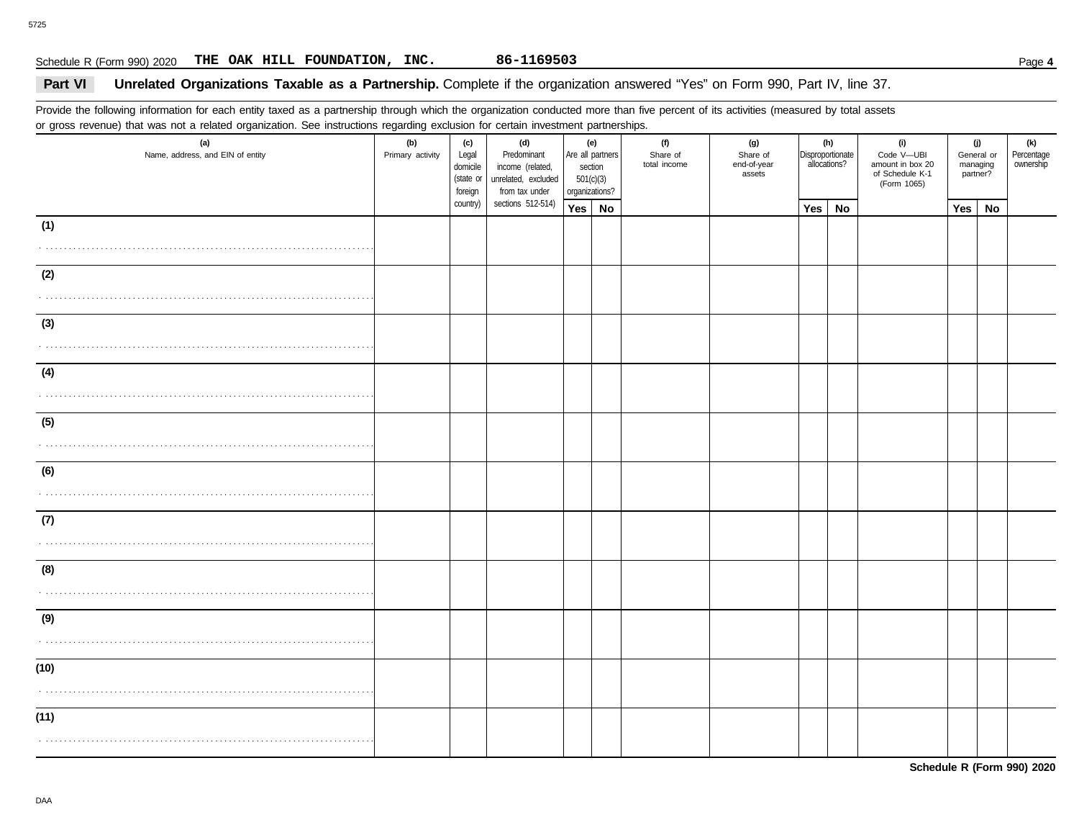## Schedule R (Form 990) 2020 Page **4 THE OAK HILL FOUNDATION, INC. 86-1169503**

## **Part VI Unrelated Organizations Taxable as a Partnership.** Complete if the organization answered "Yes" on Form 990, Part IV, line 37.

Provide the following information for each entity taxed as a partnership through which the organization conducted more than five percent of its activities (measured by total assets or gross revenue) that was not a related organization. See instructions regarding exclusion for certain investment partnerships.

| ັ<br>(a)<br>Name, address, and EIN of entity                                                                                                                                                         | ີ<br>ັ<br>(b)<br>Primary activity | (c)<br>Legal<br>domicile<br>(state or<br>foreign | (d)<br>Predominant<br>income (related,<br>unrelated, excluded<br>from tax under | (e)<br>Are all partners<br>section<br>501(c)(3)<br>organizations? |  | (f)<br>Share of<br>total income | (g)<br>Share of<br>end-of-year<br>assets | allocations? | (h)<br>Disproportionate | (i)<br>Code V-UBI<br>amount in box 20<br>of Schedule K-1<br>(Form 1065) | (j)<br>General or<br>managing<br>partner? |    | (k)<br>Percentage<br>ownership |
|------------------------------------------------------------------------------------------------------------------------------------------------------------------------------------------------------|-----------------------------------|--------------------------------------------------|---------------------------------------------------------------------------------|-------------------------------------------------------------------|--|---------------------------------|------------------------------------------|--------------|-------------------------|-------------------------------------------------------------------------|-------------------------------------------|----|--------------------------------|
|                                                                                                                                                                                                      |                                   | country)                                         | sections 512-514)                                                               | Yes No                                                            |  |                                 |                                          | Yes          | <b>No</b>               |                                                                         | Yes                                       | No |                                |
| (1)                                                                                                                                                                                                  |                                   |                                                  |                                                                                 |                                                                   |  |                                 |                                          |              |                         |                                                                         |                                           |    |                                |
| $\mathcal{L}^{\mathcal{A}}\left( \mathcal{A}^{\mathcal{A}}\right) \mathcal{A}^{\mathcal{A}}\left( \mathcal{A}^{\mathcal{A}}\right) \mathcal{A}^{\mathcal{A}}\left( \mathcal{A}^{\mathcal{A}}\right)$ |                                   |                                                  |                                                                                 |                                                                   |  |                                 |                                          |              |                         |                                                                         |                                           |    |                                |
| (2)                                                                                                                                                                                                  |                                   |                                                  |                                                                                 |                                                                   |  |                                 |                                          |              |                         |                                                                         |                                           |    |                                |
| (3)                                                                                                                                                                                                  |                                   |                                                  |                                                                                 |                                                                   |  |                                 |                                          |              |                         |                                                                         |                                           |    |                                |
|                                                                                                                                                                                                      |                                   |                                                  |                                                                                 |                                                                   |  |                                 |                                          |              |                         |                                                                         |                                           |    |                                |
| (4)                                                                                                                                                                                                  |                                   |                                                  |                                                                                 |                                                                   |  |                                 |                                          |              |                         |                                                                         |                                           |    |                                |
| (5)<br>.                                                                                                                                                                                             |                                   |                                                  |                                                                                 |                                                                   |  |                                 |                                          |              |                         |                                                                         |                                           |    |                                |
| (6)                                                                                                                                                                                                  |                                   |                                                  |                                                                                 |                                                                   |  |                                 |                                          |              |                         |                                                                         |                                           |    |                                |
| (7)                                                                                                                                                                                                  |                                   |                                                  |                                                                                 |                                                                   |  |                                 |                                          |              |                         |                                                                         |                                           |    |                                |
| (8)                                                                                                                                                                                                  |                                   |                                                  |                                                                                 |                                                                   |  |                                 |                                          |              |                         |                                                                         |                                           |    |                                |
| (9)                                                                                                                                                                                                  |                                   |                                                  |                                                                                 |                                                                   |  |                                 |                                          |              |                         |                                                                         |                                           |    |                                |
| (10)                                                                                                                                                                                                 |                                   |                                                  |                                                                                 |                                                                   |  |                                 |                                          |              |                         |                                                                         |                                           |    |                                |
| (11)                                                                                                                                                                                                 |                                   |                                                  |                                                                                 |                                                                   |  |                                 |                                          |              |                         |                                                                         |                                           |    |                                |